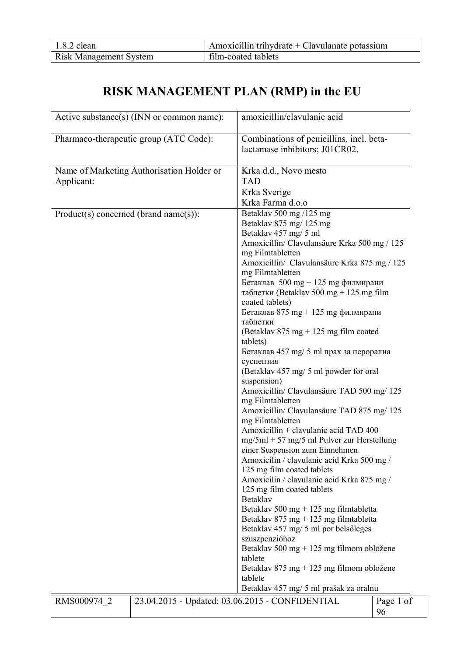| $1.8.2$ clean                 | Amoxicillin trihydrate + Clavulanate potassium |
|-------------------------------|------------------------------------------------|
| <b>Risk Management System</b> | film-coated tablets                            |

# **RISK MANAGEMENT PLAN (RMP) in the EU**

|                                          | Active substance(s) (INN or common name): | amoxicillin/clavulanic acid                                              |                 |
|------------------------------------------|-------------------------------------------|--------------------------------------------------------------------------|-----------------|
|                                          | Pharmaco-therapeutic group (ATC Code):    | Combinations of penicillins, incl. beta-                                 |                 |
|                                          |                                           | lactamase inhibitors; J01CR02.                                           |                 |
|                                          |                                           |                                                                          |                 |
|                                          | Name of Marketing Authorisation Holder or | Krka d.d., Novo mesto                                                    |                 |
| Applicant:                               |                                           | <b>TAD</b>                                                               |                 |
|                                          |                                           | Krka Sverige                                                             |                 |
|                                          |                                           | Krka Farma d.o.o                                                         |                 |
| $Product(s) concerned (brand name(s))$ : |                                           | Betaklav 500 mg /125 mg                                                  |                 |
|                                          |                                           | Betaklav 875 mg/125 mg                                                   |                 |
|                                          |                                           | Betaklav 457 mg/ 5 ml                                                    |                 |
|                                          |                                           | Amoxicillin/ Clavulansäure Krka 500 mg / 125                             |                 |
|                                          |                                           | mg Filmtabletten                                                         |                 |
|                                          |                                           | Amoxicillin/ Clavulansäure Krka 875 mg / 125                             |                 |
|                                          |                                           | mg Filmtabletten                                                         |                 |
|                                          |                                           | Бетаклав $500$ mg + 125 mg филмирани                                     |                 |
|                                          |                                           | таблетки (Betaklav 500 mg + 125 mg film<br>coated tablets)               |                 |
|                                          |                                           | Бетаклав 875 mg + 125 mg филмирани                                       |                 |
|                                          |                                           | таблетки                                                                 |                 |
|                                          |                                           | (Betaklav 875 mg + 125 mg film coated                                    |                 |
|                                          |                                           | tablets)                                                                 |                 |
|                                          |                                           | Бетаклав 457 mg/ 5 ml прах за перорална                                  |                 |
|                                          |                                           | суспензия                                                                |                 |
|                                          |                                           | (Betaklav 457 mg/ 5 ml powder for oral                                   |                 |
|                                          |                                           | suspension)                                                              |                 |
|                                          |                                           | Amoxicillin/ Clavulansäure TAD 500 mg/ 125<br>mg Filmtabletten           |                 |
|                                          |                                           | Amoxicillin/ Clavulansäure TAD 875 mg/ 125                               |                 |
|                                          |                                           | mg Filmtabletten                                                         |                 |
|                                          |                                           | Amoxicillin + clavulanic acid TAD 400                                    |                 |
|                                          |                                           | $mg/5ml + 57 mg/5 ml$ Pulver zur Herstellung                             |                 |
|                                          |                                           | einer Suspension zum Einnehmen                                           |                 |
|                                          |                                           | Amoxicilin / clavulanic acid Krka 500 mg /                               |                 |
|                                          |                                           | 125 mg film coated tablets<br>Amoxicilin / clavulanic acid Krka 875 mg / |                 |
|                                          |                                           | 125 mg film coated tablets                                               |                 |
|                                          |                                           | <b>Betaklav</b>                                                          |                 |
|                                          |                                           | Betaklav 500 mg + 125 mg filmtabletta                                    |                 |
|                                          |                                           | Betaklav 875 mg + 125 mg filmtabletta                                    |                 |
|                                          |                                           | Betaklav 457 mg/ 5 ml por belsőleges                                     |                 |
|                                          |                                           | szuszpenzióhoz                                                           |                 |
|                                          |                                           | Betaklav 500 mg + 125 mg filmom obložene                                 |                 |
|                                          |                                           | tablete                                                                  |                 |
|                                          |                                           | Betaklav 875 mg + 125 mg filmom obložene                                 |                 |
|                                          |                                           | tablete                                                                  |                 |
|                                          |                                           | Betaklav 457 mg/ 5 ml prašak za oralnu                                   |                 |
| RMS000974 2                              |                                           | 23.04.2015 - Updated: 03.06.2015 - CONFIDENTIAL                          | Page 1 of<br>96 |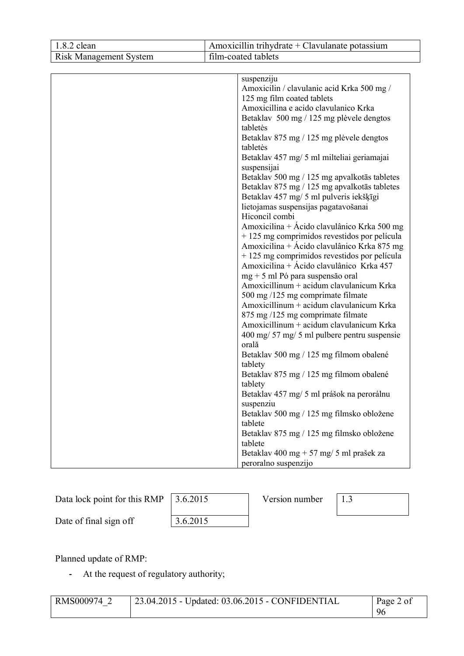| $1.8.2$ clean                 | Amoxicillin trihydrate + Clavulanate potassium                                                                                                                                                                                                                                                                                                                                                                                                                                                                                                                                                                                                                                                                                                                                                                                                                                                                                                                                                                                                                                                                                                                                      |  |
|-------------------------------|-------------------------------------------------------------------------------------------------------------------------------------------------------------------------------------------------------------------------------------------------------------------------------------------------------------------------------------------------------------------------------------------------------------------------------------------------------------------------------------------------------------------------------------------------------------------------------------------------------------------------------------------------------------------------------------------------------------------------------------------------------------------------------------------------------------------------------------------------------------------------------------------------------------------------------------------------------------------------------------------------------------------------------------------------------------------------------------------------------------------------------------------------------------------------------------|--|
| <b>Risk Management System</b> | film-coated tablets                                                                                                                                                                                                                                                                                                                                                                                                                                                                                                                                                                                                                                                                                                                                                                                                                                                                                                                                                                                                                                                                                                                                                                 |  |
|                               | suspenziju<br>Amoxicilin / clavulanic acid Krka 500 mg /<br>125 mg film coated tablets<br>Amoxicillina e acido clavulanico Krka<br>Betaklav 500 mg / 125 mg plèvele dengtos<br>tabletės<br>Betaklav 875 mg / 125 mg plėvele dengtos<br>tabletės<br>Betaklav 457 mg/ 5 ml milteliai geriamajai<br>suspensijai<br>Betaklav 500 mg / 125 mg apvalkotās tabletes<br>Betaklav 875 mg / 125 mg apvalkotās tabletes<br>Betaklav 457 mg/ 5 ml pulveris iekšķīgi<br>lietojamas suspensijas pagatavošanai<br>Hiconcil combi<br>Amoxicilina + Ácido clavulânico Krka 500 mg<br>+ 125 mg comprimidos revestidos por película<br>Amoxicilina + Ácido clavulânico Krka 875 mg<br>+125 mg comprimidos revestidos por película<br>Amoxicilina + Ácido clavulânico Krka 457<br>$mg + 5$ ml Pó para suspensão oral<br>Amoxicillinum + acidum clavulanicum Krka<br>500 mg /125 mg comprimate filmate<br>Amoxicillinum + acidum clavulanicum Krka<br>875 mg /125 mg comprimate filmate<br>Amoxicillinum + acidum clavulanicum Krka<br>400 mg/ 57 mg/ 5 ml pulbere pentru suspensie<br>orală<br>Betaklav 500 mg / 125 mg filmom obalené<br>tablety<br>Betaklav 875 mg / 125 mg filmom obalené<br>tablety |  |
|                               | Betaklav 457 mg/ 5 ml prášok na perorálnu                                                                                                                                                                                                                                                                                                                                                                                                                                                                                                                                                                                                                                                                                                                                                                                                                                                                                                                                                                                                                                                                                                                                           |  |
|                               | suspenziu<br>Betaklav 500 mg / 125 mg filmsko obložene<br>tablete<br>Betaklav 875 mg / 125 mg filmsko obložene<br>tablete                                                                                                                                                                                                                                                                                                                                                                                                                                                                                                                                                                                                                                                                                                                                                                                                                                                                                                                                                                                                                                                           |  |
|                               | Betaklav 400 mg + 57 mg/ 5 ml prašek za<br>peroralno suspenzijo                                                                                                                                                                                                                                                                                                                                                                                                                                                                                                                                                                                                                                                                                                                                                                                                                                                                                                                                                                                                                                                                                                                     |  |

Data lock point for this RMP  $\left[3.6.2015\right]$  Version number  $\left[1.3\right]$ 

 $\overline{\phantom{a}}$ 

Date of final sign off 3.6.2015

Planned update of RMP:

**-** At the request of regulatory authority;

| RMS000974 | 23.04.2015 - Updated: 03.06.2015 - CONFIDENTIAL | Page 2 of |
|-----------|-------------------------------------------------|-----------|
|           |                                                 | 96        |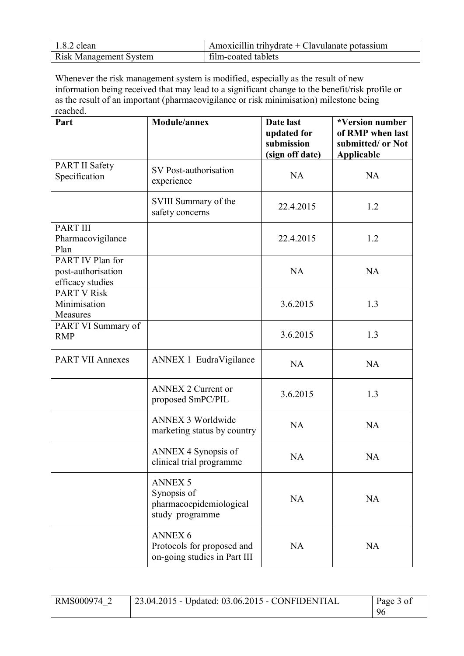| $1.8.2$ clean                 | Amoxicillin trihydrate $+$ Clavulanate potassium |
|-------------------------------|--------------------------------------------------|
| <b>Risk Management System</b> | film-coated tablets                              |

Whenever the risk management system is modified, especially as the result of new information being received that may lead to a significant change to the benefit/risk profile or as the result of an important (pharmacovigilance or risk minimisation) milestone being reached.

| Part                                                       | Module/annex                                                                 | Date last<br>updated for<br>submission<br>(sign off date) | *Version number<br>of RMP when last<br>submitted/ or Not<br><b>Applicable</b> |
|------------------------------------------------------------|------------------------------------------------------------------------------|-----------------------------------------------------------|-------------------------------------------------------------------------------|
| <b>PART II Safety</b><br>Specification                     | SV Post-authorisation<br>experience                                          | <b>NA</b>                                                 | <b>NA</b>                                                                     |
|                                                            | SVIII Summary of the<br>safety concerns                                      | 22.4.2015                                                 | 1.2                                                                           |
| <b>PART III</b><br>Pharmacovigilance<br>Plan               |                                                                              | 22.4.2015                                                 | 1.2                                                                           |
| PART IV Plan for<br>post-authorisation<br>efficacy studies |                                                                              | <b>NA</b>                                                 | <b>NA</b>                                                                     |
| <b>PART V Risk</b><br>Minimisation<br>Measures             |                                                                              | 3.6.2015                                                  | 1.3                                                                           |
| PART VI Summary of<br><b>RMP</b>                           |                                                                              | 3.6.2015                                                  | 1.3                                                                           |
| <b>PART VII Annexes</b>                                    | ANNEX 1 EudraVigilance                                                       | <b>NA</b>                                                 | <b>NA</b>                                                                     |
|                                                            | <b>ANNEX 2 Current or</b><br>proposed SmPC/PIL                               | 3.6.2015                                                  | 1.3                                                                           |
|                                                            | <b>ANNEX 3 Worldwide</b><br>marketing status by country                      | <b>NA</b>                                                 | <b>NA</b>                                                                     |
|                                                            | ANNEX 4 Synopsis of<br>clinical trial programme                              | <b>NA</b>                                                 | <b>NA</b>                                                                     |
|                                                            | <b>ANNEX 5</b><br>Synopsis of<br>pharmacoepidemiological<br>study programme  | <b>NA</b>                                                 | <b>NA</b>                                                                     |
|                                                            | <b>ANNEX 6</b><br>Protocols for proposed and<br>on-going studies in Part III | <b>NA</b>                                                 | <b>NA</b>                                                                     |

RMS000974\_2 23.04.2015 - Updated: 03.06.2015 - CONFIDENTIAL Page 3 of 96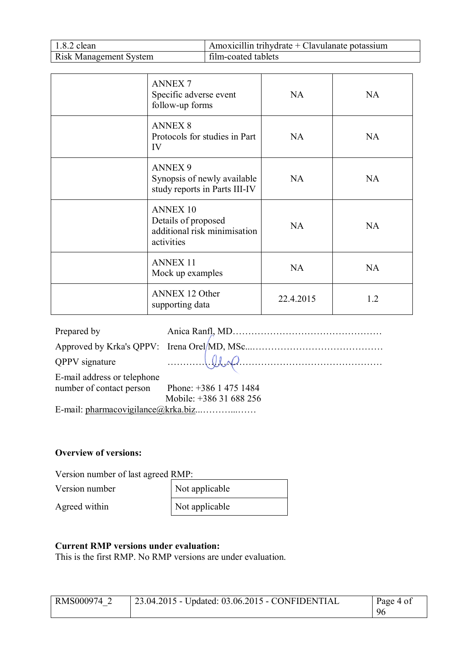| $1.8.2$ clean                 | Amoxicillin trihydrate $+$ Clavulanate potassium |
|-------------------------------|--------------------------------------------------|
| <b>Risk Management System</b> | film-coated tablets                              |

| <b>ANNEX7</b><br>Specific adverse event<br>follow-up forms                           | <b>NA</b> | <b>NA</b> |
|--------------------------------------------------------------------------------------|-----------|-----------|
| <b>ANNEX 8</b><br>Protocols for studies in Part<br>IV                                | <b>NA</b> | <b>NA</b> |
| <b>ANNEX 9</b><br>Synopsis of newly available<br>study reports in Parts III-IV       | NA        | <b>NA</b> |
| <b>ANNEX 10</b><br>Details of proposed<br>additional risk minimisation<br>activities | <b>NA</b> | NA        |
| <b>ANNEX 11</b><br>Mock up examples                                                  | NA        | <b>NA</b> |
| <b>ANNEX 12 Other</b><br>supporting data                                             | 22.4.2015 | 1.2       |

| Prepared by                                     |                         |
|-------------------------------------------------|-------------------------|
|                                                 |                         |
| <b>QPPV</b> signature                           | $U\leftarrow$           |
| E-mail address or telephone                     |                         |
| number of contact person Phone: +386 1 475 1484 |                         |
|                                                 | Mobile: +386 31 688 256 |
|                                                 |                         |

#### **Overview of versions:**

Version number of last agreed RMP:

Version number

Agreed within

| Not applicable |
|----------------|
| Not applicable |

#### **Current RMP versions under evaluation:**

This is the first RMP. No RMP versions are under evaluation.

| RMS000974 2 | 23.04.2015 - Updated: 03.06.2015 - CONFIDENTIAL | Page 4 of |
|-------------|-------------------------------------------------|-----------|
|             |                                                 | 96        |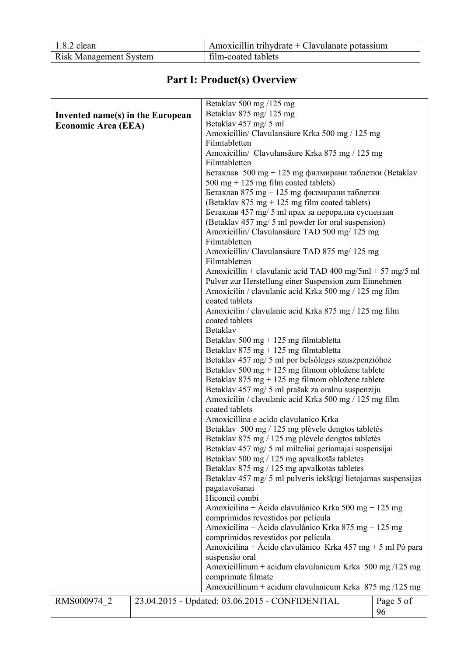| $1.8.2$ clean                 | $\Delta$ Amoxicillin trihydrate + Clavulanate potassium |
|-------------------------------|---------------------------------------------------------|
| <b>Risk Management System</b> | film-coated tablets                                     |

# **Part I: Product(s) Overview**

| Betaklav 875 mg/125 mg<br>Invented name(s) in the European<br>Betaklav 457 mg/ 5 ml<br><b>Economic Area (EEA)</b><br>Amoxicillin/ Clavulansäure Krka 500 mg / 125 mg<br>Filmtabletten<br>Amoxicillin/ Clavulansäure Krka 875 mg / 125 mg<br>Filmtabletten<br>Бетаклав $500$ mg + 125 mg филмирани таблетки (Betaklav<br>$500 \text{ mg} + 125 \text{ mg film coated tablets}$<br>Бетаклав 875 mg + 125 mg филмирани таблетки<br>(Betaklav 875 mg + 125 mg film coated tablets)<br>Бетаклав 457 mg/ 5 ml прах за перорална суспензия<br>(Betaklav 457 mg/ 5 ml powder for oral suspension)<br>Amoxicillin/ Clavulansäure TAD 500 mg/ 125 mg<br>Filmtabletten<br>Amoxicillin/ Clavulansäure TAD 875 mg/ 125 mg<br>Filmtabletten<br>Amoxicillin + clavulanic acid TAD 400 mg/5ml + 57 mg/5 ml<br>Pulver zur Herstellung einer Suspension zum Einnehmen<br>Amoxicilin / clavulanic acid Krka 500 mg / 125 mg film<br>coated tablets<br>Amoxicilin / clavulanic acid Krka 875 mg / 125 mg film<br>coated tablets<br>Betaklav<br>Betaklav 500 mg + 125 mg filmtabletta<br>Betaklav $875 \text{ mg} + 125 \text{ mg}$ filmtabletta<br>Betaklav 457 mg/ 5 ml por belsőleges szuszpenzióhoz<br>Betaklav 500 mg + 125 mg filmom obložene tablete<br>Betaklav 875 mg + 125 mg filmom obložene tablete<br>Betaklav 457 mg/ 5 ml prašak za oralnu suspenziju<br>Amoxicilin / clavulanic acid Krka 500 mg / 125 mg film<br>coated tablets<br>Amoxicillina e acido clavulanico Krka<br>Betaklav 500 mg / 125 mg plėvele dengtos tabletės<br>Betaklav 875 mg / 125 mg plėvele dengtos tabletės<br>Betaklav 457 mg/ 5 ml milteliai geriamajai suspensijai<br>Betaklav 500 mg / 125 mg apvalkotās tabletes<br>Betaklav 875 mg / 125 mg apvalkotās tabletes<br>Betaklav 457 mg/ 5 ml pulveris iekšķīgi lietojamas suspensijas<br>pagatavošanai<br>Hiconcil combi<br>Amoxicilina + Ácido clavulânico Krka 500 mg + 125 mg<br>comprimidos revestidos por película<br>Amoxicilina + Ácido clavulânico Krka 875 mg + 125 mg<br>comprimidos revestidos por película<br>Amoxicilina + Ácido clavulânico Krka 457 mg + 5 ml Pó para<br>suspensão oral<br>Amoxicillinum + acidum clavulanicum Krka 500 mg /125 mg<br>comprimate filmate<br>Amoxicillinum + acidum clavulanicum Krka 875 mg /125 mg<br>23.04.2015 - Updated: 03.06.2015 - CONFIDENTIAL<br>RMS000974 2<br>Page 5 of |  | Betaklay 500 mg /125 mg |    |
|--------------------------------------------------------------------------------------------------------------------------------------------------------------------------------------------------------------------------------------------------------------------------------------------------------------------------------------------------------------------------------------------------------------------------------------------------------------------------------------------------------------------------------------------------------------------------------------------------------------------------------------------------------------------------------------------------------------------------------------------------------------------------------------------------------------------------------------------------------------------------------------------------------------------------------------------------------------------------------------------------------------------------------------------------------------------------------------------------------------------------------------------------------------------------------------------------------------------------------------------------------------------------------------------------------------------------------------------------------------------------------------------------------------------------------------------------------------------------------------------------------------------------------------------------------------------------------------------------------------------------------------------------------------------------------------------------------------------------------------------------------------------------------------------------------------------------------------------------------------------------------------------------------------------------------------------------------------------------------------------------------------------------------------------------------------------------------------------------------------------------------------------------------------------------------------------------------------------------------------------------------------------------------------------------------------------------------------------------------|--|-------------------------|----|
|                                                                                                                                                                                                                                                                                                                                                                                                                                                                                                                                                                                                                                                                                                                                                                                                                                                                                                                                                                                                                                                                                                                                                                                                                                                                                                                                                                                                                                                                                                                                                                                                                                                                                                                                                                                                                                                                                                                                                                                                                                                                                                                                                                                                                                                                                                                                                        |  |                         |    |
|                                                                                                                                                                                                                                                                                                                                                                                                                                                                                                                                                                                                                                                                                                                                                                                                                                                                                                                                                                                                                                                                                                                                                                                                                                                                                                                                                                                                                                                                                                                                                                                                                                                                                                                                                                                                                                                                                                                                                                                                                                                                                                                                                                                                                                                                                                                                                        |  |                         |    |
|                                                                                                                                                                                                                                                                                                                                                                                                                                                                                                                                                                                                                                                                                                                                                                                                                                                                                                                                                                                                                                                                                                                                                                                                                                                                                                                                                                                                                                                                                                                                                                                                                                                                                                                                                                                                                                                                                                                                                                                                                                                                                                                                                                                                                                                                                                                                                        |  |                         |    |
|                                                                                                                                                                                                                                                                                                                                                                                                                                                                                                                                                                                                                                                                                                                                                                                                                                                                                                                                                                                                                                                                                                                                                                                                                                                                                                                                                                                                                                                                                                                                                                                                                                                                                                                                                                                                                                                                                                                                                                                                                                                                                                                                                                                                                                                                                                                                                        |  |                         |    |
|                                                                                                                                                                                                                                                                                                                                                                                                                                                                                                                                                                                                                                                                                                                                                                                                                                                                                                                                                                                                                                                                                                                                                                                                                                                                                                                                                                                                                                                                                                                                                                                                                                                                                                                                                                                                                                                                                                                                                                                                                                                                                                                                                                                                                                                                                                                                                        |  |                         |    |
|                                                                                                                                                                                                                                                                                                                                                                                                                                                                                                                                                                                                                                                                                                                                                                                                                                                                                                                                                                                                                                                                                                                                                                                                                                                                                                                                                                                                                                                                                                                                                                                                                                                                                                                                                                                                                                                                                                                                                                                                                                                                                                                                                                                                                                                                                                                                                        |  |                         |    |
|                                                                                                                                                                                                                                                                                                                                                                                                                                                                                                                                                                                                                                                                                                                                                                                                                                                                                                                                                                                                                                                                                                                                                                                                                                                                                                                                                                                                                                                                                                                                                                                                                                                                                                                                                                                                                                                                                                                                                                                                                                                                                                                                                                                                                                                                                                                                                        |  |                         |    |
|                                                                                                                                                                                                                                                                                                                                                                                                                                                                                                                                                                                                                                                                                                                                                                                                                                                                                                                                                                                                                                                                                                                                                                                                                                                                                                                                                                                                                                                                                                                                                                                                                                                                                                                                                                                                                                                                                                                                                                                                                                                                                                                                                                                                                                                                                                                                                        |  |                         |    |
|                                                                                                                                                                                                                                                                                                                                                                                                                                                                                                                                                                                                                                                                                                                                                                                                                                                                                                                                                                                                                                                                                                                                                                                                                                                                                                                                                                                                                                                                                                                                                                                                                                                                                                                                                                                                                                                                                                                                                                                                                                                                                                                                                                                                                                                                                                                                                        |  |                         |    |
|                                                                                                                                                                                                                                                                                                                                                                                                                                                                                                                                                                                                                                                                                                                                                                                                                                                                                                                                                                                                                                                                                                                                                                                                                                                                                                                                                                                                                                                                                                                                                                                                                                                                                                                                                                                                                                                                                                                                                                                                                                                                                                                                                                                                                                                                                                                                                        |  |                         |    |
|                                                                                                                                                                                                                                                                                                                                                                                                                                                                                                                                                                                                                                                                                                                                                                                                                                                                                                                                                                                                                                                                                                                                                                                                                                                                                                                                                                                                                                                                                                                                                                                                                                                                                                                                                                                                                                                                                                                                                                                                                                                                                                                                                                                                                                                                                                                                                        |  |                         |    |
|                                                                                                                                                                                                                                                                                                                                                                                                                                                                                                                                                                                                                                                                                                                                                                                                                                                                                                                                                                                                                                                                                                                                                                                                                                                                                                                                                                                                                                                                                                                                                                                                                                                                                                                                                                                                                                                                                                                                                                                                                                                                                                                                                                                                                                                                                                                                                        |  |                         |    |
|                                                                                                                                                                                                                                                                                                                                                                                                                                                                                                                                                                                                                                                                                                                                                                                                                                                                                                                                                                                                                                                                                                                                                                                                                                                                                                                                                                                                                                                                                                                                                                                                                                                                                                                                                                                                                                                                                                                                                                                                                                                                                                                                                                                                                                                                                                                                                        |  |                         |    |
|                                                                                                                                                                                                                                                                                                                                                                                                                                                                                                                                                                                                                                                                                                                                                                                                                                                                                                                                                                                                                                                                                                                                                                                                                                                                                                                                                                                                                                                                                                                                                                                                                                                                                                                                                                                                                                                                                                                                                                                                                                                                                                                                                                                                                                                                                                                                                        |  |                         |    |
|                                                                                                                                                                                                                                                                                                                                                                                                                                                                                                                                                                                                                                                                                                                                                                                                                                                                                                                                                                                                                                                                                                                                                                                                                                                                                                                                                                                                                                                                                                                                                                                                                                                                                                                                                                                                                                                                                                                                                                                                                                                                                                                                                                                                                                                                                                                                                        |  |                         |    |
|                                                                                                                                                                                                                                                                                                                                                                                                                                                                                                                                                                                                                                                                                                                                                                                                                                                                                                                                                                                                                                                                                                                                                                                                                                                                                                                                                                                                                                                                                                                                                                                                                                                                                                                                                                                                                                                                                                                                                                                                                                                                                                                                                                                                                                                                                                                                                        |  |                         |    |
|                                                                                                                                                                                                                                                                                                                                                                                                                                                                                                                                                                                                                                                                                                                                                                                                                                                                                                                                                                                                                                                                                                                                                                                                                                                                                                                                                                                                                                                                                                                                                                                                                                                                                                                                                                                                                                                                                                                                                                                                                                                                                                                                                                                                                                                                                                                                                        |  |                         |    |
|                                                                                                                                                                                                                                                                                                                                                                                                                                                                                                                                                                                                                                                                                                                                                                                                                                                                                                                                                                                                                                                                                                                                                                                                                                                                                                                                                                                                                                                                                                                                                                                                                                                                                                                                                                                                                                                                                                                                                                                                                                                                                                                                                                                                                                                                                                                                                        |  |                         |    |
|                                                                                                                                                                                                                                                                                                                                                                                                                                                                                                                                                                                                                                                                                                                                                                                                                                                                                                                                                                                                                                                                                                                                                                                                                                                                                                                                                                                                                                                                                                                                                                                                                                                                                                                                                                                                                                                                                                                                                                                                                                                                                                                                                                                                                                                                                                                                                        |  |                         |    |
|                                                                                                                                                                                                                                                                                                                                                                                                                                                                                                                                                                                                                                                                                                                                                                                                                                                                                                                                                                                                                                                                                                                                                                                                                                                                                                                                                                                                                                                                                                                                                                                                                                                                                                                                                                                                                                                                                                                                                                                                                                                                                                                                                                                                                                                                                                                                                        |  |                         |    |
|                                                                                                                                                                                                                                                                                                                                                                                                                                                                                                                                                                                                                                                                                                                                                                                                                                                                                                                                                                                                                                                                                                                                                                                                                                                                                                                                                                                                                                                                                                                                                                                                                                                                                                                                                                                                                                                                                                                                                                                                                                                                                                                                                                                                                                                                                                                                                        |  |                         |    |
|                                                                                                                                                                                                                                                                                                                                                                                                                                                                                                                                                                                                                                                                                                                                                                                                                                                                                                                                                                                                                                                                                                                                                                                                                                                                                                                                                                                                                                                                                                                                                                                                                                                                                                                                                                                                                                                                                                                                                                                                                                                                                                                                                                                                                                                                                                                                                        |  |                         |    |
|                                                                                                                                                                                                                                                                                                                                                                                                                                                                                                                                                                                                                                                                                                                                                                                                                                                                                                                                                                                                                                                                                                                                                                                                                                                                                                                                                                                                                                                                                                                                                                                                                                                                                                                                                                                                                                                                                                                                                                                                                                                                                                                                                                                                                                                                                                                                                        |  |                         |    |
|                                                                                                                                                                                                                                                                                                                                                                                                                                                                                                                                                                                                                                                                                                                                                                                                                                                                                                                                                                                                                                                                                                                                                                                                                                                                                                                                                                                                                                                                                                                                                                                                                                                                                                                                                                                                                                                                                                                                                                                                                                                                                                                                                                                                                                                                                                                                                        |  |                         |    |
|                                                                                                                                                                                                                                                                                                                                                                                                                                                                                                                                                                                                                                                                                                                                                                                                                                                                                                                                                                                                                                                                                                                                                                                                                                                                                                                                                                                                                                                                                                                                                                                                                                                                                                                                                                                                                                                                                                                                                                                                                                                                                                                                                                                                                                                                                                                                                        |  |                         |    |
|                                                                                                                                                                                                                                                                                                                                                                                                                                                                                                                                                                                                                                                                                                                                                                                                                                                                                                                                                                                                                                                                                                                                                                                                                                                                                                                                                                                                                                                                                                                                                                                                                                                                                                                                                                                                                                                                                                                                                                                                                                                                                                                                                                                                                                                                                                                                                        |  |                         |    |
|                                                                                                                                                                                                                                                                                                                                                                                                                                                                                                                                                                                                                                                                                                                                                                                                                                                                                                                                                                                                                                                                                                                                                                                                                                                                                                                                                                                                                                                                                                                                                                                                                                                                                                                                                                                                                                                                                                                                                                                                                                                                                                                                                                                                                                                                                                                                                        |  |                         |    |
|                                                                                                                                                                                                                                                                                                                                                                                                                                                                                                                                                                                                                                                                                                                                                                                                                                                                                                                                                                                                                                                                                                                                                                                                                                                                                                                                                                                                                                                                                                                                                                                                                                                                                                                                                                                                                                                                                                                                                                                                                                                                                                                                                                                                                                                                                                                                                        |  |                         |    |
|                                                                                                                                                                                                                                                                                                                                                                                                                                                                                                                                                                                                                                                                                                                                                                                                                                                                                                                                                                                                                                                                                                                                                                                                                                                                                                                                                                                                                                                                                                                                                                                                                                                                                                                                                                                                                                                                                                                                                                                                                                                                                                                                                                                                                                                                                                                                                        |  |                         |    |
|                                                                                                                                                                                                                                                                                                                                                                                                                                                                                                                                                                                                                                                                                                                                                                                                                                                                                                                                                                                                                                                                                                                                                                                                                                                                                                                                                                                                                                                                                                                                                                                                                                                                                                                                                                                                                                                                                                                                                                                                                                                                                                                                                                                                                                                                                                                                                        |  |                         |    |
|                                                                                                                                                                                                                                                                                                                                                                                                                                                                                                                                                                                                                                                                                                                                                                                                                                                                                                                                                                                                                                                                                                                                                                                                                                                                                                                                                                                                                                                                                                                                                                                                                                                                                                                                                                                                                                                                                                                                                                                                                                                                                                                                                                                                                                                                                                                                                        |  |                         |    |
|                                                                                                                                                                                                                                                                                                                                                                                                                                                                                                                                                                                                                                                                                                                                                                                                                                                                                                                                                                                                                                                                                                                                                                                                                                                                                                                                                                                                                                                                                                                                                                                                                                                                                                                                                                                                                                                                                                                                                                                                                                                                                                                                                                                                                                                                                                                                                        |  |                         |    |
|                                                                                                                                                                                                                                                                                                                                                                                                                                                                                                                                                                                                                                                                                                                                                                                                                                                                                                                                                                                                                                                                                                                                                                                                                                                                                                                                                                                                                                                                                                                                                                                                                                                                                                                                                                                                                                                                                                                                                                                                                                                                                                                                                                                                                                                                                                                                                        |  |                         |    |
|                                                                                                                                                                                                                                                                                                                                                                                                                                                                                                                                                                                                                                                                                                                                                                                                                                                                                                                                                                                                                                                                                                                                                                                                                                                                                                                                                                                                                                                                                                                                                                                                                                                                                                                                                                                                                                                                                                                                                                                                                                                                                                                                                                                                                                                                                                                                                        |  |                         |    |
|                                                                                                                                                                                                                                                                                                                                                                                                                                                                                                                                                                                                                                                                                                                                                                                                                                                                                                                                                                                                                                                                                                                                                                                                                                                                                                                                                                                                                                                                                                                                                                                                                                                                                                                                                                                                                                                                                                                                                                                                                                                                                                                                                                                                                                                                                                                                                        |  |                         |    |
|                                                                                                                                                                                                                                                                                                                                                                                                                                                                                                                                                                                                                                                                                                                                                                                                                                                                                                                                                                                                                                                                                                                                                                                                                                                                                                                                                                                                                                                                                                                                                                                                                                                                                                                                                                                                                                                                                                                                                                                                                                                                                                                                                                                                                                                                                                                                                        |  |                         |    |
|                                                                                                                                                                                                                                                                                                                                                                                                                                                                                                                                                                                                                                                                                                                                                                                                                                                                                                                                                                                                                                                                                                                                                                                                                                                                                                                                                                                                                                                                                                                                                                                                                                                                                                                                                                                                                                                                                                                                                                                                                                                                                                                                                                                                                                                                                                                                                        |  |                         |    |
|                                                                                                                                                                                                                                                                                                                                                                                                                                                                                                                                                                                                                                                                                                                                                                                                                                                                                                                                                                                                                                                                                                                                                                                                                                                                                                                                                                                                                                                                                                                                                                                                                                                                                                                                                                                                                                                                                                                                                                                                                                                                                                                                                                                                                                                                                                                                                        |  |                         |    |
|                                                                                                                                                                                                                                                                                                                                                                                                                                                                                                                                                                                                                                                                                                                                                                                                                                                                                                                                                                                                                                                                                                                                                                                                                                                                                                                                                                                                                                                                                                                                                                                                                                                                                                                                                                                                                                                                                                                                                                                                                                                                                                                                                                                                                                                                                                                                                        |  |                         |    |
|                                                                                                                                                                                                                                                                                                                                                                                                                                                                                                                                                                                                                                                                                                                                                                                                                                                                                                                                                                                                                                                                                                                                                                                                                                                                                                                                                                                                                                                                                                                                                                                                                                                                                                                                                                                                                                                                                                                                                                                                                                                                                                                                                                                                                                                                                                                                                        |  |                         |    |
|                                                                                                                                                                                                                                                                                                                                                                                                                                                                                                                                                                                                                                                                                                                                                                                                                                                                                                                                                                                                                                                                                                                                                                                                                                                                                                                                                                                                                                                                                                                                                                                                                                                                                                                                                                                                                                                                                                                                                                                                                                                                                                                                                                                                                                                                                                                                                        |  |                         |    |
|                                                                                                                                                                                                                                                                                                                                                                                                                                                                                                                                                                                                                                                                                                                                                                                                                                                                                                                                                                                                                                                                                                                                                                                                                                                                                                                                                                                                                                                                                                                                                                                                                                                                                                                                                                                                                                                                                                                                                                                                                                                                                                                                                                                                                                                                                                                                                        |  |                         |    |
|                                                                                                                                                                                                                                                                                                                                                                                                                                                                                                                                                                                                                                                                                                                                                                                                                                                                                                                                                                                                                                                                                                                                                                                                                                                                                                                                                                                                                                                                                                                                                                                                                                                                                                                                                                                                                                                                                                                                                                                                                                                                                                                                                                                                                                                                                                                                                        |  |                         |    |
|                                                                                                                                                                                                                                                                                                                                                                                                                                                                                                                                                                                                                                                                                                                                                                                                                                                                                                                                                                                                                                                                                                                                                                                                                                                                                                                                                                                                                                                                                                                                                                                                                                                                                                                                                                                                                                                                                                                                                                                                                                                                                                                                                                                                                                                                                                                                                        |  |                         |    |
|                                                                                                                                                                                                                                                                                                                                                                                                                                                                                                                                                                                                                                                                                                                                                                                                                                                                                                                                                                                                                                                                                                                                                                                                                                                                                                                                                                                                                                                                                                                                                                                                                                                                                                                                                                                                                                                                                                                                                                                                                                                                                                                                                                                                                                                                                                                                                        |  |                         |    |
|                                                                                                                                                                                                                                                                                                                                                                                                                                                                                                                                                                                                                                                                                                                                                                                                                                                                                                                                                                                                                                                                                                                                                                                                                                                                                                                                                                                                                                                                                                                                                                                                                                                                                                                                                                                                                                                                                                                                                                                                                                                                                                                                                                                                                                                                                                                                                        |  |                         |    |
|                                                                                                                                                                                                                                                                                                                                                                                                                                                                                                                                                                                                                                                                                                                                                                                                                                                                                                                                                                                                                                                                                                                                                                                                                                                                                                                                                                                                                                                                                                                                                                                                                                                                                                                                                                                                                                                                                                                                                                                                                                                                                                                                                                                                                                                                                                                                                        |  |                         |    |
|                                                                                                                                                                                                                                                                                                                                                                                                                                                                                                                                                                                                                                                                                                                                                                                                                                                                                                                                                                                                                                                                                                                                                                                                                                                                                                                                                                                                                                                                                                                                                                                                                                                                                                                                                                                                                                                                                                                                                                                                                                                                                                                                                                                                                                                                                                                                                        |  |                         |    |
|                                                                                                                                                                                                                                                                                                                                                                                                                                                                                                                                                                                                                                                                                                                                                                                                                                                                                                                                                                                                                                                                                                                                                                                                                                                                                                                                                                                                                                                                                                                                                                                                                                                                                                                                                                                                                                                                                                                                                                                                                                                                                                                                                                                                                                                                                                                                                        |  |                         |    |
|                                                                                                                                                                                                                                                                                                                                                                                                                                                                                                                                                                                                                                                                                                                                                                                                                                                                                                                                                                                                                                                                                                                                                                                                                                                                                                                                                                                                                                                                                                                                                                                                                                                                                                                                                                                                                                                                                                                                                                                                                                                                                                                                                                                                                                                                                                                                                        |  |                         | 96 |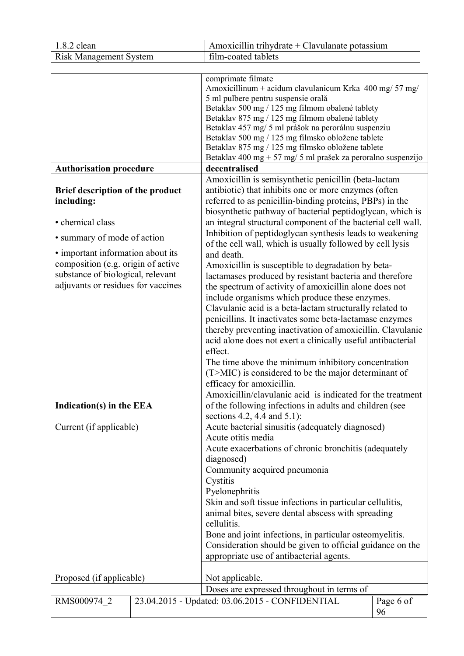| 1.8.2 clean                                                                                                                                                                                                                                             | Amoxicillin trihydrate + Clavulanate potassium                                                                                                                                                                                                                                                                                                                                                                                                                                                                                                                                                                                                                                                                                                                                                                                                                                                                                                                                                                                                                                       |
|---------------------------------------------------------------------------------------------------------------------------------------------------------------------------------------------------------------------------------------------------------|--------------------------------------------------------------------------------------------------------------------------------------------------------------------------------------------------------------------------------------------------------------------------------------------------------------------------------------------------------------------------------------------------------------------------------------------------------------------------------------------------------------------------------------------------------------------------------------------------------------------------------------------------------------------------------------------------------------------------------------------------------------------------------------------------------------------------------------------------------------------------------------------------------------------------------------------------------------------------------------------------------------------------------------------------------------------------------------|
| <b>Risk Management System</b>                                                                                                                                                                                                                           | film-coated tablets                                                                                                                                                                                                                                                                                                                                                                                                                                                                                                                                                                                                                                                                                                                                                                                                                                                                                                                                                                                                                                                                  |
|                                                                                                                                                                                                                                                         |                                                                                                                                                                                                                                                                                                                                                                                                                                                                                                                                                                                                                                                                                                                                                                                                                                                                                                                                                                                                                                                                                      |
|                                                                                                                                                                                                                                                         | comprimate filmate<br>Amoxicillinum + acidum clavulanicum Krka 400 mg/ 57 mg/<br>5 ml pulbere pentru suspensie orală<br>Betaklav 500 mg / 125 mg filmom obalené tablety<br>Betaklav 875 mg / 125 mg filmom obalené tablety<br>Betaklav 457 mg/ 5 ml prášok na perorálnu suspenziu<br>Betaklav 500 mg / 125 mg filmsko obložene tablete<br>Betaklav 875 mg / 125 mg filmsko obložene tablete<br>Betaklav 400 mg + 57 mg/ 5 ml prašek za peroralno suspenzijo                                                                                                                                                                                                                                                                                                                                                                                                                                                                                                                                                                                                                          |
| <b>Authorisation procedure</b>                                                                                                                                                                                                                          | decentralised                                                                                                                                                                                                                                                                                                                                                                                                                                                                                                                                                                                                                                                                                                                                                                                                                                                                                                                                                                                                                                                                        |
| Brief description of the product<br>including:<br>• chemical class<br>• summary of mode of action<br>• important information about its<br>composition (e.g. origin of active<br>substance of biological, relevant<br>adjuvants or residues for vaccines | Amoxicillin is semisynthetic penicillin (beta-lactam<br>antibiotic) that inhibits one or more enzymes (often<br>referred to as penicillin-binding proteins, PBPs) in the<br>biosynthetic pathway of bacterial peptidoglycan, which is<br>an integral structural component of the bacterial cell wall.<br>Inhibition of peptidoglycan synthesis leads to weakening<br>of the cell wall, which is usually followed by cell lysis<br>and death.<br>Amoxicillin is susceptible to degradation by beta-<br>lactamases produced by resistant bacteria and therefore<br>the spectrum of activity of amoxicillin alone does not<br>include organisms which produce these enzymes.<br>Clavulanic acid is a beta-lactam structurally related to<br>penicillins. It inactivates some beta-lactamase enzymes<br>thereby preventing inactivation of amoxicillin. Clavulanic<br>acid alone does not exert a clinically useful antibacterial<br>effect.<br>The time above the minimum inhibitory concentration<br>(T>MIC) is considered to be the major determinant of<br>efficacy for amoxicillin. |
| Indication(s) in the EEA                                                                                                                                                                                                                                | Amoxicillin/clavulanic acid is indicated for the treatment<br>of the following infections in adults and children (see<br>sections 4.2, 4.4 and $5.1$ :                                                                                                                                                                                                                                                                                                                                                                                                                                                                                                                                                                                                                                                                                                                                                                                                                                                                                                                               |
| Current (if applicable)                                                                                                                                                                                                                                 | Acute bacterial sinusitis (adequately diagnosed)<br>Acute otitis media<br>Acute exacerbations of chronic bronchitis (adequately<br>diagnosed)<br>Community acquired pneumonia<br>Cystitis<br>Pyelonephritis<br>Skin and soft tissue infections in particular cellulitis,<br>animal bites, severe dental abscess with spreading<br>cellulitis.<br>Bone and joint infections, in particular osteomyelitis.<br>Consideration should be given to official guidance on the<br>appropriate use of antibacterial agents.                                                                                                                                                                                                                                                                                                                                                                                                                                                                                                                                                                    |
| Proposed (if applicable)                                                                                                                                                                                                                                | Not applicable.<br>Doses are expressed throughout in terms of                                                                                                                                                                                                                                                                                                                                                                                                                                                                                                                                                                                                                                                                                                                                                                                                                                                                                                                                                                                                                        |
| RMS000974 2                                                                                                                                                                                                                                             | 23.04.2015 - Updated: 03.06.2015 - CONFIDENTIAL<br>Page 6 of<br>96                                                                                                                                                                                                                                                                                                                                                                                                                                                                                                                                                                                                                                                                                                                                                                                                                                                                                                                                                                                                                   |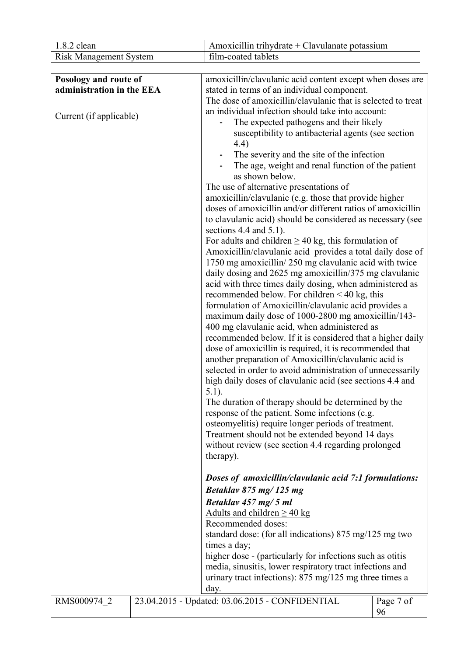| 1.8.2 clean                                        | Amoxicillin trihydrate + Clavulanate potassium                                                                                                                           |                 |
|----------------------------------------------------|--------------------------------------------------------------------------------------------------------------------------------------------------------------------------|-----------------|
| <b>Risk Management System</b>                      | film-coated tablets                                                                                                                                                      |                 |
|                                                    |                                                                                                                                                                          |                 |
| Posology and route of<br>administration in the EEA | amoxicillin/clavulanic acid content except when doses are<br>stated in terms of an individual component.<br>The dose of amoxicillin/clavulanic that is selected to treat |                 |
| Current (if applicable)                            | an individual infection should take into account:<br>The expected pathogens and their likely                                                                             |                 |
|                                                    | susceptibility to antibacterial agents (see section<br>4.4)                                                                                                              |                 |
|                                                    | The severity and the site of the infection<br>The age, weight and renal function of the patient<br>as shown below.                                                       |                 |
|                                                    | The use of alternative presentations of                                                                                                                                  |                 |
|                                                    | amoxicillin/clavulanic (e.g. those that provide higher                                                                                                                   |                 |
|                                                    | doses of amoxicillin and/or different ratios of amoxicillin<br>to clavulanic acid) should be considered as necessary (see                                                |                 |
|                                                    | sections 4.4 and $5.1$ ).                                                                                                                                                |                 |
|                                                    | For adults and children $\geq$ 40 kg, this formulation of<br>Amoxicillin/clavulanic acid provides a total daily dose of                                                  |                 |
|                                                    | 1750 mg amoxicillin/250 mg clavulanic acid with twice                                                                                                                    |                 |
|                                                    | daily dosing and 2625 mg amoxicillin/375 mg clavulanic                                                                                                                   |                 |
|                                                    | acid with three times daily dosing, when administered as                                                                                                                 |                 |
|                                                    | recommended below. For children $<$ 40 kg, this<br>formulation of Amoxicillin/clavulanic acid provides a                                                                 |                 |
|                                                    | maximum daily dose of 1000-2800 mg amoxicillin/143-                                                                                                                      |                 |
|                                                    | 400 mg clavulanic acid, when administered as                                                                                                                             |                 |
|                                                    | recommended below. If it is considered that a higher daily                                                                                                               |                 |
|                                                    | dose of amoxicillin is required, it is recommended that                                                                                                                  |                 |
|                                                    | another preparation of Amoxicillin/clavulanic acid is<br>selected in order to avoid administration of unnecessarily                                                      |                 |
|                                                    | high daily doses of clavulanic acid (see sections 4.4 and<br>$5.1$ ).                                                                                                    |                 |
|                                                    | The duration of therapy should be determined by the                                                                                                                      |                 |
|                                                    | response of the patient. Some infections (e.g.                                                                                                                           |                 |
|                                                    | osteomyelitis) require longer periods of treatment.                                                                                                                      |                 |
|                                                    | Treatment should not be extended beyond 14 days<br>without review (see section 4.4 regarding prolonged                                                                   |                 |
|                                                    | therapy).                                                                                                                                                                |                 |
|                                                    | Doses of amoxicillin/clavulanic acid 7:1 formulations:                                                                                                                   |                 |
|                                                    | Betaklay 875 mg/125 mg                                                                                                                                                   |                 |
|                                                    | Betaklav 457 mg/5 ml                                                                                                                                                     |                 |
|                                                    | Adults and children $\geq$ 40 kg                                                                                                                                         |                 |
|                                                    | Recommended doses:                                                                                                                                                       |                 |
|                                                    | standard dose: (for all indications) 875 mg/125 mg two<br>times a day;                                                                                                   |                 |
|                                                    | higher dose - (particularly for infections such as otitis                                                                                                                |                 |
|                                                    | media, sinusitis, lower respiratory tract infections and                                                                                                                 |                 |
|                                                    | urinary tract infections): $875 \text{ mg}/125 \text{ mg}$ three times a                                                                                                 |                 |
|                                                    | day.                                                                                                                                                                     |                 |
| RMS000974 2                                        | 23.04.2015 - Updated: 03.06.2015 - CONFIDENTIAL                                                                                                                          | Page 7 of<br>96 |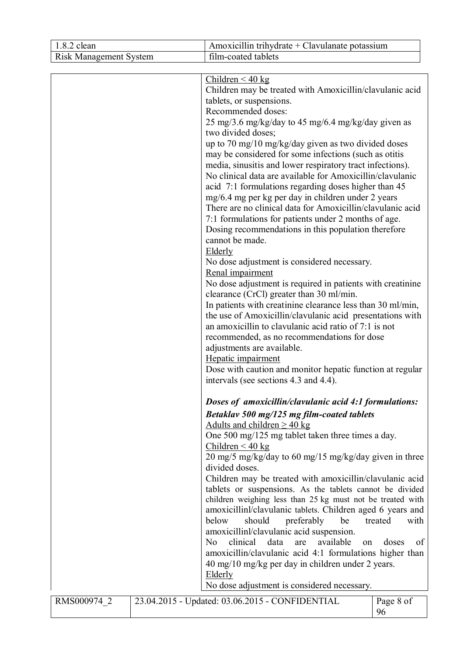| 1.8.2 clean                   | Amoxicillin trihydrate + Clavulanate potassium               |                 |
|-------------------------------|--------------------------------------------------------------|-----------------|
| <b>Risk Management System</b> | film-coated tablets                                          |                 |
|                               |                                                              |                 |
|                               | Children < 40 kg                                             |                 |
|                               | Children may be treated with Amoxicillin/clavulanic acid     |                 |
|                               | tablets, or suspensions.                                     |                 |
|                               | Recommended doses:                                           |                 |
|                               | 25 mg/3.6 mg/kg/day to 45 mg/6.4 mg/kg/day given as          |                 |
|                               | two divided doses;                                           |                 |
|                               | up to 70 mg/10 mg/kg/day given as two divided doses          |                 |
|                               | may be considered for some infections (such as otitis        |                 |
|                               | media, sinusitis and lower respiratory tract infections).    |                 |
|                               | No clinical data are available for Amoxicillin/clavulanic    |                 |
|                               | acid 7:1 formulations regarding doses higher than 45         |                 |
|                               | mg/6.4 mg per kg per day in children under 2 years           |                 |
|                               | There are no clinical data for Amoxicillin/clavulanic acid   |                 |
|                               | 7:1 formulations for patients under 2 months of age.         |                 |
|                               | Dosing recommendations in this population therefore          |                 |
|                               | cannot be made.                                              |                 |
|                               | Elderly                                                      |                 |
|                               | No dose adjustment is considered necessary.                  |                 |
|                               | Renal impairment                                             |                 |
|                               | No dose adjustment is required in patients with creatinine   |                 |
|                               | clearance (CrCl) greater than 30 ml/min.                     |                 |
|                               | In patients with creatinine clearance less than 30 ml/min,   |                 |
|                               | the use of Amoxicillin/clavulanic acid presentations with    |                 |
|                               | an amoxicillin to clavulanic acid ratio of 7:1 is not        |                 |
|                               | recommended, as no recommendations for dose                  |                 |
|                               | adjustments are available.                                   |                 |
|                               | Hepatic impairment                                           |                 |
|                               | Dose with caution and monitor hepatic function at regular    |                 |
|                               | intervals (see sections 4.3 and 4.4).                        |                 |
|                               |                                                              |                 |
|                               | Doses of amoxicillin/clavulanic acid 4:1 formulations:       |                 |
|                               | Betaklav 500 mg/125 mg film-coated tablets                   |                 |
|                               | Adults and children $\geq$ 40 kg                             |                 |
|                               | One 500 mg/125 mg tablet taken three times a day.            |                 |
|                               | Children $<$ 40 kg                                           |                 |
|                               | 20 mg/5 mg/kg/day to 60 mg/15 mg/kg/day given in three       |                 |
|                               | divided doses.                                               |                 |
|                               | Children may be treated with amoxicillin/clavulanic acid     |                 |
|                               | tablets or suspensions. As the tablets cannot be divided     |                 |
|                               | children weighing less than 25 kg must not be treated with   |                 |
|                               | amoxicillinl/clavulanic tablets. Children aged 6 years and   |                 |
|                               | below<br>should<br>preferably<br>be                          | treated<br>with |
|                               | amoxicillinl/clavulanic acid suspension.                     |                 |
|                               | clinical<br>data<br>available<br>N <sub>0</sub><br>are<br>on | doses<br>οf     |
|                               | amoxicillin/clavulanic acid 4:1 formulations higher than     |                 |
|                               | 40 mg/10 mg/kg per day in children under 2 years.            |                 |
|                               | Elderly                                                      |                 |
|                               | No dose adjustment is considered necessary.                  |                 |
|                               |                                                              |                 |
| RMS000974 2                   | 23.04.2015 - Updated: 03.06.2015 - CONFIDENTIAL              | Page 8 of       |
|                               |                                                              | 96              |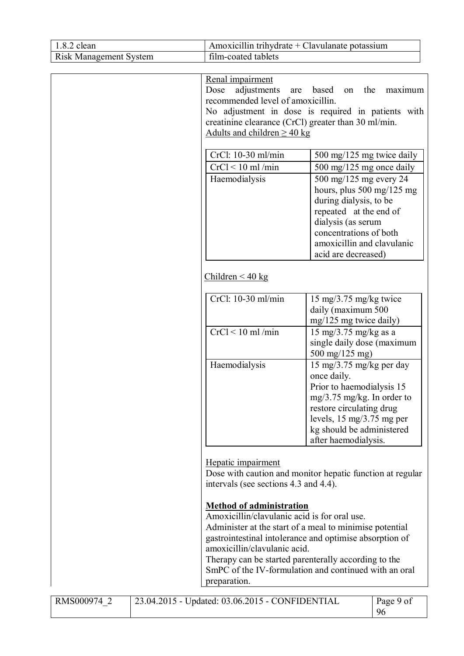| 1.8.2 clean                   | Amoxicillin trihydrate + Clavulanate potassium                                                                                                                                                                                                                                                                                                                         |                                                                                                                                                                                                                                                                       |                 |
|-------------------------------|------------------------------------------------------------------------------------------------------------------------------------------------------------------------------------------------------------------------------------------------------------------------------------------------------------------------------------------------------------------------|-----------------------------------------------------------------------------------------------------------------------------------------------------------------------------------------------------------------------------------------------------------------------|-----------------|
| <b>Risk Management System</b> | film-coated tablets                                                                                                                                                                                                                                                                                                                                                    |                                                                                                                                                                                                                                                                       |                 |
|                               | Renal impairment<br>adjustments<br>Dose<br>are<br>recommended level of amoxicillin.<br>No adjustment in dose is required in patients with<br>creatinine clearance (CrCl) greater than 30 ml/min.                                                                                                                                                                       | based<br>the<br>on                                                                                                                                                                                                                                                    | maximum         |
|                               | Adults and children $\geq$ 40 kg<br>CrCl: 10-30 ml/min<br>$CrCl < 10$ ml/min<br>Haemodialysis                                                                                                                                                                                                                                                                          | 500 mg/125 mg twice daily<br>500 mg/125 mg once daily<br>500 mg/125 mg every 24<br>hours, plus 500 mg/125 mg<br>during dialysis, to be<br>repeated at the end of<br>dialysis (as serum<br>concentrations of both<br>amoxicillin and clavulanic<br>acid are decreased) |                 |
|                               | Children $\leq 40$ kg                                                                                                                                                                                                                                                                                                                                                  |                                                                                                                                                                                                                                                                       |                 |
|                               | CrCl: 10-30 ml/min<br>$CrCl < 10$ ml/min                                                                                                                                                                                                                                                                                                                               | $15 \text{ mg}/3.75 \text{ mg/kg}$ twice<br>daily (maximum 500<br>mg/125 mg twice daily)<br>15 mg/3.75 mg/kg as a<br>single daily dose (maximum<br>500 mg/125 mg)                                                                                                     |                 |
|                               | Haemodialysis                                                                                                                                                                                                                                                                                                                                                          | 15 mg/3.75 mg/kg per day<br>once daily.<br>Prior to haemodialysis 15<br>$mg/3.75$ mg/kg. In order to<br>restore circulating drug<br>levels, $15 \text{ mg}/3.75 \text{ mg}$ per<br>kg should be administered<br>after haemodialysis.                                  |                 |
|                               | Hepatic impairment<br>Dose with caution and monitor hepatic function at regular<br>intervals (see sections 4.3 and 4.4).                                                                                                                                                                                                                                               |                                                                                                                                                                                                                                                                       |                 |
|                               | <b>Method of administration</b><br>Amoxicillin/clavulanic acid is for oral use.<br>Administer at the start of a meal to minimise potential<br>gastrointestinal intolerance and optimise absorption of<br>amoxicillin/clavulanic acid.<br>Therapy can be started parenterally according to the<br>SmPC of the IV-formulation and continued with an oral<br>preparation. |                                                                                                                                                                                                                                                                       |                 |
| RMS000974 2                   | 23.04.2015 - Updated: 03.06.2015 - CONFIDENTIAL                                                                                                                                                                                                                                                                                                                        |                                                                                                                                                                                                                                                                       | Page 9 of<br>96 |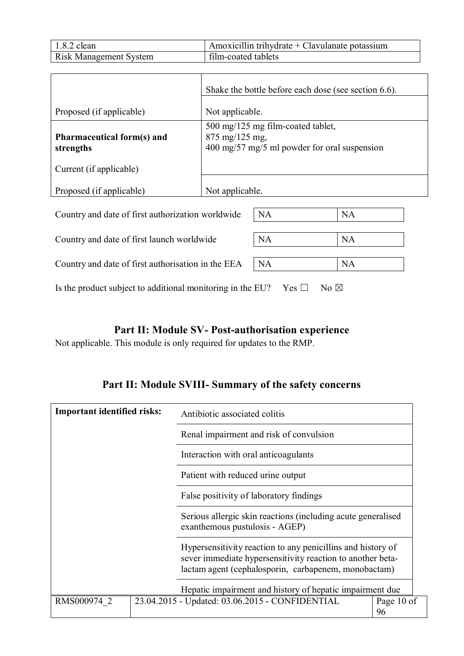| $1.8.2$ clean                 | Amoxicillin trihydrate $+$ Clavulanate potassium |
|-------------------------------|--------------------------------------------------|
| <b>Risk Management System</b> | film-coated tablets                              |

|                                                   | Shake the bottle before each dose (see section 6.6).                                                                                           |
|---------------------------------------------------|------------------------------------------------------------------------------------------------------------------------------------------------|
| Proposed (if applicable)                          | Not applicable.                                                                                                                                |
| <b>Pharmaceutical form(s) and</b><br>strengths    | 500 mg/125 mg film-coated tablet,<br>$875 \text{ mg}/125 \text{ mg}$<br>$400 \text{ mg}/57 \text{ mg}/5 \text{ ml}$ powder for oral suspension |
| Current (if applicable)                           |                                                                                                                                                |
| Proposed (if applicable)                          | Not applicable.                                                                                                                                |
| Country and date of first authorization worldwide | <b>NA</b><br><b>NA</b>                                                                                                                         |

Country and date of first launch worldwide NA NA NA

| Country and date of first authorisation in the EEA $\parallel$ NA |  | NA |
|-------------------------------------------------------------------|--|----|
|-------------------------------------------------------------------|--|----|

Is the product subject to additional monitoring in the EU? Yes  $\Box$  No  $\boxtimes$ 

# **Part II: Module SV- Post-authorisation experience**

Not applicable. This module is only required for updates to the RMP.

# **Part II: Module SVIII- Summary of the safety concerns**

| <b>Important identified risks:</b> | Antibiotic associated colitis                                                                                                                                                     |                  |
|------------------------------------|-----------------------------------------------------------------------------------------------------------------------------------------------------------------------------------|------------------|
|                                    | Renal impairment and risk of convulsion                                                                                                                                           |                  |
|                                    | Interaction with oral anticoagulants                                                                                                                                              |                  |
|                                    | Patient with reduced urine output                                                                                                                                                 |                  |
|                                    | False positivity of laboratory findings                                                                                                                                           |                  |
|                                    | Serious allergic skin reactions (including acute generalised<br>exanthemous pustulosis - AGEP)                                                                                    |                  |
|                                    | Hypersensitivity reaction to any penicillins and history of<br>sever immediate hypersensitivity reaction to another beta-<br>lactam agent (cephalosporin, carbapenem, monobactam) |                  |
|                                    | Hepatic impairment and history of hepatic impairment due                                                                                                                          |                  |
| RMS000974 2                        | 23.04.2015 - Updated: 03.06.2015 - CONFIDENTIAL                                                                                                                                   | Page 10 of<br>96 |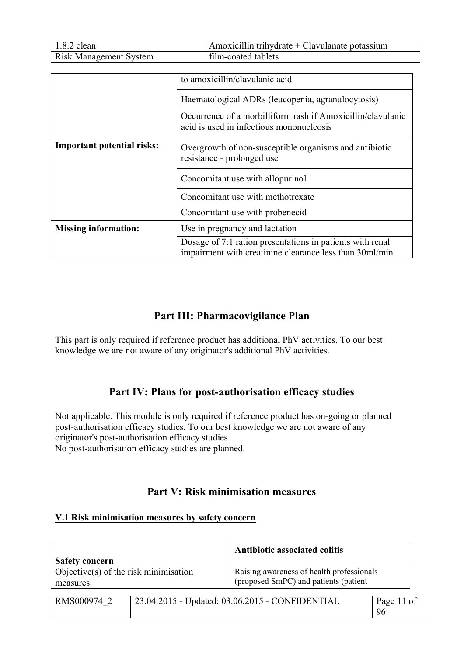| 1.8.2 clean                       | Amoxicillin trihydrate $+$ Clavulanate potassium                                                                     |  |
|-----------------------------------|----------------------------------------------------------------------------------------------------------------------|--|
| <b>Risk Management System</b>     | film-coated tablets                                                                                                  |  |
|                                   |                                                                                                                      |  |
|                                   | to amoxicillin/clavulanic acid                                                                                       |  |
|                                   | Haematological ADRs (leucopenia, agranulocytosis)                                                                    |  |
|                                   | Occurrence of a morbilliform rash if Amoxicillin/clavulanic<br>acid is used in infectious mononucleosis              |  |
| <b>Important potential risks:</b> | Overgrowth of non-susceptible organisms and antibiotic<br>resistance - prolonged use                                 |  |
|                                   | Concomitant use with allopurinol                                                                                     |  |
|                                   | Concomitant use with methotrexate                                                                                    |  |
|                                   | Concomitant use with probenecid                                                                                      |  |
| <b>Missing information:</b>       | Use in pregnancy and lactation                                                                                       |  |
|                                   | Dosage of 7:1 ration presentations in patients with renal<br>impairment with creatinine clearance less than 30ml/min |  |

## **Part III: Pharmacovigilance Plan**

This part is only required if reference product has additional PhV activities. To our best knowledge we are not aware of any originator's additional PhV activities.

### **Part IV: Plans for post-authorisation efficacy studies**

Not applicable. This module is only required if reference product has on-going or planned post-authorisation efficacy studies. To our best knowledge we are not aware of any originator's post-authorisation efficacy studies. No post-authorisation efficacy studies are planned.

### **Part V: Risk minimisation measures**

#### **V.1 Risk minimisation measures by safety concern**

|                                                      |  | Antibiotic associated colitis                                                      |            |
|------------------------------------------------------|--|------------------------------------------------------------------------------------|------------|
| <b>Safety concern</b>                                |  |                                                                                    |            |
| Objective $(s)$ of the risk minimisation<br>measures |  | Raising awareness of health professionals<br>(proposed SmPC) and patients (patient |            |
|                                                      |  |                                                                                    |            |
| RMS000974 2                                          |  | 23.04.2015 - Updated: 03.06.2015 - CONFIDENTIAL                                    | Page 11 of |
|                                                      |  |                                                                                    | 96         |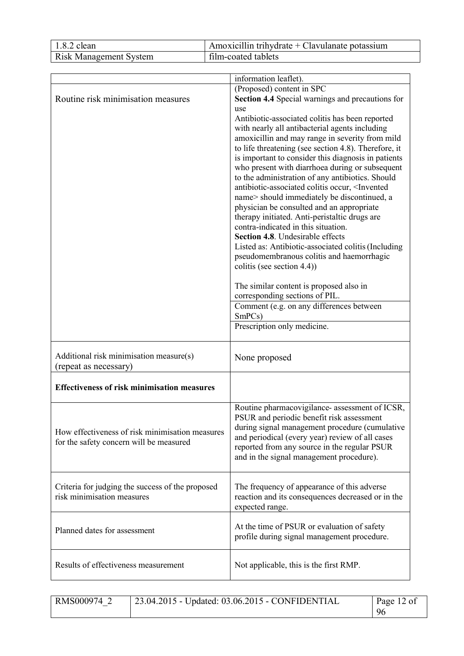| $1.8.2$ clean                 | Amoxicillin trihydrate + Clavulanate potassium |
|-------------------------------|------------------------------------------------|
| <b>Risk Management System</b> | film-coated tablets                            |

| (Proposed) content in SPC<br>Routine risk minimisation measures<br>Section 4.4 Special warnings and precautions for<br>use<br>Antibiotic-associated colitis has been reported<br>with nearly all antibacterial agents including<br>amoxicillin and may range in severity from mild<br>to life threatening (see section 4.8). Therefore, it<br>is important to consider this diagnosis in patients<br>who present with diarrhoea during or subsequent<br>to the administration of any antibiotics. Should<br>antibiotic-associated colitis occur, <invented<br>name&gt; should immediately be discontinued, a<br/>physician be consulted and an appropriate<br/>therapy initiated. Anti-peristaltic drugs are<br/>contra-indicated in this situation.<br/>Section 4.8. Undesirable effects<br/>Listed as: Antibiotic-associated colitis (Including<br/>pseudomembranous colitis and haemorrhagic<br/>colitis (see section 4.4))<br/>The similar content is proposed also in<br/>corresponding sections of PIL.<br/>Comment (e.g. on any differences between<br/>SmPCs)<br/>Prescription only medicine.<br/>Additional risk minimisation measure(s)<br/>None proposed<br/>(repeat as necessary)<br/><b>Effectiveness of risk minimisation measures</b><br/>Routine pharmacovigilance- assessment of ICSR,<br/>PSUR and periodic benefit risk assessment</invented<br> |
|---------------------------------------------------------------------------------------------------------------------------------------------------------------------------------------------------------------------------------------------------------------------------------------------------------------------------------------------------------------------------------------------------------------------------------------------------------------------------------------------------------------------------------------------------------------------------------------------------------------------------------------------------------------------------------------------------------------------------------------------------------------------------------------------------------------------------------------------------------------------------------------------------------------------------------------------------------------------------------------------------------------------------------------------------------------------------------------------------------------------------------------------------------------------------------------------------------------------------------------------------------------------------------------------------------------------------------------------------------------------|
|                                                                                                                                                                                                                                                                                                                                                                                                                                                                                                                                                                                                                                                                                                                                                                                                                                                                                                                                                                                                                                                                                                                                                                                                                                                                                                                                                                     |
|                                                                                                                                                                                                                                                                                                                                                                                                                                                                                                                                                                                                                                                                                                                                                                                                                                                                                                                                                                                                                                                                                                                                                                                                                                                                                                                                                                     |
|                                                                                                                                                                                                                                                                                                                                                                                                                                                                                                                                                                                                                                                                                                                                                                                                                                                                                                                                                                                                                                                                                                                                                                                                                                                                                                                                                                     |
|                                                                                                                                                                                                                                                                                                                                                                                                                                                                                                                                                                                                                                                                                                                                                                                                                                                                                                                                                                                                                                                                                                                                                                                                                                                                                                                                                                     |
|                                                                                                                                                                                                                                                                                                                                                                                                                                                                                                                                                                                                                                                                                                                                                                                                                                                                                                                                                                                                                                                                                                                                                                                                                                                                                                                                                                     |
|                                                                                                                                                                                                                                                                                                                                                                                                                                                                                                                                                                                                                                                                                                                                                                                                                                                                                                                                                                                                                                                                                                                                                                                                                                                                                                                                                                     |
|                                                                                                                                                                                                                                                                                                                                                                                                                                                                                                                                                                                                                                                                                                                                                                                                                                                                                                                                                                                                                                                                                                                                                                                                                                                                                                                                                                     |
|                                                                                                                                                                                                                                                                                                                                                                                                                                                                                                                                                                                                                                                                                                                                                                                                                                                                                                                                                                                                                                                                                                                                                                                                                                                                                                                                                                     |
|                                                                                                                                                                                                                                                                                                                                                                                                                                                                                                                                                                                                                                                                                                                                                                                                                                                                                                                                                                                                                                                                                                                                                                                                                                                                                                                                                                     |
|                                                                                                                                                                                                                                                                                                                                                                                                                                                                                                                                                                                                                                                                                                                                                                                                                                                                                                                                                                                                                                                                                                                                                                                                                                                                                                                                                                     |
|                                                                                                                                                                                                                                                                                                                                                                                                                                                                                                                                                                                                                                                                                                                                                                                                                                                                                                                                                                                                                                                                                                                                                                                                                                                                                                                                                                     |
|                                                                                                                                                                                                                                                                                                                                                                                                                                                                                                                                                                                                                                                                                                                                                                                                                                                                                                                                                                                                                                                                                                                                                                                                                                                                                                                                                                     |
|                                                                                                                                                                                                                                                                                                                                                                                                                                                                                                                                                                                                                                                                                                                                                                                                                                                                                                                                                                                                                                                                                                                                                                                                                                                                                                                                                                     |
|                                                                                                                                                                                                                                                                                                                                                                                                                                                                                                                                                                                                                                                                                                                                                                                                                                                                                                                                                                                                                                                                                                                                                                                                                                                                                                                                                                     |
|                                                                                                                                                                                                                                                                                                                                                                                                                                                                                                                                                                                                                                                                                                                                                                                                                                                                                                                                                                                                                                                                                                                                                                                                                                                                                                                                                                     |
|                                                                                                                                                                                                                                                                                                                                                                                                                                                                                                                                                                                                                                                                                                                                                                                                                                                                                                                                                                                                                                                                                                                                                                                                                                                                                                                                                                     |
|                                                                                                                                                                                                                                                                                                                                                                                                                                                                                                                                                                                                                                                                                                                                                                                                                                                                                                                                                                                                                                                                                                                                                                                                                                                                                                                                                                     |
|                                                                                                                                                                                                                                                                                                                                                                                                                                                                                                                                                                                                                                                                                                                                                                                                                                                                                                                                                                                                                                                                                                                                                                                                                                                                                                                                                                     |
|                                                                                                                                                                                                                                                                                                                                                                                                                                                                                                                                                                                                                                                                                                                                                                                                                                                                                                                                                                                                                                                                                                                                                                                                                                                                                                                                                                     |
|                                                                                                                                                                                                                                                                                                                                                                                                                                                                                                                                                                                                                                                                                                                                                                                                                                                                                                                                                                                                                                                                                                                                                                                                                                                                                                                                                                     |
|                                                                                                                                                                                                                                                                                                                                                                                                                                                                                                                                                                                                                                                                                                                                                                                                                                                                                                                                                                                                                                                                                                                                                                                                                                                                                                                                                                     |
|                                                                                                                                                                                                                                                                                                                                                                                                                                                                                                                                                                                                                                                                                                                                                                                                                                                                                                                                                                                                                                                                                                                                                                                                                                                                                                                                                                     |
|                                                                                                                                                                                                                                                                                                                                                                                                                                                                                                                                                                                                                                                                                                                                                                                                                                                                                                                                                                                                                                                                                                                                                                                                                                                                                                                                                                     |
|                                                                                                                                                                                                                                                                                                                                                                                                                                                                                                                                                                                                                                                                                                                                                                                                                                                                                                                                                                                                                                                                                                                                                                                                                                                                                                                                                                     |
|                                                                                                                                                                                                                                                                                                                                                                                                                                                                                                                                                                                                                                                                                                                                                                                                                                                                                                                                                                                                                                                                                                                                                                                                                                                                                                                                                                     |
|                                                                                                                                                                                                                                                                                                                                                                                                                                                                                                                                                                                                                                                                                                                                                                                                                                                                                                                                                                                                                                                                                                                                                                                                                                                                                                                                                                     |
|                                                                                                                                                                                                                                                                                                                                                                                                                                                                                                                                                                                                                                                                                                                                                                                                                                                                                                                                                                                                                                                                                                                                                                                                                                                                                                                                                                     |
|                                                                                                                                                                                                                                                                                                                                                                                                                                                                                                                                                                                                                                                                                                                                                                                                                                                                                                                                                                                                                                                                                                                                                                                                                                                                                                                                                                     |
|                                                                                                                                                                                                                                                                                                                                                                                                                                                                                                                                                                                                                                                                                                                                                                                                                                                                                                                                                                                                                                                                                                                                                                                                                                                                                                                                                                     |
|                                                                                                                                                                                                                                                                                                                                                                                                                                                                                                                                                                                                                                                                                                                                                                                                                                                                                                                                                                                                                                                                                                                                                                                                                                                                                                                                                                     |
|                                                                                                                                                                                                                                                                                                                                                                                                                                                                                                                                                                                                                                                                                                                                                                                                                                                                                                                                                                                                                                                                                                                                                                                                                                                                                                                                                                     |
|                                                                                                                                                                                                                                                                                                                                                                                                                                                                                                                                                                                                                                                                                                                                                                                                                                                                                                                                                                                                                                                                                                                                                                                                                                                                                                                                                                     |
|                                                                                                                                                                                                                                                                                                                                                                                                                                                                                                                                                                                                                                                                                                                                                                                                                                                                                                                                                                                                                                                                                                                                                                                                                                                                                                                                                                     |
|                                                                                                                                                                                                                                                                                                                                                                                                                                                                                                                                                                                                                                                                                                                                                                                                                                                                                                                                                                                                                                                                                                                                                                                                                                                                                                                                                                     |
| during signal management procedure (cumulative                                                                                                                                                                                                                                                                                                                                                                                                                                                                                                                                                                                                                                                                                                                                                                                                                                                                                                                                                                                                                                                                                                                                                                                                                                                                                                                      |
| How effectiveness of risk minimisation measures<br>and periodical (every year) review of all cases                                                                                                                                                                                                                                                                                                                                                                                                                                                                                                                                                                                                                                                                                                                                                                                                                                                                                                                                                                                                                                                                                                                                                                                                                                                                  |
| for the safety concern will be measured<br>reported from any source in the regular PSUR                                                                                                                                                                                                                                                                                                                                                                                                                                                                                                                                                                                                                                                                                                                                                                                                                                                                                                                                                                                                                                                                                                                                                                                                                                                                             |
| and in the signal management procedure).                                                                                                                                                                                                                                                                                                                                                                                                                                                                                                                                                                                                                                                                                                                                                                                                                                                                                                                                                                                                                                                                                                                                                                                                                                                                                                                            |
|                                                                                                                                                                                                                                                                                                                                                                                                                                                                                                                                                                                                                                                                                                                                                                                                                                                                                                                                                                                                                                                                                                                                                                                                                                                                                                                                                                     |
|                                                                                                                                                                                                                                                                                                                                                                                                                                                                                                                                                                                                                                                                                                                                                                                                                                                                                                                                                                                                                                                                                                                                                                                                                                                                                                                                                                     |
| Criteria for judging the success of the proposed<br>The frequency of appearance of this adverse                                                                                                                                                                                                                                                                                                                                                                                                                                                                                                                                                                                                                                                                                                                                                                                                                                                                                                                                                                                                                                                                                                                                                                                                                                                                     |
| risk minimisation measures<br>reaction and its consequences decreased or in the                                                                                                                                                                                                                                                                                                                                                                                                                                                                                                                                                                                                                                                                                                                                                                                                                                                                                                                                                                                                                                                                                                                                                                                                                                                                                     |
| expected range.                                                                                                                                                                                                                                                                                                                                                                                                                                                                                                                                                                                                                                                                                                                                                                                                                                                                                                                                                                                                                                                                                                                                                                                                                                                                                                                                                     |
|                                                                                                                                                                                                                                                                                                                                                                                                                                                                                                                                                                                                                                                                                                                                                                                                                                                                                                                                                                                                                                                                                                                                                                                                                                                                                                                                                                     |
| At the time of PSUR or evaluation of safety<br>Planned dates for assessment                                                                                                                                                                                                                                                                                                                                                                                                                                                                                                                                                                                                                                                                                                                                                                                                                                                                                                                                                                                                                                                                                                                                                                                                                                                                                         |
| profile during signal management procedure.                                                                                                                                                                                                                                                                                                                                                                                                                                                                                                                                                                                                                                                                                                                                                                                                                                                                                                                                                                                                                                                                                                                                                                                                                                                                                                                         |
|                                                                                                                                                                                                                                                                                                                                                                                                                                                                                                                                                                                                                                                                                                                                                                                                                                                                                                                                                                                                                                                                                                                                                                                                                                                                                                                                                                     |
| Results of effectiveness measurement                                                                                                                                                                                                                                                                                                                                                                                                                                                                                                                                                                                                                                                                                                                                                                                                                                                                                                                                                                                                                                                                                                                                                                                                                                                                                                                                |
| Not applicable, this is the first RMP.                                                                                                                                                                                                                                                                                                                                                                                                                                                                                                                                                                                                                                                                                                                                                                                                                                                                                                                                                                                                                                                                                                                                                                                                                                                                                                                              |

| RMS000974 2 | 23.04.2015 - Updated: 03.06.2015 - CONFIDENTIAL | Page 12 of |
|-------------|-------------------------------------------------|------------|
|             |                                                 | -96        |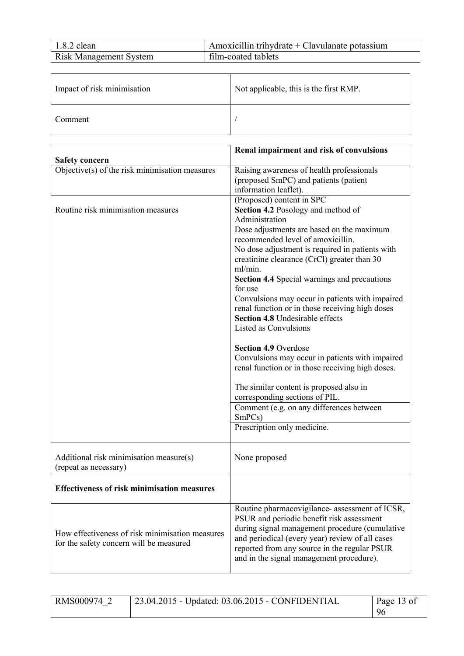| $1.8.2$ clean                 | Amoxicillin trihydrate $+$ Clavulanate potassium |
|-------------------------------|--------------------------------------------------|
| <b>Risk Management System</b> | film-coated tablets                              |

| Impact of risk minimisation | Not applicable, this is the first RMP. |
|-----------------------------|----------------------------------------|
| Comment                     |                                        |

|                                                    | Renal impairment and risk of convulsions             |
|----------------------------------------------------|------------------------------------------------------|
| <b>Safety concern</b>                              |                                                      |
| Objective(s) of the risk minimisation measures     | Raising awareness of health professionals            |
|                                                    | (proposed SmPC) and patients (patient                |
|                                                    | information leaflet).                                |
|                                                    | (Proposed) content in SPC                            |
| Routine risk minimisation measures                 | Section 4.2 Posology and method of<br>Administration |
|                                                    | Dose adjustments are based on the maximum            |
|                                                    | recommended level of amoxicillin.                    |
|                                                    | No dose adjustment is required in patients with      |
|                                                    | creatinine clearance (CrCl) greater than 30          |
|                                                    | ml/min.                                              |
|                                                    | <b>Section 4.4 Special warnings and precautions</b>  |
|                                                    | for use                                              |
|                                                    | Convulsions may occur in patients with impaired      |
|                                                    | renal function or in those receiving high doses      |
|                                                    | Section 4.8 Undesirable effects                      |
|                                                    | <b>Listed as Convulsions</b>                         |
|                                                    | <b>Section 4.9 Overdose</b>                          |
|                                                    | Convulsions may occur in patients with impaired      |
|                                                    | renal function or in those receiving high doses.     |
|                                                    |                                                      |
|                                                    | The similar content is proposed also in              |
|                                                    | corresponding sections of PIL.                       |
|                                                    | Comment (e.g. on any differences between             |
|                                                    | SmPCs)                                               |
|                                                    | Prescription only medicine.                          |
| Additional risk minimisation measure(s)            | None proposed                                        |
| (repeat as necessary)                              |                                                      |
|                                                    |                                                      |
| <b>Effectiveness of risk minimisation measures</b> |                                                      |
|                                                    | Routine pharmacovigilance- assessment of ICSR,       |
|                                                    | PSUR and periodic benefit risk assessment            |
| How effectiveness of risk minimisation measures    | during signal management procedure (cumulative       |
| for the safety concern will be measured            | and periodical (every year) review of all cases      |
|                                                    | reported from any source in the regular PSUR         |
|                                                    | and in the signal management procedure).             |

| RMS000974 | 23.04.2015 - Updated: 03.06.2015 - CONFIDENTIAL | Page 13 of |
|-----------|-------------------------------------------------|------------|
|           |                                                 | 96         |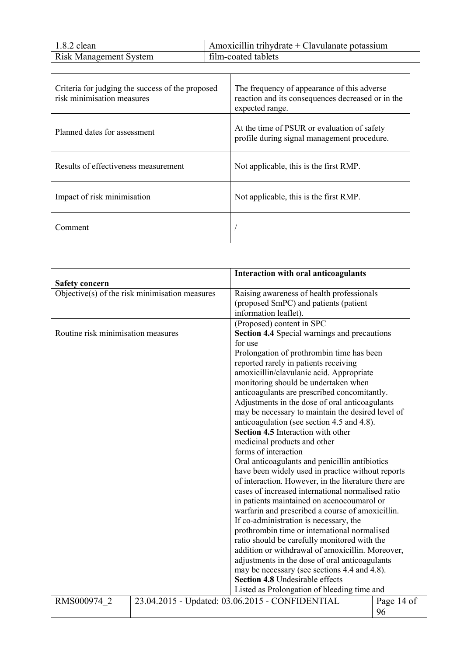| $1.8.2$ clean                 | Amoxicillin trihydrate + Clavulanate potassium |
|-------------------------------|------------------------------------------------|
| <b>Risk Management System</b> | film-coated tablets                            |

| Criteria for judging the success of the proposed<br>risk minimisation measures | The frequency of appearance of this adverse<br>reaction and its consequences decreased or in the<br>expected range. |
|--------------------------------------------------------------------------------|---------------------------------------------------------------------------------------------------------------------|
| Planned dates for assessment                                                   | At the time of PSUR or evaluation of safety<br>profile during signal management procedure.                          |
| Results of effectiveness measurement                                           | Not applicable, this is the first RMP.                                                                              |
| Impact of risk minimisation                                                    | Not applicable, this is the first RMP.                                                                              |
| Comment                                                                        |                                                                                                                     |

| <b>Safety concern</b>                          | Interaction with oral anticoagulants                                                                                                                                                                                                                                                                                                                                                                                                                                                                      |            |
|------------------------------------------------|-----------------------------------------------------------------------------------------------------------------------------------------------------------------------------------------------------------------------------------------------------------------------------------------------------------------------------------------------------------------------------------------------------------------------------------------------------------------------------------------------------------|------------|
| Objective(s) of the risk minimisation measures | Raising awareness of health professionals<br>(proposed SmPC) and patients (patient<br>information leaflet).                                                                                                                                                                                                                                                                                                                                                                                               |            |
| Routine risk minimisation measures             | (Proposed) content in SPC<br>Section 4.4 Special warnings and precautions<br>for use<br>Prolongation of prothrombin time has been<br>reported rarely in patients receiving<br>amoxicillin/clavulanic acid. Appropriate<br>monitoring should be undertaken when<br>anticoagulants are prescribed concomitantly.<br>Adjustments in the dose of oral anticoagulants<br>may be necessary to maintain the desired level of<br>anticoagulation (see section 4.5 and 4.8).<br>Section 4.5 Interaction with other |            |
|                                                | medicinal products and other<br>forms of interaction<br>Oral anticoagulants and penicillin antibiotics<br>have been widely used in practice without reports<br>of interaction. However, in the literature there are<br>cases of increased international normalised ratio<br>in patients maintained on acenocoumarol or<br>warfarin and prescribed a course of amoxicillin.<br>If co-administration is necessary, the                                                                                      |            |
|                                                | prothrombin time or international normalised<br>ratio should be carefully monitored with the<br>addition or withdrawal of amoxicillin. Moreover,<br>adjustments in the dose of oral anticoagulants<br>may be necessary (see sections 4.4 and 4.8).<br>Section 4.8 Undesirable effects<br>Listed as Prolongation of bleeding time and                                                                                                                                                                      |            |
| RMS000974 2                                    | 23.04.2015 - Updated: 03.06.2015 - CONFIDENTIAL<br>96                                                                                                                                                                                                                                                                                                                                                                                                                                                     | Page 14 of |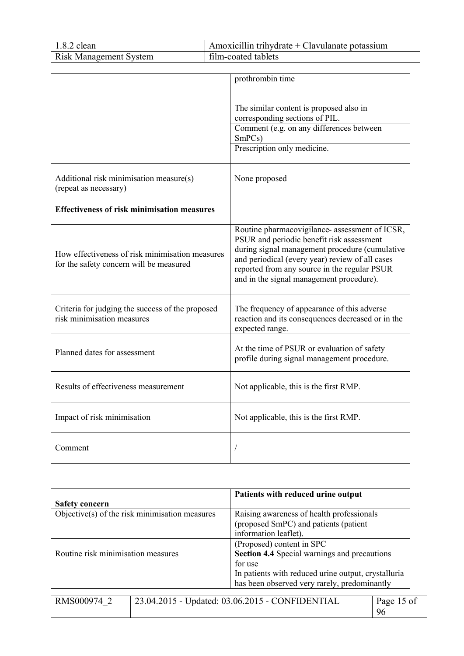| $1.8.2$ clean                 | Amoxicillin trihydrate $+$ Clavulanate potassium |
|-------------------------------|--------------------------------------------------|
| <b>Risk Management System</b> | film-coated tablets                              |

|                                                                                            | prothrombin time                                                                            |
|--------------------------------------------------------------------------------------------|---------------------------------------------------------------------------------------------|
|                                                                                            |                                                                                             |
|                                                                                            | The similar content is proposed also in                                                     |
|                                                                                            | corresponding sections of PIL.                                                              |
|                                                                                            | Comment (e.g. on any differences between                                                    |
|                                                                                            | SmPCs)                                                                                      |
|                                                                                            | Prescription only medicine.                                                                 |
|                                                                                            |                                                                                             |
| Additional risk minimisation measure(s)                                                    | None proposed                                                                               |
| (repeat as necessary)                                                                      |                                                                                             |
|                                                                                            |                                                                                             |
| <b>Effectiveness of risk minimisation measures</b>                                         |                                                                                             |
|                                                                                            |                                                                                             |
|                                                                                            | Routine pharmacovigilance- assessment of ICSR,<br>PSUR and periodic benefit risk assessment |
|                                                                                            | during signal management procedure (cumulative                                              |
| How effectiveness of risk minimisation measures<br>for the safety concern will be measured | and periodical (every year) review of all cases                                             |
|                                                                                            | reported from any source in the regular PSUR                                                |
|                                                                                            | and in the signal management procedure).                                                    |
|                                                                                            |                                                                                             |
| Criteria for judging the success of the proposed                                           | The frequency of appearance of this adverse                                                 |
| risk minimisation measures                                                                 | reaction and its consequences decreased or in the                                           |
|                                                                                            | expected range.                                                                             |
|                                                                                            | At the time of PSUR or evaluation of safety                                                 |
| Planned dates for assessment                                                               | profile during signal management procedure.                                                 |
|                                                                                            |                                                                                             |
| Results of effectiveness measurement                                                       | Not applicable, this is the first RMP.                                                      |
|                                                                                            |                                                                                             |
|                                                                                            |                                                                                             |
| Impact of risk minimisation                                                                | Not applicable, this is the first RMP.                                                      |
|                                                                                            |                                                                                             |
| Comment                                                                                    |                                                                                             |
|                                                                                            |                                                                                             |

|                                                | Patients with reduced urine output                                              |
|------------------------------------------------|---------------------------------------------------------------------------------|
| <b>Safety concern</b>                          |                                                                                 |
| Objective(s) of the risk minimisation measures | Raising awareness of health professionals                                       |
|                                                | (proposed SmPC) and patients (patient                                           |
|                                                | information leaflet).                                                           |
|                                                | (Proposed) content in SPC                                                       |
| Routine risk minimisation measures             | Section 4.4 Special warnings and precautions                                    |
|                                                | for use                                                                         |
|                                                | In patients with reduced urine output, crystalluria                             |
|                                                | has been observed very rarely, predominantly                                    |
|                                                |                                                                                 |
| RMS000974                                      | 23.04.2015 - Undated: 03.06.2015 - CONFIDENTIAL<br>P <sub>20</sub> $\geq$ 15 of |

| RMS000974 2 | $\frac{1}{23.04.2015}$ - Updated: 03.06.2015 - CONFIDENTIAL | Page 15 of |
|-------------|-------------------------------------------------------------|------------|
|             |                                                             | 96         |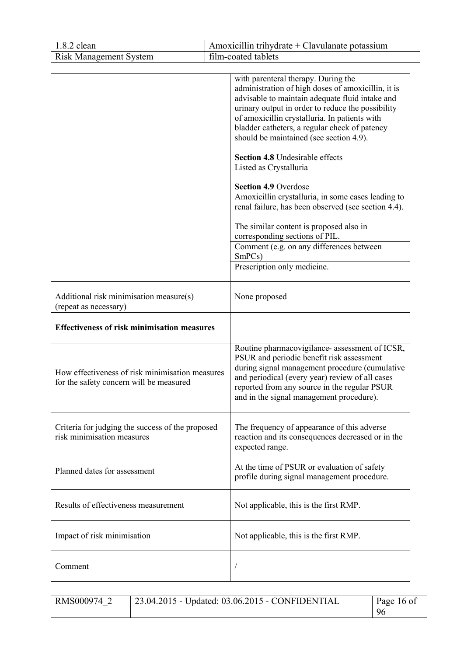| 1.8.2 clean                                                                                                                                      | Amoxicillin trihydrate + Clavulanate potassium                                                                                                                                                                                                                                                                                                                                                                                                                                                                                                                                                                                                                                                                            |
|--------------------------------------------------------------------------------------------------------------------------------------------------|---------------------------------------------------------------------------------------------------------------------------------------------------------------------------------------------------------------------------------------------------------------------------------------------------------------------------------------------------------------------------------------------------------------------------------------------------------------------------------------------------------------------------------------------------------------------------------------------------------------------------------------------------------------------------------------------------------------------------|
| <b>Risk Management System</b>                                                                                                                    | film-coated tablets                                                                                                                                                                                                                                                                                                                                                                                                                                                                                                                                                                                                                                                                                                       |
|                                                                                                                                                  | with parenteral therapy. During the<br>administration of high doses of amoxicillin, it is<br>advisable to maintain adequate fluid intake and<br>urinary output in order to reduce the possibility<br>of amoxicillin crystalluria. In patients with<br>bladder catheters, a regular check of patency<br>should be maintained (see section 4.9).<br>Section 4.8 Undesirable effects<br>Listed as Crystalluria<br><b>Section 4.9 Overdose</b><br>Amoxicillin crystalluria, in some cases leading to<br>renal failure, has been observed (see section 4.4).<br>The similar content is proposed also in<br>corresponding sections of PIL.<br>Comment (e.g. on any differences between<br>SmPCs)<br>Prescription only medicine. |
| Additional risk minimisation measure(s)<br>(repeat as necessary)                                                                                 | None proposed                                                                                                                                                                                                                                                                                                                                                                                                                                                                                                                                                                                                                                                                                                             |
| <b>Effectiveness of risk minimisation measures</b><br>How effectiveness of risk minimisation measures<br>for the safety concern will be measured | Routine pharmacovigilance- assessment of ICSR,<br>PSUR and periodic benefit risk assessment<br>during signal management procedure (cumulative<br>and periodical (every year) review of all cases<br>reported from any source in the regular PSUR<br>and in the signal management procedure).                                                                                                                                                                                                                                                                                                                                                                                                                              |
| Criteria for judging the success of the proposed<br>risk minimisation measures                                                                   | The frequency of appearance of this adverse<br>reaction and its consequences decreased or in the<br>expected range.                                                                                                                                                                                                                                                                                                                                                                                                                                                                                                                                                                                                       |
| Planned dates for assessment                                                                                                                     | At the time of PSUR or evaluation of safety<br>profile during signal management procedure.                                                                                                                                                                                                                                                                                                                                                                                                                                                                                                                                                                                                                                |
| Results of effectiveness measurement                                                                                                             | Not applicable, this is the first RMP.                                                                                                                                                                                                                                                                                                                                                                                                                                                                                                                                                                                                                                                                                    |
| Impact of risk minimisation                                                                                                                      | Not applicable, this is the first RMP.                                                                                                                                                                                                                                                                                                                                                                                                                                                                                                                                                                                                                                                                                    |
| Comment                                                                                                                                          |                                                                                                                                                                                                                                                                                                                                                                                                                                                                                                                                                                                                                                                                                                                           |

| RMS000974 2 | 23.04.2015 - Updated: 03.06.2015 - CONFIDENTIAL | Page 16 of |
|-------------|-------------------------------------------------|------------|
|             |                                                 | 96         |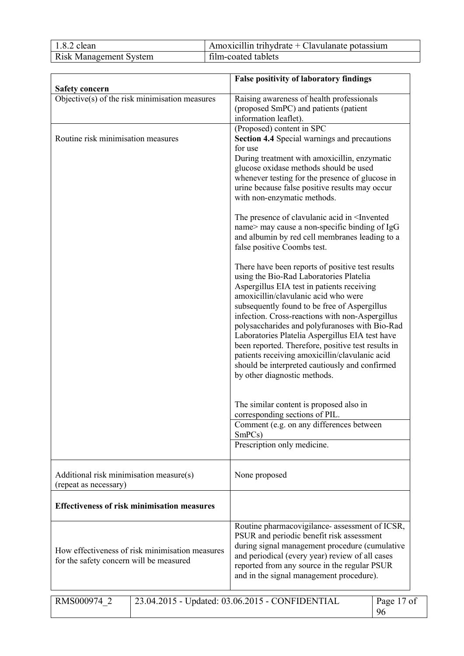| $1.8.2$ clean                 | Amoxicillin trihydrate $+$ Clavulanate potassium |
|-------------------------------|--------------------------------------------------|
| <b>Risk Management System</b> | film-coated tablets                              |

|                                                                                            | <b>False positivity of laboratory findings</b>                                                                                                                                                                                                                                                                                                                                                                                                                                                                                                                                      |  |
|--------------------------------------------------------------------------------------------|-------------------------------------------------------------------------------------------------------------------------------------------------------------------------------------------------------------------------------------------------------------------------------------------------------------------------------------------------------------------------------------------------------------------------------------------------------------------------------------------------------------------------------------------------------------------------------------|--|
| <b>Safety concern</b>                                                                      |                                                                                                                                                                                                                                                                                                                                                                                                                                                                                                                                                                                     |  |
| Objective(s) of the risk minimisation measures                                             | Raising awareness of health professionals<br>(proposed SmPC) and patients (patient<br>information leaflet).                                                                                                                                                                                                                                                                                                                                                                                                                                                                         |  |
|                                                                                            | (Proposed) content in SPC                                                                                                                                                                                                                                                                                                                                                                                                                                                                                                                                                           |  |
| Routine risk minimisation measures                                                         | <b>Section 4.4 Special warnings and precautions</b>                                                                                                                                                                                                                                                                                                                                                                                                                                                                                                                                 |  |
|                                                                                            | for use<br>During treatment with amoxicillin, enzymatic<br>glucose oxidase methods should be used<br>whenever testing for the presence of glucose in<br>urine because false positive results may occur<br>with non-enzymatic methods.                                                                                                                                                                                                                                                                                                                                               |  |
|                                                                                            | The presence of clavulanic acid in <invented<br>name&gt; may cause a non-specific binding of IgG<br/>and albumin by red cell membranes leading to a<br/>false positive Coombs test.</invented<br>                                                                                                                                                                                                                                                                                                                                                                                   |  |
|                                                                                            | There have been reports of positive test results<br>using the Bio-Rad Laboratories Platelia<br>Aspergillus EIA test in patients receiving<br>amoxicillin/clavulanic acid who were<br>subsequently found to be free of Aspergillus<br>infection. Cross-reactions with non-Aspergillus<br>polysaccharides and polyfuranoses with Bio-Rad<br>Laboratories Platelia Aspergillus EIA test have<br>been reported. Therefore, positive test results in<br>patients receiving amoxicillin/clavulanic acid<br>should be interpreted cautiously and confirmed<br>by other diagnostic methods. |  |
|                                                                                            | The similar content is proposed also in<br>corresponding sections of PIL.                                                                                                                                                                                                                                                                                                                                                                                                                                                                                                           |  |
|                                                                                            | Comment (e.g. on any differences between<br>SmPCs)                                                                                                                                                                                                                                                                                                                                                                                                                                                                                                                                  |  |
|                                                                                            | Prescription only medicine.                                                                                                                                                                                                                                                                                                                                                                                                                                                                                                                                                         |  |
| Additional risk minimisation measure(s)<br>(repeat as necessary)                           | None proposed                                                                                                                                                                                                                                                                                                                                                                                                                                                                                                                                                                       |  |
| <b>Effectiveness of risk minimisation measures</b>                                         |                                                                                                                                                                                                                                                                                                                                                                                                                                                                                                                                                                                     |  |
| How effectiveness of risk minimisation measures<br>for the safety concern will be measured | Routine pharmacovigilance- assessment of ICSR,<br>PSUR and periodic benefit risk assessment<br>during signal management procedure (cumulative<br>and periodical (every year) review of all cases<br>reported from any source in the regular PSUR<br>and in the signal management procedure).                                                                                                                                                                                                                                                                                        |  |
| RMS000974 2                                                                                | 23.04.2015 - Updated: 03.06.2015 - CONFIDENTIAL<br>Page 17 of<br>96                                                                                                                                                                                                                                                                                                                                                                                                                                                                                                                 |  |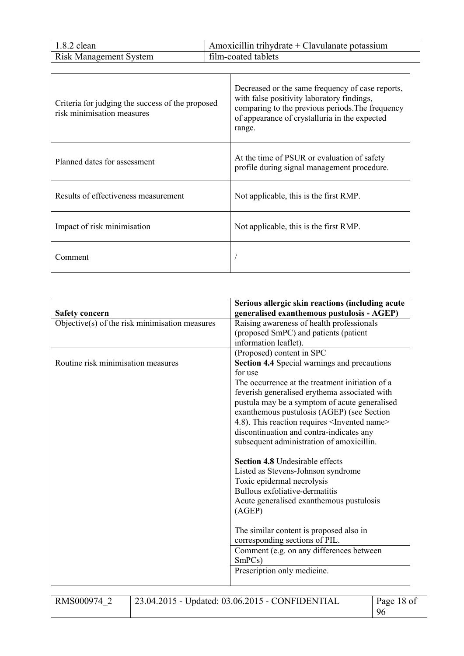| $1.8.2$ clean                 | Amoxicillin trihydrate $+$ Clavulanate potassium |
|-------------------------------|--------------------------------------------------|
| <b>Risk Management System</b> | film-coated tablets                              |

| Criteria for judging the success of the proposed<br>risk minimisation measures | Decreased or the same frequency of case reports,<br>with false positivity laboratory findings,<br>comparing to the previous periods. The frequency<br>of appearance of crystalluria in the expected<br>range. |
|--------------------------------------------------------------------------------|---------------------------------------------------------------------------------------------------------------------------------------------------------------------------------------------------------------|
| Planned dates for assessment                                                   | At the time of PSUR or evaluation of safety<br>profile during signal management procedure.                                                                                                                    |
| Results of effectiveness measurement                                           | Not applicable, this is the first RMP.                                                                                                                                                                        |
| Impact of risk minimisation                                                    | Not applicable, this is the first RMP.                                                                                                                                                                        |
| Comment                                                                        |                                                                                                                                                                                                               |

|                                                | Serious allergic skin reactions (including acute           |
|------------------------------------------------|------------------------------------------------------------|
| <b>Safety concern</b>                          | generalised exanthemous pustulosis - AGEP)                 |
| Objective(s) of the risk minimisation measures | Raising awareness of health professionals                  |
|                                                | (proposed SmPC) and patients (patient                      |
|                                                | information leaflet).                                      |
|                                                | (Proposed) content in SPC                                  |
| Routine risk minimisation measures             | <b>Section 4.4 Special warnings and precautions</b>        |
|                                                | for use                                                    |
|                                                | The occurrence at the treatment initiation of a            |
|                                                | feverish generalised erythema associated with              |
|                                                | pustula may be a symptom of acute generalised              |
|                                                | exanthemous pustulosis (AGEP) (see Section                 |
|                                                | 4.8). This reaction requires <invented name=""></invented> |
|                                                | discontinuation and contra-indicates any                   |
|                                                | subsequent administration of amoxicillin.                  |
|                                                |                                                            |
|                                                | <b>Section 4.8 Undesirable effects</b>                     |
|                                                | Listed as Stevens-Johnson syndrome                         |
|                                                | Toxic epidermal necrolysis                                 |
|                                                | Bullous exfoliative-dermatitis                             |
|                                                |                                                            |
|                                                | Acute generalised exanthemous pustulosis                   |
|                                                | (AGEP)                                                     |
|                                                |                                                            |
|                                                | The similar content is proposed also in                    |
|                                                | corresponding sections of PIL.                             |
|                                                | Comment (e.g. on any differences between                   |
|                                                | SmPCs)                                                     |
|                                                | Prescription only medicine.                                |
|                                                |                                                            |

RMS000974\_2 23.04.2015 - Updated: 03.06.2015 - CONFIDENTIAL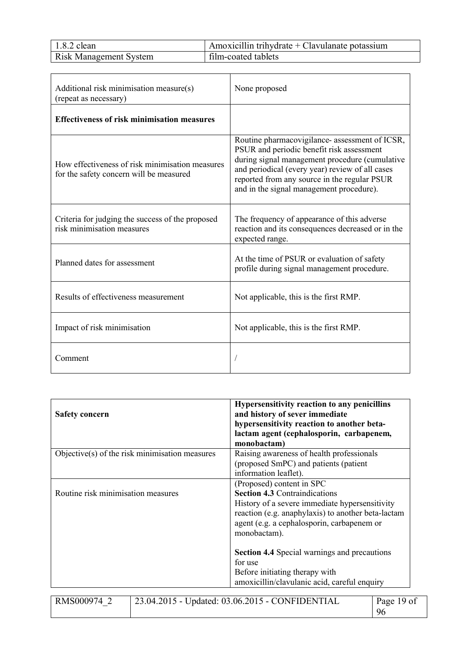| $1.8.2$ clean                 | Amoxicillin trihydrate + Clavulanate potassium |
|-------------------------------|------------------------------------------------|
| <b>Risk Management System</b> | film-coated tablets                            |

| Additional risk minimisation measure(s)<br>(repeat as necessary)                           | None proposed                                                                                                                                                                                                                                                                                |  |
|--------------------------------------------------------------------------------------------|----------------------------------------------------------------------------------------------------------------------------------------------------------------------------------------------------------------------------------------------------------------------------------------------|--|
| <b>Effectiveness of risk minimisation measures</b>                                         |                                                                                                                                                                                                                                                                                              |  |
| How effectiveness of risk minimisation measures<br>for the safety concern will be measured | Routine pharmacovigilance- assessment of ICSR,<br>PSUR and periodic benefit risk assessment<br>during signal management procedure (cumulative<br>and periodical (every year) review of all cases<br>reported from any source in the regular PSUR<br>and in the signal management procedure). |  |
| Criteria for judging the success of the proposed<br>risk minimisation measures             | The frequency of appearance of this adverse<br>reaction and its consequences decreased or in the<br>expected range.                                                                                                                                                                          |  |
| Planned dates for assessment                                                               | At the time of PSUR or evaluation of safety<br>profile during signal management procedure.                                                                                                                                                                                                   |  |
| Results of effectiveness measurement                                                       | Not applicable, this is the first RMP.                                                                                                                                                                                                                                                       |  |
| Impact of risk minimisation                                                                | Not applicable, this is the first RMP.                                                                                                                                                                                                                                                       |  |
| Comment                                                                                    |                                                                                                                                                                                                                                                                                              |  |

| <b>Safety concern</b>              |                                                | Hypersensitivity reaction to any penicillins<br>and history of sever immediate<br>hypersensitivity reaction to another beta-<br>lactam agent (cephalosporin, carbapenem,<br>monobactam)                                                                                                        |                  |
|------------------------------------|------------------------------------------------|------------------------------------------------------------------------------------------------------------------------------------------------------------------------------------------------------------------------------------------------------------------------------------------------|------------------|
|                                    | Objective(s) of the risk minimisation measures | Raising awareness of health professionals<br>(proposed SmPC) and patients (patient<br>information leaflet).                                                                                                                                                                                    |                  |
| Routine risk minimisation measures |                                                | (Proposed) content in SPC<br><b>Section 4.3 Contraindications</b><br>History of a severe immediate hypersensitivity<br>reaction (e.g. anaphylaxis) to another beta-lactam<br>agent (e.g. a cephalosporin, carbapenem or<br>monobactam).<br><b>Section 4.4 Special warnings and precautions</b> |                  |
|                                    |                                                | for use<br>Before initiating therapy with<br>amoxicillin/clavulanic acid, careful enquiry                                                                                                                                                                                                      |                  |
| RMS000974 2                        |                                                | 23.04.2015 - Updated: 03.06.2015 - CONFIDENTIAL                                                                                                                                                                                                                                                | Page 19 of<br>96 |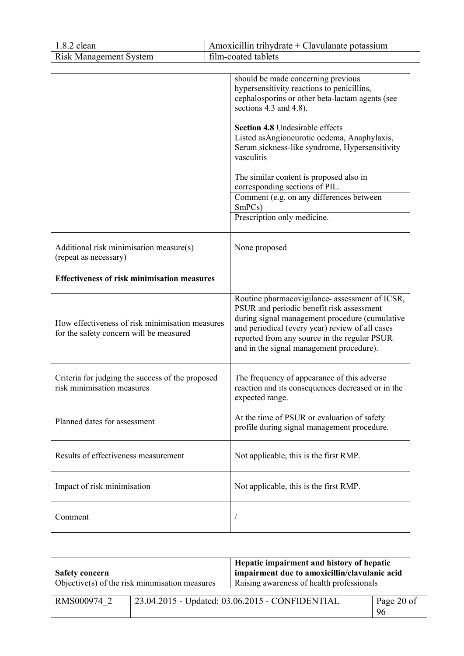| 1.8.2 clean                                                                                | Amoxicillin trihydrate + Clavulanate potassium                                                                                                                                                                                                                                                                                                                                                                                                                                            |
|--------------------------------------------------------------------------------------------|-------------------------------------------------------------------------------------------------------------------------------------------------------------------------------------------------------------------------------------------------------------------------------------------------------------------------------------------------------------------------------------------------------------------------------------------------------------------------------------------|
| <b>Risk Management System</b>                                                              | film-coated tablets                                                                                                                                                                                                                                                                                                                                                                                                                                                                       |
|                                                                                            | should be made concerning previous<br>hypersensitivity reactions to penicillins,<br>cephalosporins or other beta-lactam agents (see<br>sections 4.3 and 4.8).<br><b>Section 4.8 Undesirable effects</b><br>Listed as Angioneurotic oedema, Anaphylaxis,<br>Serum sickness-like syndrome, Hypersensitivity<br>vasculitis<br>The similar content is proposed also in<br>corresponding sections of PIL.<br>Comment (e.g. on any differences between<br>SmPCs)<br>Prescription only medicine. |
| Additional risk minimisation measure(s)<br>(repeat as necessary)                           | None proposed                                                                                                                                                                                                                                                                                                                                                                                                                                                                             |
| <b>Effectiveness of risk minimisation measures</b>                                         |                                                                                                                                                                                                                                                                                                                                                                                                                                                                                           |
| How effectiveness of risk minimisation measures<br>for the safety concern will be measured | Routine pharmacovigilance- assessment of ICSR,<br>PSUR and periodic benefit risk assessment<br>during signal management procedure (cumulative<br>and periodical (every year) review of all cases<br>reported from any source in the regular PSUR<br>and in the signal management procedure).                                                                                                                                                                                              |
| Criteria for judging the success of the proposed<br>risk minimisation measures             | The frequency of appearance of this adverse<br>reaction and its consequences decreased or in the<br>expected range.                                                                                                                                                                                                                                                                                                                                                                       |
| Planned dates for assessment                                                               | At the time of PSUR or evaluation of safety<br>profile during signal management procedure.                                                                                                                                                                                                                                                                                                                                                                                                |
| Results of effectiveness measurement                                                       | Not applicable, this is the first RMP.                                                                                                                                                                                                                                                                                                                                                                                                                                                    |
| Impact of risk minimisation                                                                | Not applicable, this is the first RMP.                                                                                                                                                                                                                                                                                                                                                                                                                                                    |
| Comment                                                                                    |                                                                                                                                                                                                                                                                                                                                                                                                                                                                                           |

| Hepatic impairment and history of hepatic<br>impairment due to amoxicillin/clavulanic acid<br><b>Safety concern</b> |                                                |                                                 |                  |
|---------------------------------------------------------------------------------------------------------------------|------------------------------------------------|-------------------------------------------------|------------------|
|                                                                                                                     | Objective(s) of the risk minimisation measures | Raising awareness of health professionals       |                  |
| RMS000974 2                                                                                                         |                                                | 23.04.2015 - Updated: 03.06.2015 - CONFIDENTIAL | Page 20 of<br>96 |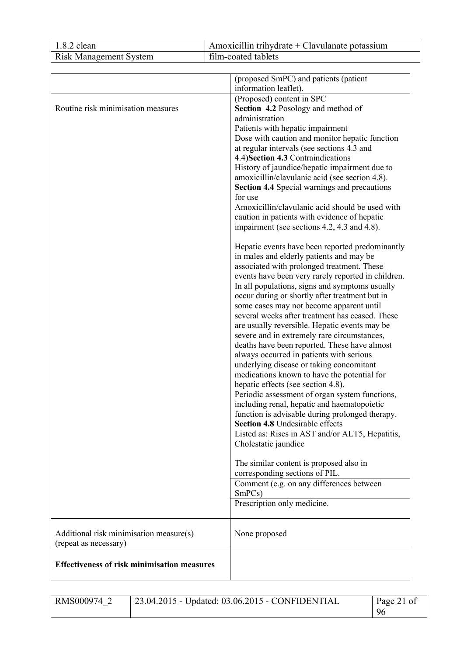| $1.8.2$ clean                 | Amoxicillin trihydrate + Clavulanate potassium |
|-------------------------------|------------------------------------------------|
| <b>Risk Management System</b> | film-coated tablets                            |

|                                                                  | (proposed SmPC) and patients (patient<br>information leaflet).                                                                                                                                                                                                                                                                                                                                                                                                                                                                                                                                                                                                                                                                                                                                                                                                                                                                                                                                           |
|------------------------------------------------------------------|----------------------------------------------------------------------------------------------------------------------------------------------------------------------------------------------------------------------------------------------------------------------------------------------------------------------------------------------------------------------------------------------------------------------------------------------------------------------------------------------------------------------------------------------------------------------------------------------------------------------------------------------------------------------------------------------------------------------------------------------------------------------------------------------------------------------------------------------------------------------------------------------------------------------------------------------------------------------------------------------------------|
| Routine risk minimisation measures                               | (Proposed) content in SPC<br>Section 4.2 Posology and method of<br>administration<br>Patients with hepatic impairment<br>Dose with caution and monitor hepatic function<br>at regular intervals (see sections 4.3 and<br>4.4) Section 4.3 Contraindications<br>History of jaundice/hepatic impairment due to<br>amoxicillin/clavulanic acid (see section 4.8).<br><b>Section 4.4 Special warnings and precautions</b><br>for use<br>Amoxicillin/clavulanic acid should be used with<br>caution in patients with evidence of hepatic<br>impairment (see sections 4.2, 4.3 and 4.8).                                                                                                                                                                                                                                                                                                                                                                                                                       |
|                                                                  | Hepatic events have been reported predominantly<br>in males and elderly patients and may be<br>associated with prolonged treatment. These<br>events have been very rarely reported in children.<br>In all populations, signs and symptoms usually<br>occur during or shortly after treatment but in<br>some cases may not become apparent until<br>several weeks after treatment has ceased. These<br>are usually reversible. Hepatic events may be<br>severe and in extremely rare circumstances,<br>deaths have been reported. These have almost<br>always occurred in patients with serious<br>underlying disease or taking concomitant<br>medications known to have the potential for<br>hepatic effects (see section 4.8).<br>Periodic assessment of organ system functions,<br>including renal, hepatic and haematopoietic<br>function is advisable during prolonged therapy.<br><b>Section 4.8</b> Undesirable effects<br>Listed as: Rises in AST and/or ALT5, Hepatitis,<br>Cholestatic jaundice |
|                                                                  | The similar content is proposed also in<br>corresponding sections of PIL.<br>Comment (e.g. on any differences between<br>SmPCs)<br>Prescription only medicine.                                                                                                                                                                                                                                                                                                                                                                                                                                                                                                                                                                                                                                                                                                                                                                                                                                           |
| Additional risk minimisation measure(s)<br>(repeat as necessary) | None proposed                                                                                                                                                                                                                                                                                                                                                                                                                                                                                                                                                                                                                                                                                                                                                                                                                                                                                                                                                                                            |
| <b>Effectiveness of risk minimisation measures</b>               |                                                                                                                                                                                                                                                                                                                                                                                                                                                                                                                                                                                                                                                                                                                                                                                                                                                                                                                                                                                                          |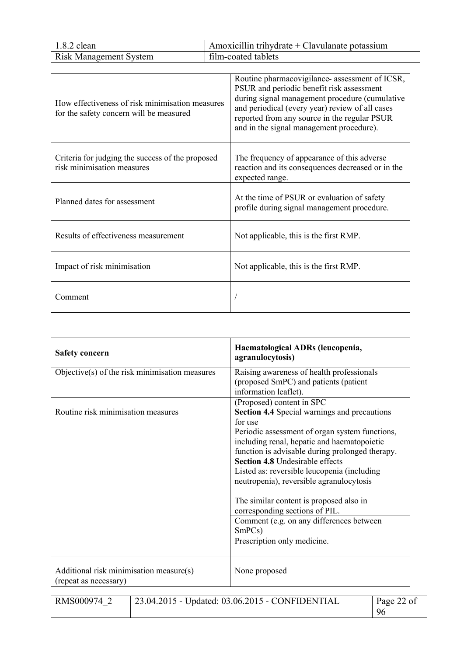| $1.8.2$ clean                 | Amoxicillin trihydrate $+$ Clavulanate potassium |
|-------------------------------|--------------------------------------------------|
| <b>Risk Management System</b> | film-coated tablets                              |

| How effectiveness of risk minimisation measures<br>for the safety concern will be measured | Routine pharmacovigilance- assessment of ICSR,<br>PSUR and periodic benefit risk assessment<br>during signal management procedure (cumulative<br>and periodical (every year) review of all cases<br>reported from any source in the regular PSUR<br>and in the signal management procedure). |
|--------------------------------------------------------------------------------------------|----------------------------------------------------------------------------------------------------------------------------------------------------------------------------------------------------------------------------------------------------------------------------------------------|
| Criteria for judging the success of the proposed<br>risk minimisation measures             | The frequency of appearance of this adverse<br>reaction and its consequences decreased or in the<br>expected range.                                                                                                                                                                          |
| Planned dates for assessment                                                               | At the time of PSUR or evaluation of safety<br>profile during signal management procedure.                                                                                                                                                                                                   |
| Results of effectiveness measurement                                                       | Not applicable, this is the first RMP.                                                                                                                                                                                                                                                       |
| Impact of risk minimisation                                                                | Not applicable, this is the first RMP.                                                                                                                                                                                                                                                       |
| Comment                                                                                    |                                                                                                                                                                                                                                                                                              |

| <b>Safety concern</b>                                            | Haematological ADRs (leucopenia,<br>agranulocytosis)                                      |
|------------------------------------------------------------------|-------------------------------------------------------------------------------------------|
| Objective $(s)$ of the risk minimisation measures                | Raising awareness of health professionals                                                 |
|                                                                  | (proposed SmPC) and patients (patient                                                     |
|                                                                  | information leaflet).                                                                     |
|                                                                  | (Proposed) content in SPC                                                                 |
| Routine risk minimisation measures                               | <b>Section 4.4 Special warnings and precautions</b>                                       |
|                                                                  | for use                                                                                   |
|                                                                  | Periodic assessment of organ system functions,                                            |
|                                                                  | including renal, hepatic and haematopoietic                                               |
|                                                                  | function is advisable during prolonged therapy.<br><b>Section 4.8 Undesirable effects</b> |
|                                                                  |                                                                                           |
|                                                                  | Listed as: reversible leucopenia (including<br>neutropenia), reversible agranulocytosis   |
|                                                                  |                                                                                           |
|                                                                  | The similar content is proposed also in                                                   |
|                                                                  | corresponding sections of PIL.                                                            |
|                                                                  | Comment (e.g. on any differences between                                                  |
|                                                                  | SmPCs)                                                                                    |
|                                                                  | Prescription only medicine.                                                               |
|                                                                  |                                                                                           |
| Additional risk minimisation measure(s)<br>(repeat as necessary) | None proposed                                                                             |

| RMS000974 | $'$ 23.04.2015 - Updated: 03.06.2015 - CONFIDENTIAL | Page 22 of |
|-----------|-----------------------------------------------------|------------|
|           |                                                     | 96         |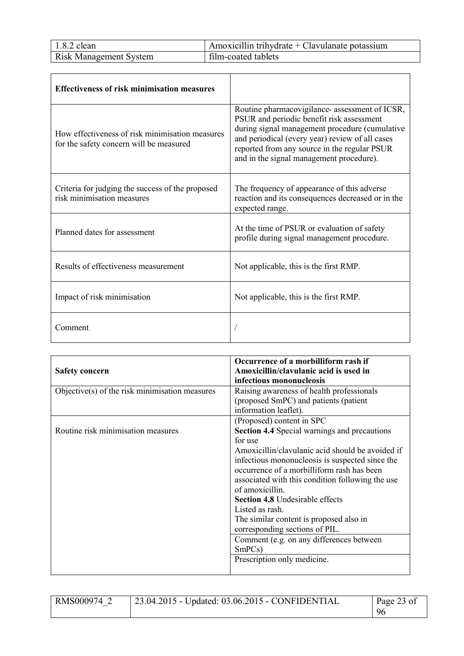| $1.8.2$ clean                 | Amoxicillin trihydrate + Clavulanate potassium |
|-------------------------------|------------------------------------------------|
| <b>Risk Management System</b> | film-coated tablets                            |

| <b>Effectiveness of risk minimisation measures</b>                                         |                                                                                                                                                                                                                                                                                              |
|--------------------------------------------------------------------------------------------|----------------------------------------------------------------------------------------------------------------------------------------------------------------------------------------------------------------------------------------------------------------------------------------------|
| How effectiveness of risk minimisation measures<br>for the safety concern will be measured | Routine pharmacovigilance- assessment of ICSR,<br>PSUR and periodic benefit risk assessment<br>during signal management procedure (cumulative<br>and periodical (every year) review of all cases<br>reported from any source in the regular PSUR<br>and in the signal management procedure). |
| Criteria for judging the success of the proposed<br>risk minimisation measures             | The frequency of appearance of this adverse<br>reaction and its consequences decreased or in the<br>expected range.                                                                                                                                                                          |
| Planned dates for assessment                                                               | At the time of PSUR or evaluation of safety<br>profile during signal management procedure.                                                                                                                                                                                                   |
| Results of effectiveness measurement                                                       | Not applicable, this is the first RMP.                                                                                                                                                                                                                                                       |
| Impact of risk minimisation                                                                | Not applicable, this is the first RMP.                                                                                                                                                                                                                                                       |
| Comment                                                                                    |                                                                                                                                                                                                                                                                                              |

|                                                | Occurrence of a morbilliform rash if                |
|------------------------------------------------|-----------------------------------------------------|
| <b>Safety concern</b>                          | Amoxicillin/clavulanic acid is used in              |
|                                                | infectious mononucleosis                            |
| Objective(s) of the risk minimisation measures | Raising awareness of health professionals           |
|                                                | (proposed SmPC) and patients (patient               |
|                                                | information leaflet).                               |
|                                                | (Proposed) content in SPC                           |
| Routine risk minimisation measures             | <b>Section 4.4 Special warnings and precautions</b> |
|                                                | for use                                             |
|                                                | Amoxicillin/clavulanic acid should be avoided if    |
|                                                | infectious mononucleosis is suspected since the     |
|                                                | occurrence of a morbilliform rash has been          |
|                                                | associated with this condition following the use    |
|                                                | of amoxicillin                                      |
|                                                | <b>Section 4.8</b> Undesirable effects              |
|                                                | Listed as rash.                                     |
|                                                | The similar content is proposed also in             |
|                                                | corresponding sections of PIL.                      |
|                                                | Comment (e.g. on any differences between            |
|                                                | SmPCs)                                              |
|                                                | Prescription only medicine.                         |
|                                                |                                                     |

| RMS000974 2 | $\frac{1}{23.04.2015}$ - Updated: 03.06.2015 - CONFIDENTIAL | Page 23 of |
|-------------|-------------------------------------------------------------|------------|
|             |                                                             |            |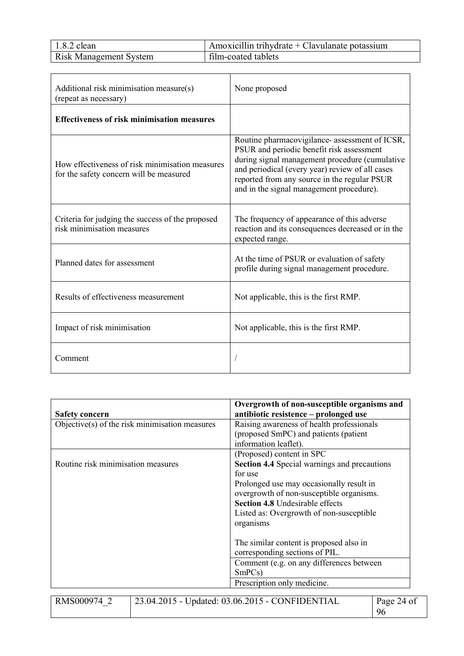| $1.8.2$ clean                 | Amoxicillin trihydrate $+$ Clavulanate potassium |
|-------------------------------|--------------------------------------------------|
| <b>Risk Management System</b> | film-coated tablets                              |

| Additional risk minimisation measure(s)<br>(repeat as necessary)                           | None proposed                                                                                                                                                                                                                                                                                |  |
|--------------------------------------------------------------------------------------------|----------------------------------------------------------------------------------------------------------------------------------------------------------------------------------------------------------------------------------------------------------------------------------------------|--|
| <b>Effectiveness of risk minimisation measures</b>                                         |                                                                                                                                                                                                                                                                                              |  |
| How effectiveness of risk minimisation measures<br>for the safety concern will be measured | Routine pharmacovigilance- assessment of ICSR,<br>PSUR and periodic benefit risk assessment<br>during signal management procedure (cumulative<br>and periodical (every year) review of all cases<br>reported from any source in the regular PSUR<br>and in the signal management procedure). |  |
| Criteria for judging the success of the proposed<br>risk minimisation measures             | The frequency of appearance of this adverse<br>reaction and its consequences decreased or in the<br>expected range.                                                                                                                                                                          |  |
| Planned dates for assessment                                                               | At the time of PSUR or evaluation of safety<br>profile during signal management procedure.                                                                                                                                                                                                   |  |
| Results of effectiveness measurement                                                       | Not applicable, this is the first RMP.                                                                                                                                                                                                                                                       |  |
| Impact of risk minimisation                                                                | Not applicable, this is the first RMP.                                                                                                                                                                                                                                                       |  |
| Comment                                                                                    |                                                                                                                                                                                                                                                                                              |  |

|                                                | Overgrowth of non-susceptible organisms and                   |  |
|------------------------------------------------|---------------------------------------------------------------|--|
| <b>Safety concern</b>                          | antibiotic resistence - prolonged use                         |  |
| Objective(s) of the risk minimisation measures | Raising awareness of health professionals                     |  |
|                                                | (proposed SmPC) and patients (patient                         |  |
|                                                | information leaflet).                                         |  |
|                                                | (Proposed) content in SPC                                     |  |
| Routine risk minimisation measures             | <b>Section 4.4 Special warnings and precautions</b>           |  |
|                                                | for use                                                       |  |
|                                                | Prolonged use may occasionally result in                      |  |
|                                                | overgrowth of non-susceptible organisms.                      |  |
|                                                | <b>Section 4.8 Undesirable effects</b>                        |  |
|                                                | Listed as: Overgrowth of non-susceptible                      |  |
|                                                | organisms                                                     |  |
|                                                | The similar content is proposed also in                       |  |
|                                                | corresponding sections of PIL.                                |  |
|                                                | Comment (e.g. on any differences between                      |  |
|                                                | SmPCs)                                                        |  |
|                                                | Prescription only medicine.                                   |  |
|                                                |                                                               |  |
| RMS000974 2                                    | 23.04.2015 - Updated: 03.06.2015 - CONFIDENTIAL<br>Page 24 of |  |
|                                                | 96                                                            |  |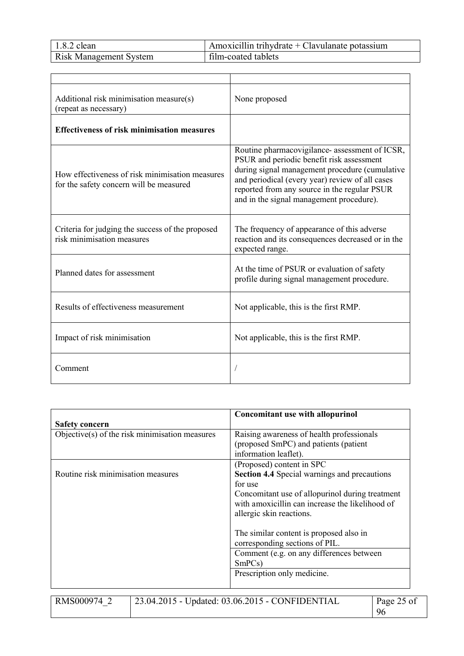| $1.8.2$ clean                 | Amoxicillin trihydrate $+$ Clavulanate potassium |
|-------------------------------|--------------------------------------------------|
| <b>Risk Management System</b> | film-coated tablets                              |

| Additional risk minimisation measure(s)<br>(repeat as necessary)                           | None proposed                                                                                                                                                                                                                                                                                |  |
|--------------------------------------------------------------------------------------------|----------------------------------------------------------------------------------------------------------------------------------------------------------------------------------------------------------------------------------------------------------------------------------------------|--|
| <b>Effectiveness of risk minimisation measures</b>                                         |                                                                                                                                                                                                                                                                                              |  |
| How effectiveness of risk minimisation measures<br>for the safety concern will be measured | Routine pharmacovigilance- assessment of ICSR,<br>PSUR and periodic benefit risk assessment<br>during signal management procedure (cumulative<br>and periodical (every year) review of all cases<br>reported from any source in the regular PSUR<br>and in the signal management procedure). |  |
| Criteria for judging the success of the proposed<br>risk minimisation measures             | The frequency of appearance of this adverse<br>reaction and its consequences decreased or in the<br>expected range.                                                                                                                                                                          |  |
| Planned dates for assessment                                                               | At the time of PSUR or evaluation of safety<br>profile during signal management procedure.                                                                                                                                                                                                   |  |
| Results of effectiveness measurement                                                       | Not applicable, this is the first RMP.                                                                                                                                                                                                                                                       |  |
| Impact of risk minimisation                                                                | Not applicable, this is the first RMP.                                                                                                                                                                                                                                                       |  |
| Comment                                                                                    |                                                                                                                                                                                                                                                                                              |  |

|                                                | <b>Concomitant use with allopurinol</b>                                                                                        |  |
|------------------------------------------------|--------------------------------------------------------------------------------------------------------------------------------|--|
| <b>Safety concern</b>                          |                                                                                                                                |  |
| Objective(s) of the risk minimisation measures | Raising awareness of health professionals                                                                                      |  |
|                                                | (proposed SmPC) and patients (patient                                                                                          |  |
|                                                | information leaflet).                                                                                                          |  |
|                                                | (Proposed) content in SPC                                                                                                      |  |
| Routine risk minimisation measures             | <b>Section 4.4 Special warnings and precautions</b>                                                                            |  |
|                                                | for use                                                                                                                        |  |
|                                                | Concomitant use of allopurinol during treatment<br>with amoxicillin can increase the likelihood of<br>allergic skin reactions. |  |
|                                                | The similar content is proposed also in<br>corresponding sections of PIL.                                                      |  |
|                                                | Comment (e.g. on any differences between                                                                                       |  |
|                                                | SmPCs)                                                                                                                         |  |
|                                                | Prescription only medicine.                                                                                                    |  |
|                                                |                                                                                                                                |  |
|                                                |                                                                                                                                |  |

RMS000974\_2 23.04.2015 - Updated: 03.06.2015 - CONFIDENTIAL Page 25 of<br>96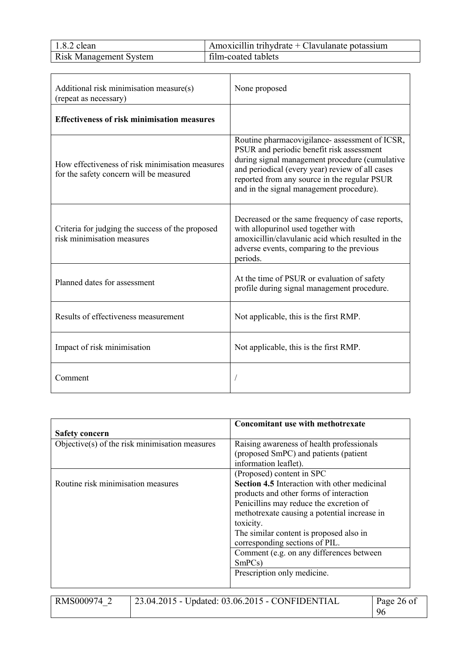| $1.8.2$ clean                 | Amoxicillin trihydrate $+$ Clavulanate potassium |
|-------------------------------|--------------------------------------------------|
| <b>Risk Management System</b> | film-coated tablets                              |

| Additional risk minimisation measure(s)<br>(repeat as necessary)                           | None proposed                                                                                                                                                                                                                                                                                |  |
|--------------------------------------------------------------------------------------------|----------------------------------------------------------------------------------------------------------------------------------------------------------------------------------------------------------------------------------------------------------------------------------------------|--|
| <b>Effectiveness of risk minimisation measures</b>                                         |                                                                                                                                                                                                                                                                                              |  |
| How effectiveness of risk minimisation measures<br>for the safety concern will be measured | Routine pharmacovigilance- assessment of ICSR,<br>PSUR and periodic benefit risk assessment<br>during signal management procedure (cumulative<br>and periodical (every year) review of all cases<br>reported from any source in the regular PSUR<br>and in the signal management procedure). |  |
| Criteria for judging the success of the proposed<br>risk minimisation measures             | Decreased or the same frequency of case reports,<br>with allopurinol used together with<br>amoxicillin/clavulanic acid which resulted in the<br>adverse events, comparing to the previous<br>periods.                                                                                        |  |
| Planned dates for assessment                                                               | At the time of PSUR or evaluation of safety<br>profile during signal management procedure.                                                                                                                                                                                                   |  |
| Results of effectiveness measurement                                                       | Not applicable, this is the first RMP.                                                                                                                                                                                                                                                       |  |
| Impact of risk minimisation                                                                | Not applicable, this is the first RMP.                                                                                                                                                                                                                                                       |  |
| Comment                                                                                    |                                                                                                                                                                                                                                                                                              |  |

|                                                   | <b>Concomitant use with methotrexate</b>                                                                                                                                                                                                                                            |
|---------------------------------------------------|-------------------------------------------------------------------------------------------------------------------------------------------------------------------------------------------------------------------------------------------------------------------------------------|
| <b>Safety concern</b>                             |                                                                                                                                                                                                                                                                                     |
| Objective $(s)$ of the risk minimisation measures | Raising awareness of health professionals<br>(proposed SmPC) and patients (patient<br>information leaflet).                                                                                                                                                                         |
|                                                   | (Proposed) content in SPC                                                                                                                                                                                                                                                           |
| Routine risk minimisation measures                | <b>Section 4.5</b> Interaction with other medicinal<br>products and other forms of interaction<br>Penicillins may reduce the excretion of<br>methotrexate causing a potential increase in<br>toxicity.<br>The similar content is proposed also in<br>corresponding sections of PIL. |
|                                                   | Comment (e.g. on any differences between<br>SmPCs)<br>Prescription only medicine.                                                                                                                                                                                                   |

RMS000974\_2 23.04.2015 - Updated: 03.06.2015 - CONFIDENTIAL Page 26 of<br>96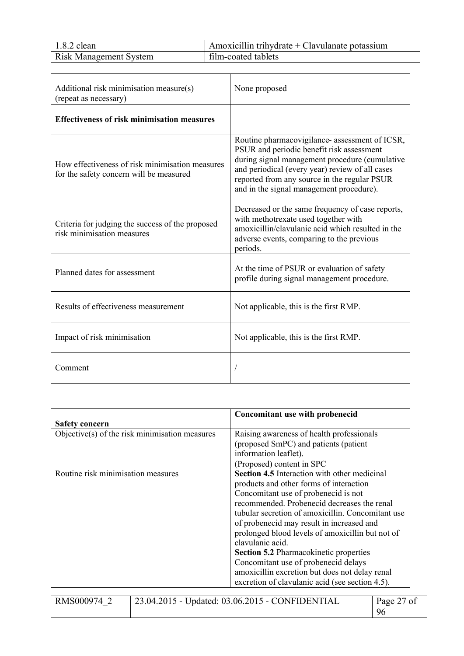| $1.8.2$ clean                 | Amoxicillin trihydrate + Clavulanate potassium |
|-------------------------------|------------------------------------------------|
| <b>Risk Management System</b> | film-coated tablets                            |

| Additional risk minimisation measure(s)<br>(repeat as necessary)                           | None proposed                                                                                                                                                                                                                                                                                |  |
|--------------------------------------------------------------------------------------------|----------------------------------------------------------------------------------------------------------------------------------------------------------------------------------------------------------------------------------------------------------------------------------------------|--|
| <b>Effectiveness of risk minimisation measures</b>                                         |                                                                                                                                                                                                                                                                                              |  |
| How effectiveness of risk minimisation measures<br>for the safety concern will be measured | Routine pharmacovigilance- assessment of ICSR,<br>PSUR and periodic benefit risk assessment<br>during signal management procedure (cumulative<br>and periodical (every year) review of all cases<br>reported from any source in the regular PSUR<br>and in the signal management procedure). |  |
| Criteria for judging the success of the proposed<br>risk minimisation measures             | Decreased or the same frequency of case reports,<br>with methotrexate used together with<br>amoxicillin/clavulanic acid which resulted in the<br>adverse events, comparing to the previous<br>periods.                                                                                       |  |
| Planned dates for assessment                                                               | At the time of PSUR or evaluation of safety<br>profile during signal management procedure.                                                                                                                                                                                                   |  |
| Results of effectiveness measurement                                                       | Not applicable, this is the first RMP.                                                                                                                                                                                                                                                       |  |
| Impact of risk minimisation                                                                | Not applicable, this is the first RMP.                                                                                                                                                                                                                                                       |  |
| Comment                                                                                    |                                                                                                                                                                                                                                                                                              |  |

|                                                | Concomitant use with probenecid                     |  |
|------------------------------------------------|-----------------------------------------------------|--|
| Safety concern                                 |                                                     |  |
| Objective(s) of the risk minimisation measures | Raising awareness of health professionals           |  |
|                                                | (proposed SmPC) and patients (patient               |  |
|                                                | information leaflet).                               |  |
|                                                | (Proposed) content in SPC                           |  |
| Routine risk minimisation measures             | <b>Section 4.5</b> Interaction with other medicinal |  |
|                                                | products and other forms of interaction             |  |
|                                                | Concomitant use of probenecid is not                |  |
|                                                | recommended. Probenecid decreases the renal         |  |
|                                                | tubular secretion of amoxicillin. Concomitant use   |  |
|                                                | of probenecid may result in increased and           |  |
|                                                | prolonged blood levels of amoxicillin but not of    |  |
|                                                | clavulanic acid.                                    |  |
|                                                | <b>Section 5.2 Pharmacokinetic properties</b>       |  |
|                                                | Concomitant use of probenecid delays                |  |
|                                                | amoxicillin excretion but does not delay renal      |  |
|                                                | excretion of clavulanic acid (see section 4.5).     |  |
|                                                |                                                     |  |

| RMS000974 | 23.04.2015 - Updated: 03.06.2015 - CONFIDENTIAL | Page 27 of |
|-----------|-------------------------------------------------|------------|
|           |                                                 | 96         |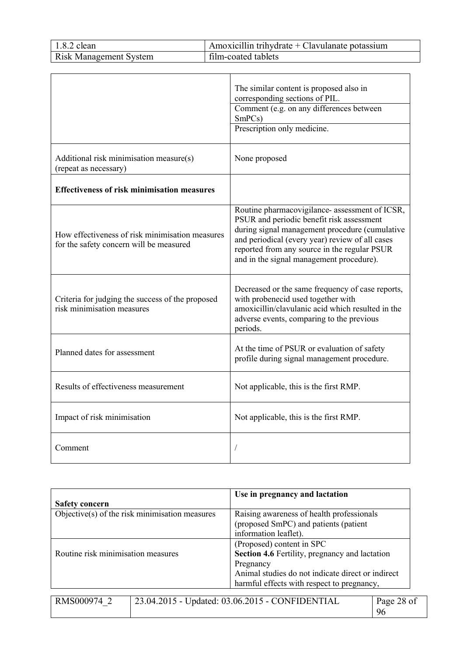| $1.8.2$ clean                 | Amoxicillin trihydrate $+$ Clavulanate potassium |
|-------------------------------|--------------------------------------------------|
| <b>Risk Management System</b> | film-coated tablets                              |

|                                                                                            | The similar content is proposed also in<br>corresponding sections of PIL.                                                                                                                                                                                                                    |
|--------------------------------------------------------------------------------------------|----------------------------------------------------------------------------------------------------------------------------------------------------------------------------------------------------------------------------------------------------------------------------------------------|
|                                                                                            | Comment (e.g. on any differences between<br>SmPCs)                                                                                                                                                                                                                                           |
|                                                                                            | Prescription only medicine.                                                                                                                                                                                                                                                                  |
| Additional risk minimisation measure(s)<br>(repeat as necessary)                           | None proposed                                                                                                                                                                                                                                                                                |
| <b>Effectiveness of risk minimisation measures</b>                                         |                                                                                                                                                                                                                                                                                              |
| How effectiveness of risk minimisation measures<br>for the safety concern will be measured | Routine pharmacovigilance- assessment of ICSR,<br>PSUR and periodic benefit risk assessment<br>during signal management procedure (cumulative<br>and periodical (every year) review of all cases<br>reported from any source in the regular PSUR<br>and in the signal management procedure). |
| Criteria for judging the success of the proposed<br>risk minimisation measures             | Decreased or the same frequency of case reports,<br>with probenecid used together with<br>amoxicillin/clavulanic acid which resulted in the<br>adverse events, comparing to the previous<br>periods.                                                                                         |
| Planned dates for assessment                                                               | At the time of PSUR or evaluation of safety<br>profile during signal management procedure.                                                                                                                                                                                                   |
| Results of effectiveness measurement                                                       | Not applicable, this is the first RMP.                                                                                                                                                                                                                                                       |
| Impact of risk minimisation                                                                | Not applicable, this is the first RMP.                                                                                                                                                                                                                                                       |
| Comment                                                                                    |                                                                                                                                                                                                                                                                                              |

|                                                | Use in pregnancy and lactation                                         |  |
|------------------------------------------------|------------------------------------------------------------------------|--|
| <b>Safety concern</b>                          |                                                                        |  |
| Objective(s) of the risk minimisation measures | Raising awareness of health professionals                              |  |
|                                                | (proposed SmPC) and patients (patient                                  |  |
|                                                | information leaflet).                                                  |  |
|                                                | (Proposed) content in SPC                                              |  |
| Routine risk minimisation measures             | <b>Section 4.6 Fertility, pregnancy and lactation</b>                  |  |
|                                                | Pregnancy                                                              |  |
|                                                | Animal studies do not indicate direct or indirect                      |  |
|                                                | harmful effects with respect to pregnancy,                             |  |
|                                                |                                                                        |  |
| RMS000074                                      | $23.04.2015$ - Undated: 03.06.2015 - CONEIDENTIAI<br>$P_{200}$ $28$ of |  |

| RMS000974 2 | $\frac{1}{23.04.2015}$ - Updated: 03.06.2015 - CONFIDENTIAL | Page 28 of |
|-------------|-------------------------------------------------------------|------------|
|             |                                                             | 96         |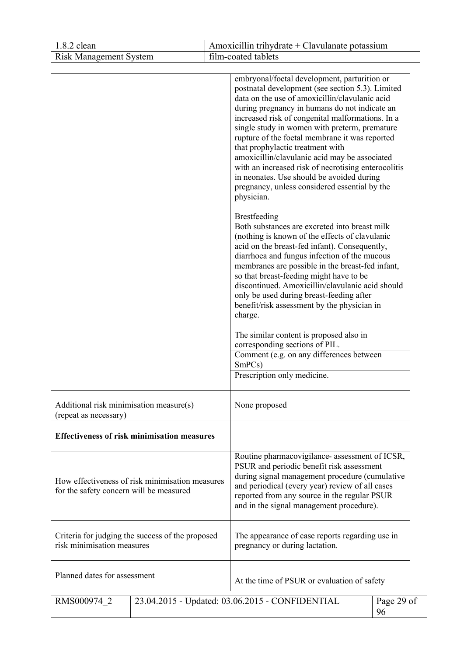| $1.8.2$ clean                                                                              | Amoxicillin trihydrate + Clavulanate potassium                                                                                                                                                                                                                                                                                                                                                                                                                                                                                                                                                                                            |  |  |
|--------------------------------------------------------------------------------------------|-------------------------------------------------------------------------------------------------------------------------------------------------------------------------------------------------------------------------------------------------------------------------------------------------------------------------------------------------------------------------------------------------------------------------------------------------------------------------------------------------------------------------------------------------------------------------------------------------------------------------------------------|--|--|
| <b>Risk Management System</b>                                                              | film-coated tablets                                                                                                                                                                                                                                                                                                                                                                                                                                                                                                                                                                                                                       |  |  |
|                                                                                            | embryonal/foetal development, parturition or<br>postnatal development (see section 5.3). Limited<br>data on the use of amoxicillin/clavulanic acid<br>during pregnancy in humans do not indicate an<br>increased risk of congenital malformations. In a<br>single study in women with preterm, premature<br>rupture of the foetal membrane it was reported<br>that prophylactic treatment with<br>amoxicillin/clavulanic acid may be associated<br>with an increased risk of necrotising enterocolitis<br>in neonates. Use should be avoided during<br>pregnancy, unless considered essential by the<br>physician.<br><b>Brestfeeding</b> |  |  |
|                                                                                            | Both substances are excreted into breast milk<br>(nothing is known of the effects of clavulanic<br>acid on the breast-fed infant). Consequently,<br>diarrhoea and fungus infection of the mucous<br>membranes are possible in the breast-fed infant,<br>so that breast-feeding might have to be<br>discontinued. Amoxicillin/clavulanic acid should<br>only be used during breast-feeding after<br>benefit/risk assessment by the physician in<br>charge.                                                                                                                                                                                 |  |  |
|                                                                                            | The similar content is proposed also in<br>corresponding sections of PIL.<br>Comment (e.g. on any differences between<br>SmPCs)                                                                                                                                                                                                                                                                                                                                                                                                                                                                                                           |  |  |
|                                                                                            | Prescription only medicine.                                                                                                                                                                                                                                                                                                                                                                                                                                                                                                                                                                                                               |  |  |
| Additional risk minimisation measure(s)<br>None proposed<br>(repeat as necessary)          |                                                                                                                                                                                                                                                                                                                                                                                                                                                                                                                                                                                                                                           |  |  |
| <b>Effectiveness of risk minimisation measures</b>                                         |                                                                                                                                                                                                                                                                                                                                                                                                                                                                                                                                                                                                                                           |  |  |
| How effectiveness of risk minimisation measures<br>for the safety concern will be measured | Routine pharmacovigilance- assessment of ICSR,<br>PSUR and periodic benefit risk assessment<br>during signal management procedure (cumulative<br>and periodical (every year) review of all cases<br>reported from any source in the regular PSUR<br>and in the signal management procedure).                                                                                                                                                                                                                                                                                                                                              |  |  |
| Criteria for judging the success of the proposed<br>risk minimisation measures             | The appearance of case reports regarding use in<br>pregnancy or during lactation.                                                                                                                                                                                                                                                                                                                                                                                                                                                                                                                                                         |  |  |
| Planned dates for assessment                                                               | At the time of PSUR or evaluation of safety                                                                                                                                                                                                                                                                                                                                                                                                                                                                                                                                                                                               |  |  |
| RMS000974 2                                                                                | 23.04.2015 - Updated: 03.06.2015 - CONFIDENTIAL<br>Page 29 of<br>96                                                                                                                                                                                                                                                                                                                                                                                                                                                                                                                                                                       |  |  |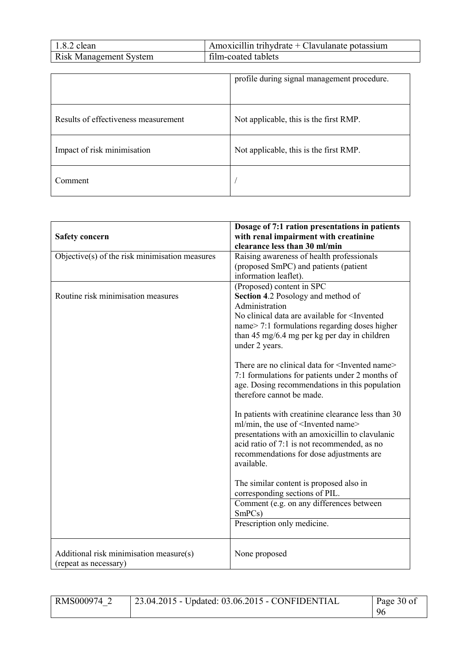| $1.8.2$ clean                 | Amoxicillin trihydrate + Clavulanate potassium |
|-------------------------------|------------------------------------------------|
| <b>Risk Management System</b> | film-coated tablets                            |

|                                      | profile during signal management procedure. |
|--------------------------------------|---------------------------------------------|
| Results of effectiveness measurement | Not applicable, this is the first RMP.      |
| Impact of risk minimisation          | Not applicable, this is the first RMP.      |
| Comment                              |                                             |

| <b>Safety concern</b>                                            | Dosage of 7:1 ration presentations in patients<br>with renal impairment with creatinine<br>clearance less than 30 ml/min                                                                                                                                                                                                                 |
|------------------------------------------------------------------|------------------------------------------------------------------------------------------------------------------------------------------------------------------------------------------------------------------------------------------------------------------------------------------------------------------------------------------|
| Objective(s) of the risk minimisation measures                   | Raising awareness of health professionals<br>(proposed SmPC) and patients (patient<br>information leaflet).                                                                                                                                                                                                                              |
| Routine risk minimisation measures                               | (Proposed) content in SPC<br>Section 4.2 Posology and method of<br>Administration<br>No clinical data are available for <invented<br>name&gt; 7:1 formulations regarding doses higher<br/>than 45 mg/6.4 mg per kg per day in children<br/>under 2 years.<br/>There are no clinical data for <invented name=""></invented></invented<br> |
|                                                                  | 7:1 formulations for patients under 2 months of<br>age. Dosing recommendations in this population<br>therefore cannot be made.                                                                                                                                                                                                           |
|                                                                  | In patients with creatinine clearance less than 30<br>ml/min, the use of <invented name=""><br/>presentations with an amoxicillin to clavulanic<br/>acid ratio of 7:1 is not recommended, as no<br/>recommendations for dose adjustments are<br/>available.</invented>                                                                   |
|                                                                  | The similar content is proposed also in<br>corresponding sections of PIL.<br>Comment (e.g. on any differences between                                                                                                                                                                                                                    |
|                                                                  | SmPCs)<br>Prescription only medicine.                                                                                                                                                                                                                                                                                                    |
| Additional risk minimisation measure(s)<br>(repeat as necessary) | None proposed                                                                                                                                                                                                                                                                                                                            |

| RMS000974 2 | 23.04.2015 - Updated: 03.06.2015 - CONFIDENTIAL | Page 30 of |
|-------------|-------------------------------------------------|------------|
|             |                                                 | 96         |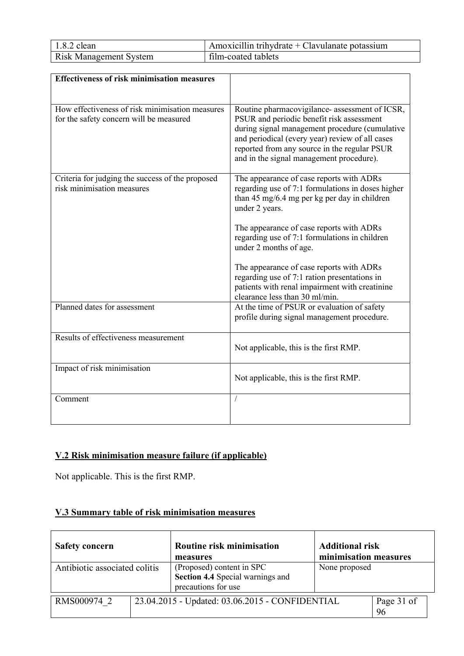| $1.8.2$ clean                 | Amoxicillin trihydrate + Clavulanate potassium |
|-------------------------------|------------------------------------------------|
| <b>Risk Management System</b> | film-coated tablets                            |

| <b>Effectiveness of risk minimisation measures</b>                                         |                                                                                                                                                                                                                                                                                              |
|--------------------------------------------------------------------------------------------|----------------------------------------------------------------------------------------------------------------------------------------------------------------------------------------------------------------------------------------------------------------------------------------------|
|                                                                                            |                                                                                                                                                                                                                                                                                              |
|                                                                                            |                                                                                                                                                                                                                                                                                              |
| How effectiveness of risk minimisation measures<br>for the safety concern will be measured | Routine pharmacovigilance- assessment of ICSR,<br>PSUR and periodic benefit risk assessment<br>during signal management procedure (cumulative<br>and periodical (every year) review of all cases<br>reported from any source in the regular PSUR<br>and in the signal management procedure). |
| Criteria for judging the success of the proposed<br>risk minimisation measures             | The appearance of case reports with ADRs<br>regarding use of 7:1 formulations in doses higher<br>than 45 mg/6.4 mg per kg per day in children<br>under 2 years.                                                                                                                              |
|                                                                                            | The appearance of case reports with ADRs<br>regarding use of 7:1 formulations in children<br>under 2 months of age.                                                                                                                                                                          |
|                                                                                            | The appearance of case reports with ADRs<br>regarding use of 7:1 ration presentations in<br>patients with renal impairment with creatinine<br>clearance less than 30 ml/min.                                                                                                                 |
| Planned dates for assessment                                                               | At the time of PSUR or evaluation of safety<br>profile during signal management procedure.                                                                                                                                                                                                   |
| Results of effectiveness measurement                                                       | Not applicable, this is the first RMP.                                                                                                                                                                                                                                                       |
| Impact of risk minimisation                                                                | Not applicable, this is the first RMP.                                                                                                                                                                                                                                                       |
| Comment                                                                                    |                                                                                                                                                                                                                                                                                              |

#### **V.2 Risk minimisation measure failure (if applicable)**

Not applicable. This is the first RMP.

#### **V.3 Summary table of risk minimisation measures**

| <b>Safety concern</b>                                                                                                 |                                                 | Routine risk minimisation<br>measures | <b>Additional risk</b><br>minimisation measures |                  |
|-----------------------------------------------------------------------------------------------------------------------|-------------------------------------------------|---------------------------------------|-------------------------------------------------|------------------|
| (Proposed) content in SPC<br>Antibiotic associated colitis<br>Section 4.4 Special warnings and<br>precautions for use |                                                 | None proposed                         |                                                 |                  |
| RMS000974 2                                                                                                           | 23.04.2015 - Updated: 03.06.2015 - CONFIDENTIAL |                                       |                                                 | Page 31 of<br>96 |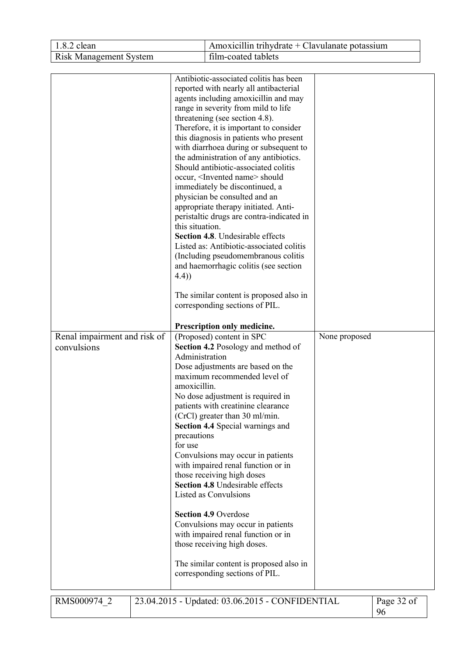| 1.8.2 clean                                 |                                                                                      | Amoxicillin trihydrate $+$ Clavulanate potassium                                                                                                                                                                                                                                                                                                                                                                                                                                                                                                                                                                                                                                                                                                                                                                                                                                                                                                                                                                                                                                                                                                                                                                                                                                                                                                                                                                |               |                  |
|---------------------------------------------|--------------------------------------------------------------------------------------|-----------------------------------------------------------------------------------------------------------------------------------------------------------------------------------------------------------------------------------------------------------------------------------------------------------------------------------------------------------------------------------------------------------------------------------------------------------------------------------------------------------------------------------------------------------------------------------------------------------------------------------------------------------------------------------------------------------------------------------------------------------------------------------------------------------------------------------------------------------------------------------------------------------------------------------------------------------------------------------------------------------------------------------------------------------------------------------------------------------------------------------------------------------------------------------------------------------------------------------------------------------------------------------------------------------------------------------------------------------------------------------------------------------------|---------------|------------------|
| <b>Risk Management System</b>               |                                                                                      | film-coated tablets                                                                                                                                                                                                                                                                                                                                                                                                                                                                                                                                                                                                                                                                                                                                                                                                                                                                                                                                                                                                                                                                                                                                                                                                                                                                                                                                                                                             |               |                  |
| Renal impairment and risk of<br>convulsions | this situation.<br>(4.4)<br>Administration<br>amoxicillin.<br>precautions<br>for use | Antibiotic-associated colitis has been<br>reported with nearly all antibacterial<br>agents including amoxicillin and may<br>range in severity from mild to life<br>threatening (see section 4.8).<br>Therefore, it is important to consider<br>this diagnosis in patients who present<br>with diarrhoea during or subsequent to<br>the administration of any antibiotics.<br>Should antibiotic-associated colitis<br>occur, <invented name=""> should<br/>immediately be discontinued, a<br/>physician be consulted and an<br/>appropriate therapy initiated. Anti-<br/>peristaltic drugs are contra-indicated in<br/>Section 4.8. Undesirable effects<br/>Listed as: Antibiotic-associated colitis<br/>(Including pseudomembranous colitis<br/>and haemorrhagic colitis (see section<br/>The similar content is proposed also in<br/>corresponding sections of PIL.<br/>Prescription only medicine.<br/>(Proposed) content in SPC<br/>Section 4.2 Posology and method of<br/>Dose adjustments are based on the<br/>maximum recommended level of<br/>No dose adjustment is required in<br/>patients with creatinine clearance<br/>(CrCl) greater than 30 ml/min.<br/><b>Section 4.4 Special warnings and</b><br/>Convulsions may occur in patients<br/>with impaired renal function or in<br/>those receiving high doses<br/><b>Section 4.8 Undesirable effects</b><br/><b>Listed as Convulsions</b></invented> | None proposed |                  |
|                                             |                                                                                      | <b>Section 4.9 Overdose</b><br>Convulsions may occur in patients<br>with impaired renal function or in<br>those receiving high doses.<br>The similar content is proposed also in<br>corresponding sections of PIL.                                                                                                                                                                                                                                                                                                                                                                                                                                                                                                                                                                                                                                                                                                                                                                                                                                                                                                                                                                                                                                                                                                                                                                                              |               |                  |
| RMS000974 2                                 |                                                                                      | 23.04.2015 - Updated: 03.06.2015 - CONFIDENTIAL                                                                                                                                                                                                                                                                                                                                                                                                                                                                                                                                                                                                                                                                                                                                                                                                                                                                                                                                                                                                                                                                                                                                                                                                                                                                                                                                                                 |               | Page 32 of<br>96 |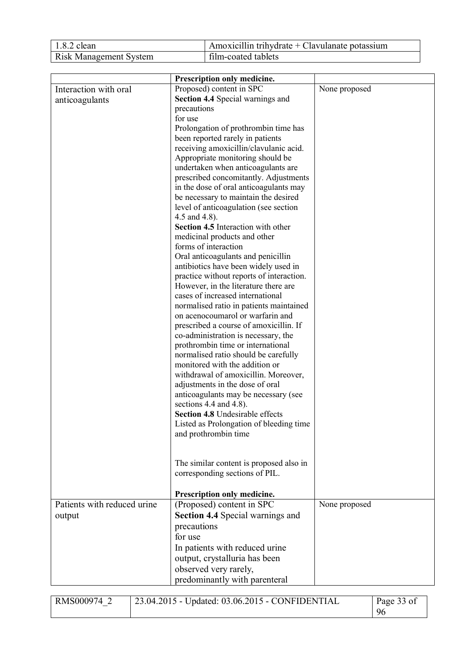| $1.8.2$ clean                 | Amoxicillin trihydrate + Clavulanate potassium |
|-------------------------------|------------------------------------------------|
| <b>Risk Management System</b> | film-coated tablets                            |

|                             | Prescription only medicine.                          |               |
|-----------------------------|------------------------------------------------------|---------------|
| Interaction with oral       | Proposed) content in SPC                             | None proposed |
| anticoagulants              | <b>Section 4.4 Special warnings and</b>              |               |
|                             | precautions                                          |               |
|                             | for use                                              |               |
|                             | Prolongation of prothrombin time has                 |               |
|                             | been reported rarely in patients                     |               |
|                             | receiving amoxicillin/clavulanic acid.               |               |
|                             | Appropriate monitoring should be                     |               |
|                             | undertaken when anticoagulants are                   |               |
|                             | prescribed concomitantly. Adjustments                |               |
|                             | in the dose of oral anticoagulants may               |               |
|                             | be necessary to maintain the desired                 |               |
|                             | level of anticoagulation (see section                |               |
|                             | 4.5 and 4.8).                                        |               |
|                             | Section 4.5 Interaction with other                   |               |
|                             | medicinal products and other<br>forms of interaction |               |
|                             | Oral anticoagulants and penicillin                   |               |
|                             | antibiotics have been widely used in                 |               |
|                             | practice without reports of interaction.             |               |
|                             | However, in the literature there are                 |               |
|                             | cases of increased international                     |               |
|                             | normalised ratio in patients maintained              |               |
|                             | on acenocoumarol or warfarin and                     |               |
|                             | prescribed a course of amoxicillin. If               |               |
|                             | co-administration is necessary, the                  |               |
|                             | prothrombin time or international                    |               |
|                             | normalised ratio should be carefully                 |               |
|                             | monitored with the addition or                       |               |
|                             | withdrawal of amoxicillin. Moreover,                 |               |
|                             | adjustments in the dose of oral                      |               |
|                             | anticoagulants may be necessary (see                 |               |
|                             | sections 4.4 and 4.8).                               |               |
|                             | <b>Section 4.8 Undesirable effects</b>               |               |
|                             | Listed as Prolongation of bleeding time              |               |
|                             | and prothrombin time                                 |               |
|                             |                                                      |               |
|                             |                                                      |               |
|                             | The similar content is proposed also in              |               |
|                             | corresponding sections of PIL.                       |               |
|                             |                                                      |               |
|                             | Prescription only medicine.                          |               |
| Patients with reduced urine | (Proposed) content in SPC                            | None proposed |
| output                      | Section 4.4 Special warnings and                     |               |
|                             | precautions                                          |               |
|                             | for use                                              |               |
|                             | In patients with reduced urine                       |               |
|                             | output, crystalluria has been                        |               |
|                             | observed very rarely,                                |               |
|                             | predominantly with parenteral                        |               |

| RMS000974 | 23.04.2015 - Updated: 03.06.2015 - CONFIDENTIAL | Page 33 of |
|-----------|-------------------------------------------------|------------|
|           |                                                 | 96         |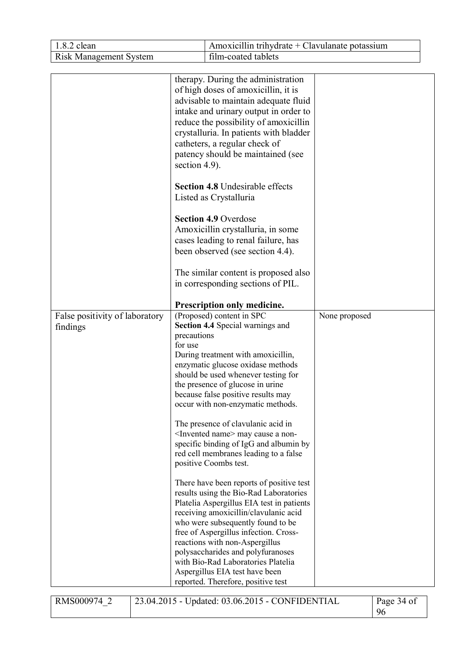| 1.8.2 clean                                | Amoxicillin trihydrate + Clavulanate potassium                                                                                                                                                                                                                                                                                                                                                                                                                                                                                                                                                                                                                                                                                                                                                                                                                                                                                                                                                                                                                                                                                                                                                                                                                                                                                                                                                                                                                                                                                                                                                |               |
|--------------------------------------------|-----------------------------------------------------------------------------------------------------------------------------------------------------------------------------------------------------------------------------------------------------------------------------------------------------------------------------------------------------------------------------------------------------------------------------------------------------------------------------------------------------------------------------------------------------------------------------------------------------------------------------------------------------------------------------------------------------------------------------------------------------------------------------------------------------------------------------------------------------------------------------------------------------------------------------------------------------------------------------------------------------------------------------------------------------------------------------------------------------------------------------------------------------------------------------------------------------------------------------------------------------------------------------------------------------------------------------------------------------------------------------------------------------------------------------------------------------------------------------------------------------------------------------------------------------------------------------------------------|---------------|
| <b>Risk Management System</b>              | film-coated tablets                                                                                                                                                                                                                                                                                                                                                                                                                                                                                                                                                                                                                                                                                                                                                                                                                                                                                                                                                                                                                                                                                                                                                                                                                                                                                                                                                                                                                                                                                                                                                                           |               |
|                                            |                                                                                                                                                                                                                                                                                                                                                                                                                                                                                                                                                                                                                                                                                                                                                                                                                                                                                                                                                                                                                                                                                                                                                                                                                                                                                                                                                                                                                                                                                                                                                                                               |               |
| False positivity of laboratory<br>findings | therapy. During the administration<br>of high doses of amoxicillin, it is<br>advisable to maintain adequate fluid<br>intake and urinary output in order to<br>reduce the possibility of amoxicillin<br>crystalluria. In patients with bladder<br>catheters, a regular check of<br>patency should be maintained (see<br>section 4.9).<br><b>Section 4.8 Undesirable effects</b><br>Listed as Crystalluria<br><b>Section 4.9 Overdose</b><br>Amoxicillin crystalluria, in some<br>cases leading to renal failure, has<br>been observed (see section 4.4).<br>The similar content is proposed also<br>in corresponding sections of PIL.<br>Prescription only medicine.<br>(Proposed) content in SPC<br><b>Section 4.4 Special warnings and</b><br>precautions<br>for use<br>During treatment with amoxicillin,<br>enzymatic glucose oxidase methods<br>should be used whenever testing for<br>the presence of glucose in urine<br>because false positive results may<br>occur with non-enzymatic methods.<br>The presence of clavulanic acid in<br><invented name=""> may cause a non-<br/>specific binding of IgG and albumin by<br/>red cell membranes leading to a false<br/>positive Coombs test.<br/>There have been reports of positive test<br/>results using the Bio-Rad Laboratories<br/>Platelia Aspergillus EIA test in patients<br/>receiving amoxicillin/clavulanic acid<br/>who were subsequently found to be<br/>free of Aspergillus infection. Cross-<br/>reactions with non-Aspergillus<br/>polysaccharides and polyfuranoses<br/>with Bio-Rad Laboratories Platelia</invented> | None proposed |
|                                            | Aspergillus EIA test have been<br>reported. Therefore, positive test                                                                                                                                                                                                                                                                                                                                                                                                                                                                                                                                                                                                                                                                                                                                                                                                                                                                                                                                                                                                                                                                                                                                                                                                                                                                                                                                                                                                                                                                                                                          |               |

| RMS000974 | 23.04.2015 - Updated: 03.06.2015 - CONFIDENTIAL | Page 34 of |
|-----------|-------------------------------------------------|------------|
|           |                                                 | 96         |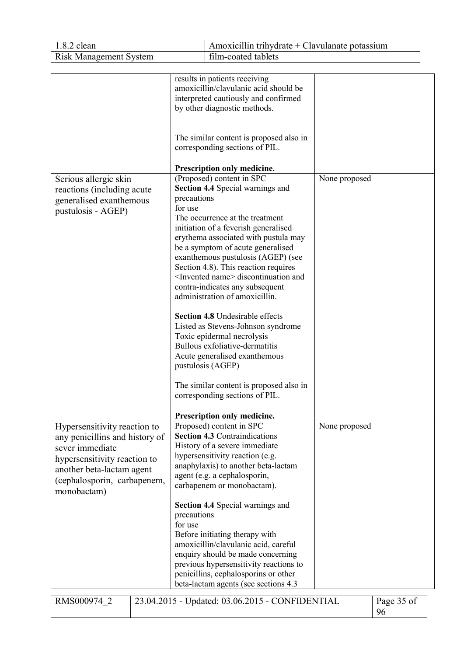| 1.8.2 clean                                                                                                                                                                                  |                        | Amoxicillin trihydrate + Clavulanate potassium                                                                                                                                                                                                                                                                                                                                                                                                                                                                                                                                                                                                     |                  |  |
|----------------------------------------------------------------------------------------------------------------------------------------------------------------------------------------------|------------------------|----------------------------------------------------------------------------------------------------------------------------------------------------------------------------------------------------------------------------------------------------------------------------------------------------------------------------------------------------------------------------------------------------------------------------------------------------------------------------------------------------------------------------------------------------------------------------------------------------------------------------------------------------|------------------|--|
| <b>Risk Management System</b>                                                                                                                                                                |                        | film-coated tablets                                                                                                                                                                                                                                                                                                                                                                                                                                                                                                                                                                                                                                |                  |  |
| Serious allergic skin<br>reactions (including acute<br>precautions<br>generalised exanthemous<br>for use<br>pustulosis - AGEP)                                                               |                        | results in patients receiving<br>amoxicillin/clavulanic acid should be<br>interpreted cautiously and confirmed<br>by other diagnostic methods.<br>The similar content is proposed also in<br>corresponding sections of PIL.<br>Prescription only medicine.<br>(Proposed) content in SPC<br><b>Section 4.4 Special warnings and</b>                                                                                                                                                                                                                                                                                                                 | None proposed    |  |
|                                                                                                                                                                                              |                        | The occurrence at the treatment<br>initiation of a feverish generalised<br>erythema associated with pustula may<br>be a symptom of acute generalised<br>exanthemous pustulosis (AGEP) (see<br>Section 4.8). This reaction requires<br><invented name=""> discontinuation and<br/>contra-indicates any subsequent<br/>administration of amoxicillin.<br/>Section 4.8 Undesirable effects<br/>Listed as Stevens-Johnson syndrome<br/>Toxic epidermal necrolysis<br/>Bullous exfoliative-dermatitis<br/>Acute generalised exanthemous<br/>pustulosis (AGEP)<br/>The similar content is proposed also in<br/>corresponding sections of PIL.</invented> |                  |  |
| Hypersensitivity reaction to<br>any penicillins and history of<br>sever immediate<br>hypersensitivity reaction to<br>another beta-lactam agent<br>(cephalosporin, carbapenem,<br>monobactam) | precautions<br>for use | Prescription only medicine.<br>Proposed) content in SPC<br><b>Section 4.3 Contraindications</b><br>History of a severe immediate<br>hypersensitivity reaction (e.g.<br>anaphylaxis) to another beta-lactam<br>agent (e.g. a cephalosporin,<br>carbapenem or monobactam).<br><b>Section 4.4 Special warnings and</b><br>Before initiating therapy with<br>amoxicillin/clavulanic acid, careful<br>enquiry should be made concerning<br>previous hypersensitivity reactions to<br>penicillins, cephalosporins or other                                                                                                                               | None proposed    |  |
| RMS000974 2                                                                                                                                                                                  |                        | beta-lactam agents (see sections 4.3)<br>23.04.2015 - Updated: 03.06.2015 - CONFIDENTIAL                                                                                                                                                                                                                                                                                                                                                                                                                                                                                                                                                           | Page 35 of<br>96 |  |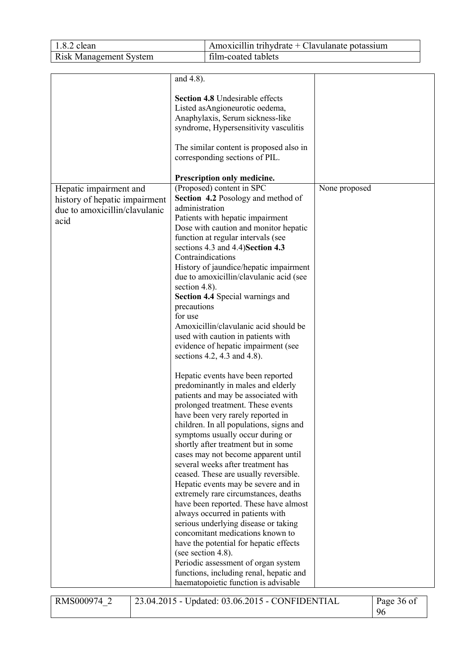| 1.8.2 clean                                                                  |                  | Amoxicillin trihydrate + Clavulanate potassium                               |               |  |  |
|------------------------------------------------------------------------------|------------------|------------------------------------------------------------------------------|---------------|--|--|
| <b>Risk Management System</b>                                                |                  | film-coated tablets                                                          |               |  |  |
|                                                                              |                  |                                                                              |               |  |  |
|                                                                              | and 4.8).        |                                                                              |               |  |  |
|                                                                              |                  | <b>Section 4.8 Undesirable effects</b>                                       |               |  |  |
|                                                                              |                  | Listed as Angioneurotic oedema,                                              |               |  |  |
|                                                                              |                  | Anaphylaxis, Serum sickness-like                                             |               |  |  |
|                                                                              |                  | syndrome, Hypersensitivity vasculitis                                        |               |  |  |
|                                                                              |                  | The similar content is proposed also in                                      |               |  |  |
|                                                                              |                  | corresponding sections of PIL.                                               |               |  |  |
|                                                                              |                  | Prescription only medicine.                                                  |               |  |  |
| Hepatic impairment and                                                       |                  | (Proposed) content in SPC                                                    | None proposed |  |  |
| history of hepatic impairment                                                |                  | <b>Section 4.2 Posology and method of</b>                                    |               |  |  |
| due to amoxicillin/clavulanic                                                | administration   |                                                                              |               |  |  |
| acid                                                                         |                  | Patients with hepatic impairment                                             |               |  |  |
|                                                                              |                  | Dose with caution and monitor hepatic                                        |               |  |  |
|                                                                              |                  | function at regular intervals (see                                           |               |  |  |
|                                                                              |                  | sections 4.3 and 4.4) Section 4.3                                            |               |  |  |
|                                                                              |                  | Contraindications                                                            |               |  |  |
|                                                                              |                  | History of jaundice/hepatic impairment                                       |               |  |  |
|                                                                              |                  | due to amoxicillin/clavulanic acid (see                                      |               |  |  |
|                                                                              | section $4.8$ ). |                                                                              |               |  |  |
|                                                                              | precautions      | <b>Section 4.4 Special warnings and</b>                                      |               |  |  |
|                                                                              | for use          |                                                                              |               |  |  |
|                                                                              |                  | Amoxicillin/clavulanic acid should be                                        |               |  |  |
|                                                                              |                  | used with caution in patients with                                           |               |  |  |
|                                                                              |                  | evidence of hepatic impairment (see                                          |               |  |  |
|                                                                              |                  | sections 4.2, 4.3 and 4.8).                                                  |               |  |  |
|                                                                              |                  | Hepatic events have been reported                                            |               |  |  |
|                                                                              |                  | predominantly in males and elderly                                           |               |  |  |
|                                                                              |                  | patients and may be associated with                                          |               |  |  |
|                                                                              |                  | prolonged treatment. These events                                            |               |  |  |
|                                                                              |                  | have been very rarely reported in                                            |               |  |  |
|                                                                              |                  | children. In all populations, signs and                                      |               |  |  |
|                                                                              |                  | symptoms usually occur during or                                             |               |  |  |
|                                                                              |                  | shortly after treatment but in some                                          |               |  |  |
|                                                                              |                  | cases may not become apparent until                                          |               |  |  |
|                                                                              |                  | several weeks after treatment has                                            |               |  |  |
|                                                                              |                  | ceased. These are usually reversible.<br>Hepatic events may be severe and in |               |  |  |
|                                                                              |                  | extremely rare circumstances, deaths                                         |               |  |  |
|                                                                              |                  | have been reported. These have almost                                        |               |  |  |
|                                                                              |                  | always occurred in patients with                                             |               |  |  |
|                                                                              |                  | serious underlying disease or taking                                         |               |  |  |
|                                                                              |                  | concomitant medications known to                                             |               |  |  |
|                                                                              |                  | have the potential for hepatic effects                                       |               |  |  |
|                                                                              |                  | (see section 4.8).                                                           |               |  |  |
|                                                                              |                  | Periodic assessment of organ system                                          |               |  |  |
|                                                                              |                  | functions, including renal, hepatic and                                      |               |  |  |
| haematopoietic function is advisable                                         |                  |                                                                              |               |  |  |
| 23.04.2015 - Updated: 03.06.2015 - CONFIDENTIAL<br>RMS000974 2<br>Page 36 of |                  |                                                                              |               |  |  |
|                                                                              |                  |                                                                              | 96            |  |  |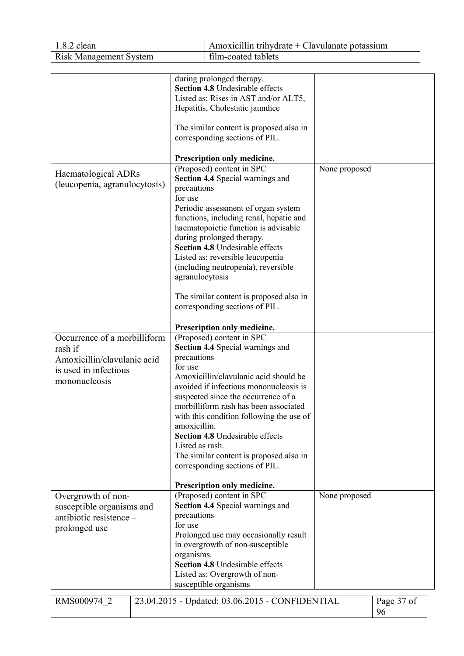| 1.8.2 clean                                                                      |                                                           | Amoxicillin trihydrate $+$ Clavulanate potassium                                                                                                                                                                                                                                                                                                                                                                       |               |                  |
|----------------------------------------------------------------------------------|-----------------------------------------------------------|------------------------------------------------------------------------------------------------------------------------------------------------------------------------------------------------------------------------------------------------------------------------------------------------------------------------------------------------------------------------------------------------------------------------|---------------|------------------|
| <b>Risk Management System</b>                                                    |                                                           | film-coated tablets                                                                                                                                                                                                                                                                                                                                                                                                    |               |                  |
|                                                                                  |                                                           |                                                                                                                                                                                                                                                                                                                                                                                                                        |               |                  |
|                                                                                  |                                                           | during prolonged therapy.<br>Section 4.8 Undesirable effects<br>Listed as: Rises in AST and/or ALT5,<br>Hepatitis, Cholestatic jaundice<br>The similar content is proposed also in<br>corresponding sections of PIL.<br>Prescription only medicine.                                                                                                                                                                    |               |                  |
| Haematological ADRs<br>(leucopenia, agranulocytosis)                             | precautions<br>for use<br>agranulocytosis                 | (Proposed) content in SPC<br><b>Section 4.4 Special warnings and</b><br>Periodic assessment of organ system<br>functions, including renal, hepatic and<br>haematopoietic function is advisable<br>during prolonged therapy.<br>Section 4.8 Undesirable effects<br>Listed as: reversible leucopenia<br>(including neutropenia), reversible<br>The similar content is proposed also in<br>corresponding sections of PIL. | None proposed |                  |
| Occurrence of a morbilliform                                                     |                                                           | Prescription only medicine.<br>(Proposed) content in SPC<br>Section 4.4 Special warnings and                                                                                                                                                                                                                                                                                                                           |               |                  |
| rash if<br>Amoxicillin/clavulanic acid<br>is used in infectious<br>mononucleosis | precautions<br>for use<br>amoxicillin.<br>Listed as rash. | Amoxicillin/clavulanic acid should be<br>avoided if infectious mononucleosis is<br>suspected since the occurrence of a<br>morbilliform rash has been associated<br>with this condition following the use of<br><b>Section 4.8 Undesirable effects</b><br>The similar content is proposed also in<br>corresponding sections of PIL.<br>Prescription only medicine.                                                      |               |                  |
| Overgrowth of non-                                                               |                                                           | (Proposed) content in SPC                                                                                                                                                                                                                                                                                                                                                                                              | None proposed |                  |
| susceptible organisms and<br>antibiotic resistence -<br>prolonged use            | precautions<br>for use<br>organisms.                      | <b>Section 4.4 Special warnings and</b><br>Prolonged use may occasionally result<br>in overgrowth of non-susceptible<br><b>Section 4.8 Undesirable effects</b><br>Listed as: Overgrowth of non-<br>susceptible organisms                                                                                                                                                                                               |               |                  |
| RMS000974 2                                                                      |                                                           | 23.04.2015 - Updated: 03.06.2015 - CONFIDENTIAL                                                                                                                                                                                                                                                                                                                                                                        |               | Page 37 of<br>96 |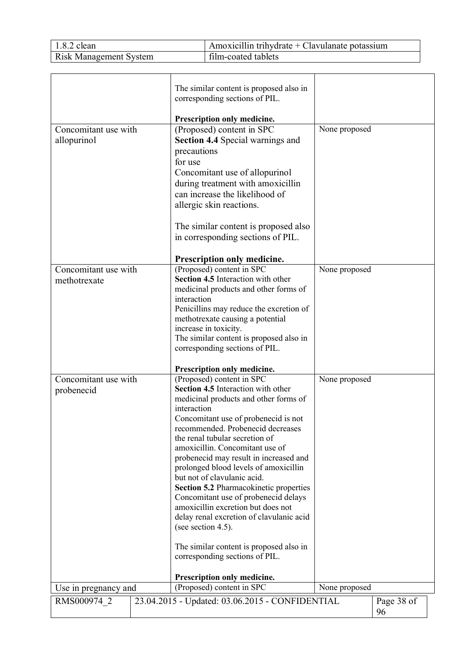| $1.8.2$ clean                 | Amoxicillin trihydrate + Clavulanate potassium |
|-------------------------------|------------------------------------------------|
| <b>Risk Management System</b> | film-coated tablets                            |

|                      |  | The similar content is proposed also in                                     |               |            |
|----------------------|--|-----------------------------------------------------------------------------|---------------|------------|
|                      |  | corresponding sections of PIL.                                              |               |            |
|                      |  | Prescription only medicine.                                                 |               |            |
| Concomitant use with |  | (Proposed) content in SPC                                                   | None proposed |            |
| allopurinol          |  | <b>Section 4.4 Special warnings and</b>                                     |               |            |
|                      |  | precautions                                                                 |               |            |
|                      |  | for use                                                                     |               |            |
|                      |  | Concomitant use of allopurinol                                              |               |            |
|                      |  | during treatment with amoxicillin                                           |               |            |
|                      |  | can increase the likelihood of                                              |               |            |
|                      |  | allergic skin reactions.                                                    |               |            |
|                      |  | The similar content is proposed also                                        |               |            |
|                      |  | in corresponding sections of PIL.                                           |               |            |
|                      |  | Prescription only medicine.                                                 |               |            |
| Concomitant use with |  | (Proposed) content in SPC                                                   | None proposed |            |
| methotrexate         |  | Section 4.5 Interaction with other                                          |               |            |
|                      |  | medicinal products and other forms of                                       |               |            |
|                      |  | interaction                                                                 |               |            |
|                      |  | Penicillins may reduce the excretion of<br>methotrexate causing a potential |               |            |
|                      |  | increase in toxicity.                                                       |               |            |
|                      |  | The similar content is proposed also in                                     |               |            |
|                      |  | corresponding sections of PIL.                                              |               |            |
|                      |  |                                                                             |               |            |
| Concomitant use with |  | Prescription only medicine.<br>(Proposed) content in SPC                    | None proposed |            |
| probenecid           |  | Section 4.5 Interaction with other                                          |               |            |
|                      |  | medicinal products and other forms of                                       |               |            |
|                      |  | interaction                                                                 |               |            |
|                      |  | Concomitant use of probenecid is not                                        |               |            |
|                      |  | recommended. Probenecid decreases                                           |               |            |
|                      |  | the renal tubular secretion of<br>amoxicillin. Concomitant use of           |               |            |
|                      |  | probenecid may result in increased and                                      |               |            |
|                      |  | prolonged blood levels of amoxicillin                                       |               |            |
|                      |  | but not of clavulanic acid.                                                 |               |            |
|                      |  | Section 5.2 Pharmacokinetic properties                                      |               |            |
|                      |  | Concomitant use of probenecid delays                                        |               |            |
|                      |  | amoxicillin excretion but does not                                          |               |            |
|                      |  | delay renal excretion of clavulanic acid                                    |               |            |
|                      |  | (see section 4.5).                                                          |               |            |
|                      |  | The similar content is proposed also in                                     |               |            |
|                      |  | corresponding sections of PIL.                                              |               |            |
|                      |  | Prescription only medicine.                                                 |               |            |
| Use in pregnancy and |  | (Proposed) content in SPC                                                   | None proposed |            |
| RMS000974 2          |  | 23.04.2015 - Updated: 03.06.2015 - CONFIDENTIAL                             |               | Page 38 of |
|                      |  |                                                                             |               | 96         |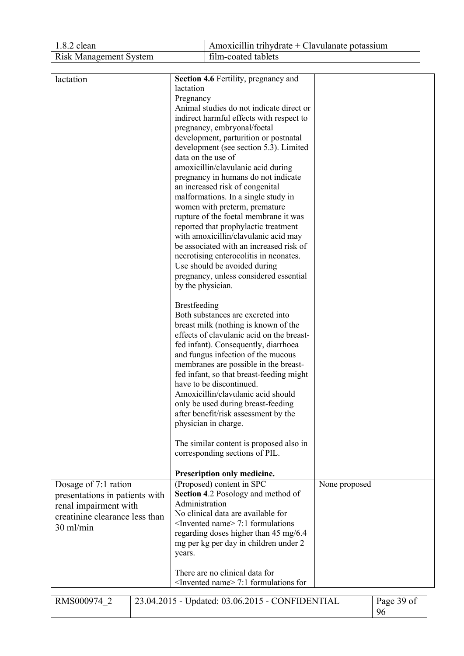| 1.8.2 clean                    |  |                     | Amoxicillin trihydrate $+$ Clavulanate potassium                                  |               |            |
|--------------------------------|--|---------------------|-----------------------------------------------------------------------------------|---------------|------------|
| <b>Risk Management System</b>  |  | film-coated tablets |                                                                                   |               |            |
|                                |  |                     |                                                                                   |               |            |
| lactation                      |  |                     | <b>Section 4.6 Fertility, pregnancy and</b>                                       |               |            |
|                                |  | lactation           |                                                                                   |               |            |
|                                |  | Pregnancy           |                                                                                   |               |            |
|                                |  |                     | Animal studies do not indicate direct or                                          |               |            |
|                                |  |                     | indirect harmful effects with respect to                                          |               |            |
|                                |  |                     | pregnancy, embryonal/foetal                                                       |               |            |
|                                |  |                     | development, parturition or postnatal                                             |               |            |
|                                |  |                     | development (see section 5.3). Limited<br>data on the use of                      |               |            |
|                                |  |                     | amoxicillin/clavulanic acid during                                                |               |            |
|                                |  |                     | pregnancy in humans do not indicate                                               |               |            |
|                                |  |                     | an increased risk of congenital                                                   |               |            |
|                                |  |                     | malformations. In a single study in                                               |               |            |
|                                |  |                     | women with preterm, premature                                                     |               |            |
|                                |  |                     | rupture of the foetal membrane it was                                             |               |            |
|                                |  |                     | reported that prophylactic treatment                                              |               |            |
|                                |  |                     | with amoxicillin/clavulanic acid may                                              |               |            |
|                                |  |                     | be associated with an increased risk of                                           |               |            |
|                                |  |                     | necrotising enterocolitis in neonates.<br>Use should be avoided during            |               |            |
|                                |  |                     | pregnancy, unless considered essential                                            |               |            |
|                                |  | by the physician.   |                                                                                   |               |            |
|                                |  |                     |                                                                                   |               |            |
|                                |  | <b>Brestfeeding</b> |                                                                                   |               |            |
|                                |  |                     | Both substances are excreted into                                                 |               |            |
|                                |  |                     | breast milk (nothing is known of the<br>effects of clavulanic acid on the breast- |               |            |
|                                |  |                     | fed infant). Consequently, diarrhoea                                              |               |            |
|                                |  |                     | and fungus infection of the mucous                                                |               |            |
|                                |  |                     | membranes are possible in the breast-                                             |               |            |
|                                |  |                     | fed infant, so that breast-feeding might                                          |               |            |
|                                |  |                     | have to be discontinued.                                                          |               |            |
|                                |  |                     | Amoxicillin/clavulanic acid should                                                |               |            |
|                                |  |                     | only be used during breast-feeding                                                |               |            |
|                                |  |                     | after benefit/risk assessment by the                                              |               |            |
|                                |  |                     | physician in charge.                                                              |               |            |
|                                |  |                     | The similar content is proposed also in                                           |               |            |
|                                |  |                     | corresponding sections of PIL.                                                    |               |            |
|                                |  |                     |                                                                                   |               |            |
|                                |  |                     | Prescription only medicine.                                                       |               |            |
| Dosage of 7:1 ration           |  |                     | (Proposed) content in SPC<br><b>Section 4.2 Posology and method of</b>            | None proposed |            |
| presentations in patients with |  | Administration      |                                                                                   |               |            |
| renal impairment with          |  |                     | No clinical data are available for                                                |               |            |
| creatinine clearance less than |  |                     | <invented name=""> 7:1 formulations</invented>                                    |               |            |
| 30 ml/min                      |  |                     | regarding doses higher than 45 mg/6.4                                             |               |            |
|                                |  |                     | mg per kg per day in children under 2                                             |               |            |
|                                |  | years.              |                                                                                   |               |            |
|                                |  |                     |                                                                                   |               |            |
|                                |  |                     | There are no clinical data for                                                    |               |            |
|                                |  |                     | $\leq$ Invented name $\geq$ 7:1 formulations for                                  |               |            |
| RMS000974 2                    |  |                     | 23.04.2015 - Updated: 03.06.2015 - CONFIDENTIAL                                   |               | Page 39 of |
|                                |  |                     |                                                                                   |               | 96         |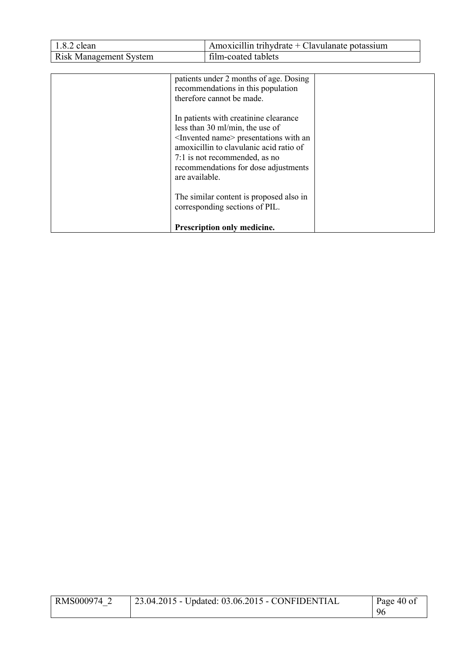| 1.8.2 clean                   | Amoxicillin trihydrate + Clavulanate potassium                                                                                                                                                                                                                            |
|-------------------------------|---------------------------------------------------------------------------------------------------------------------------------------------------------------------------------------------------------------------------------------------------------------------------|
| <b>Risk Management System</b> | film-coated tablets                                                                                                                                                                                                                                                       |
|                               |                                                                                                                                                                                                                                                                           |
|                               | patients under 2 months of age. Dosing                                                                                                                                                                                                                                    |
|                               | recommendations in this population                                                                                                                                                                                                                                        |
|                               | therefore cannot be made.                                                                                                                                                                                                                                                 |
|                               | In patients with creatinine clearance<br>less than 30 ml/min, the use of<br><invented name=""> presentations with an<br/>amoxicillin to clavulanic acid ratio of<br/>7:1 is not recommended, as no<br/>recommendations for dose adjustments<br/>are available.</invented> |
|                               | The similar content is proposed also in<br>corresponding sections of PIL.                                                                                                                                                                                                 |
|                               | <b>Prescription only medicine.</b>                                                                                                                                                                                                                                        |

| <b>RMS000974</b> | 23.04.2015 - Updated: 03.06.2015 - CONFIDENTIAL | Page 40 of |
|------------------|-------------------------------------------------|------------|
|                  |                                                 |            |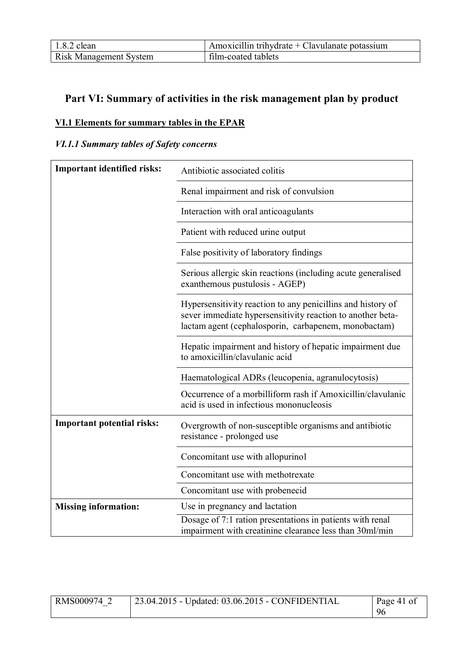| $1.8.2$ clean                 | $\mu$ Amoxicillin trihydrate + Clavulanate potassium |
|-------------------------------|------------------------------------------------------|
| <b>Risk Management System</b> | film-coated tablets                                  |

# **Part VI: Summary of activities in the risk management plan by product**

# **VI.1 Elements for summary tables in the EPAR**

# *VI.1.1 Summary tables of Safety concerns*

| <b>Important identified risks:</b> | Antibiotic associated colitis                                                                                                                                                     |
|------------------------------------|-----------------------------------------------------------------------------------------------------------------------------------------------------------------------------------|
|                                    | Renal impairment and risk of convulsion                                                                                                                                           |
|                                    | Interaction with oral anticoagulants                                                                                                                                              |
|                                    | Patient with reduced urine output                                                                                                                                                 |
|                                    | False positivity of laboratory findings                                                                                                                                           |
|                                    | Serious allergic skin reactions (including acute generalised<br>exanthemous pustulosis - AGEP)                                                                                    |
|                                    | Hypersensitivity reaction to any penicillins and history of<br>sever immediate hypersensitivity reaction to another beta-<br>lactam agent (cephalosporin, carbapenem, monobactam) |
|                                    | Hepatic impairment and history of hepatic impairment due<br>to amoxicillin/clavulanic acid                                                                                        |
|                                    | Haematological ADRs (leucopenia, agranulocytosis)                                                                                                                                 |
|                                    | Occurrence of a morbilliform rash if Amoxicillin/clavulanic<br>acid is used in infectious mononucleosis                                                                           |
| <b>Important potential risks:</b>  | Overgrowth of non-susceptible organisms and antibiotic<br>resistance - prolonged use                                                                                              |
|                                    | Concomitant use with allopurinol                                                                                                                                                  |
|                                    | Concomitant use with methotrexate                                                                                                                                                 |
|                                    | Concomitant use with probenecid                                                                                                                                                   |
| <b>Missing information:</b>        | Use in pregnancy and lactation                                                                                                                                                    |
|                                    | Dosage of 7:1 ration presentations in patients with renal<br>impairment with creatinine clearance less than 30ml/min                                                              |

| RMS000974 2 | 23.04.2015 - Updated: 03.06.2015 - CONFIDENTIAL | Page 41 of |
|-------------|-------------------------------------------------|------------|
|             |                                                 | 96         |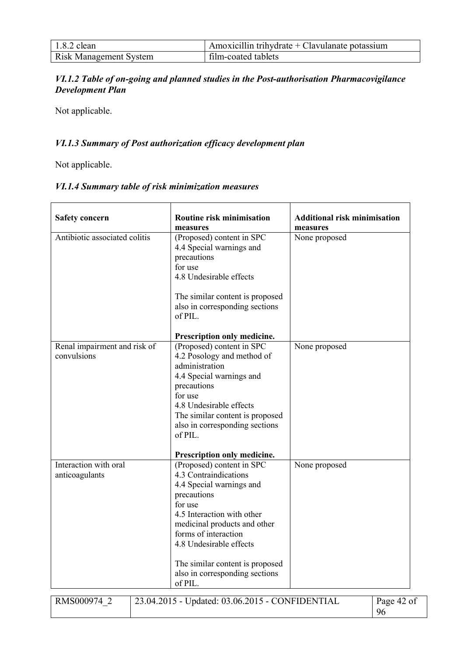| $1.8.2$ clean                 | $\mu$ Amoxicillin trihydrate + Clavulanate potassium |
|-------------------------------|------------------------------------------------------|
| <b>Risk Management System</b> | film-coated tablets                                  |

# *VI.1.2 Table of on-going and planned studies in the Post-authorisation Pharmacovigilance Development Plan*

Not applicable.

# *VI.1.3 Summary of Post authorization efficacy development plan*

Not applicable.

# *VI.1.4 Summary table of risk minimization measures*

| <b>Safety concern</b>                       | <b>Routine risk minimisation</b><br>measures                                                                                                                                                                                                                                                              | <b>Additional risk minimisation</b><br>measures |
|---------------------------------------------|-----------------------------------------------------------------------------------------------------------------------------------------------------------------------------------------------------------------------------------------------------------------------------------------------------------|-------------------------------------------------|
| Antibiotic associated colitis               | (Proposed) content in SPC<br>4.4 Special warnings and<br>precautions<br>for use<br>4.8 Undesirable effects<br>The similar content is proposed<br>also in corresponding sections<br>of PIL.<br>Prescription only medicine.                                                                                 | None proposed                                   |
| Renal impairment and risk of<br>convulsions | (Proposed) content in SPC<br>4.2 Posology and method of<br>administration<br>4.4 Special warnings and<br>precautions<br>for use<br>4.8 Undesirable effects<br>The similar content is proposed<br>also in corresponding sections<br>of PIL.<br>Prescription only medicine.                                 | None proposed                                   |
| Interaction with oral<br>anticoagulants     | (Proposed) content in SPC<br>4.3 Contraindications<br>4.4 Special warnings and<br>precautions<br>for use<br>4.5 Interaction with other<br>medicinal products and other<br>forms of interaction<br>4.8 Undesirable effects<br>The similar content is proposed<br>also in corresponding sections<br>of PIL. | None proposed                                   |
| RMS000974 2                                 | 23.04.2015 - Updated: 03.06.2015 - CONFIDENTIAL                                                                                                                                                                                                                                                           | Page 42 of<br>96                                |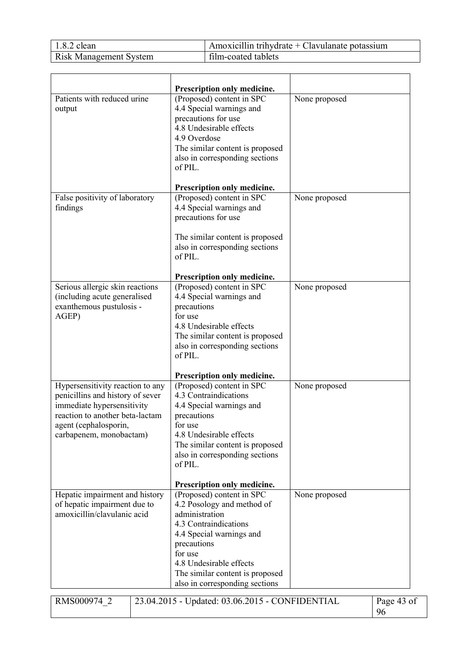| $1.8.2$ clean                 | Amoxicillin trihydrate + Clavulanate potassium |
|-------------------------------|------------------------------------------------|
| <b>Risk Management System</b> | film-coated tablets                            |

|                                                                                                                                                                                           | Prescription only medicine.                                                                                                                                                                                                                              |               |                  |
|-------------------------------------------------------------------------------------------------------------------------------------------------------------------------------------------|----------------------------------------------------------------------------------------------------------------------------------------------------------------------------------------------------------------------------------------------------------|---------------|------------------|
| Patients with reduced urine<br>output                                                                                                                                                     | (Proposed) content in SPC<br>4.4 Special warnings and<br>precautions for use<br>4.8 Undesirable effects<br>4.9 Overdose<br>The similar content is proposed<br>also in corresponding sections<br>of PIL.                                                  | None proposed |                  |
| False positivity of laboratory                                                                                                                                                            | Prescription only medicine.<br>(Proposed) content in SPC                                                                                                                                                                                                 | None proposed |                  |
| findings                                                                                                                                                                                  | 4.4 Special warnings and<br>precautions for use<br>The similar content is proposed<br>also in corresponding sections<br>of PIL.                                                                                                                          |               |                  |
|                                                                                                                                                                                           | Prescription only medicine.                                                                                                                                                                                                                              |               |                  |
| Serious allergic skin reactions<br>(including acute generalised<br>exanthemous pustulosis -<br>AGEP)                                                                                      | (Proposed) content in SPC<br>4.4 Special warnings and<br>precautions<br>for use<br>4.8 Undesirable effects<br>The similar content is proposed<br>also in corresponding sections<br>of PIL.                                                               | None proposed |                  |
|                                                                                                                                                                                           | Prescription only medicine.                                                                                                                                                                                                                              |               |                  |
| Hypersensitivity reaction to any<br>penicillins and history of sever<br>immediate hypersensitivity<br>reaction to another beta-lactam<br>agent (cephalosporin,<br>carbapenem, monobactam) | (Proposed) content in SPC<br>4.3 Contraindications<br>4.4 Special warnings and<br>precautions<br>for use<br>4.8 Undesirable effects<br>The similar content is proposed<br>also in corresponding sections<br>of PIL.                                      | None proposed |                  |
|                                                                                                                                                                                           | Prescription only medicine.                                                                                                                                                                                                                              |               |                  |
| Hepatic impairment and history<br>of hepatic impairment due to<br>amoxicillin/clavulanic acid                                                                                             | (Proposed) content in SPC<br>4.2 Posology and method of<br>administration<br>4.3 Contraindications<br>4.4 Special warnings and<br>precautions<br>for use<br>4.8 Undesirable effects<br>The similar content is proposed<br>also in corresponding sections | None proposed |                  |
| RMS000974 2                                                                                                                                                                               | 23.04.2015 - Updated: 03.06.2015 - CONFIDENTIAL                                                                                                                                                                                                          |               | Page 43 of<br>96 |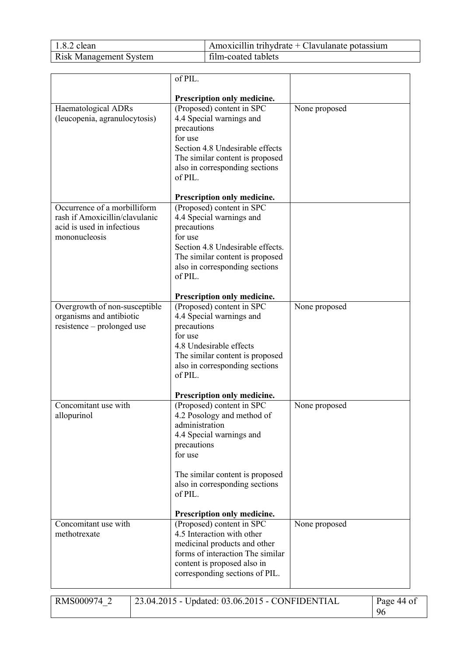| $1.8.2$ clean                 | Amoxicillin trihydrate + Clavulanate potassium |
|-------------------------------|------------------------------------------------|
| <b>Risk Management System</b> | film-coated tablets                            |

|                                | of PIL.                                                       |               |
|--------------------------------|---------------------------------------------------------------|---------------|
|                                |                                                               |               |
| Haematological ADRs            | Prescription only medicine.<br>(Proposed) content in SPC      | None proposed |
| (leucopenia, agranulocytosis)  | 4.4 Special warnings and                                      |               |
|                                | precautions                                                   |               |
|                                | for use                                                       |               |
|                                | Section 4.8 Undesirable effects                               |               |
|                                | The similar content is proposed                               |               |
|                                | also in corresponding sections                                |               |
|                                | of PIL.                                                       |               |
|                                | Prescription only medicine.                                   |               |
| Occurrence of a morbilliform   | (Proposed) content in SPC                                     |               |
| rash if Amoxicillin/clavulanic | 4.4 Special warnings and                                      |               |
| acid is used in infectious     | precautions                                                   |               |
| mononucleosis                  | for use                                                       |               |
|                                | Section 4.8 Undesirable effects.                              |               |
|                                | The similar content is proposed                               |               |
|                                | also in corresponding sections<br>of PIL.                     |               |
|                                |                                                               |               |
|                                | Prescription only medicine.                                   |               |
| Overgrowth of non-susceptible  | (Proposed) content in SPC                                     | None proposed |
| organisms and antibiotic       | 4.4 Special warnings and                                      |               |
| resistence – prolonged use     | precautions                                                   |               |
|                                | for use<br>4.8 Undesirable effects                            |               |
|                                | The similar content is proposed                               |               |
|                                | also in corresponding sections                                |               |
|                                | of PIL.                                                       |               |
|                                |                                                               |               |
|                                | Prescription only medicine.                                   |               |
| Concomitant use with           | (Proposed) content in SPC                                     | None proposed |
| allopurinol                    | 4.2 Posology and method of<br>administration                  |               |
|                                | 4.4 Special warnings and                                      |               |
|                                | precautions                                                   |               |
|                                | for use                                                       |               |
|                                |                                                               |               |
|                                | The similar content is proposed                               |               |
|                                | also in corresponding sections<br>of PIL.                     |               |
|                                |                                                               |               |
|                                | Prescription only medicine.                                   |               |
| Concomitant use with           | (Proposed) content in SPC                                     | None proposed |
| methotrexate                   | 4.5 Interaction with other                                    |               |
|                                | medicinal products and other                                  |               |
|                                | forms of interaction The similar                              |               |
|                                | content is proposed also in<br>corresponding sections of PIL. |               |
|                                |                                                               |               |
|                                |                                                               |               |

| RMS000974 | $\frac{1}{23.04.2015}$ - Updated: 03.06.2015 - CONFIDENTIAL | Page 44 of |
|-----------|-------------------------------------------------------------|------------|
|           |                                                             |            |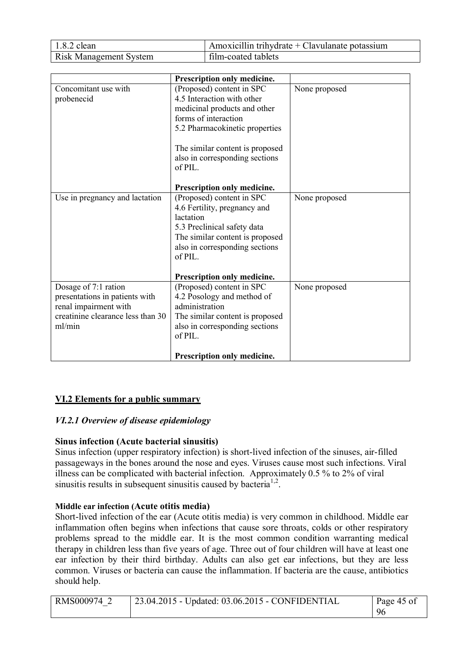| $1.8.2$ clean                 | Amoxicillin trihydrate + Clavulanate potassium |
|-------------------------------|------------------------------------------------|
| <b>Risk Management System</b> | film-coated tablets                            |

|                                                                                                                                | Prescription only medicine.                                                                                                                                                                                                                                      |               |
|--------------------------------------------------------------------------------------------------------------------------------|------------------------------------------------------------------------------------------------------------------------------------------------------------------------------------------------------------------------------------------------------------------|---------------|
| Concomitant use with<br>probenecid                                                                                             | (Proposed) content in SPC<br>4.5 Interaction with other<br>medicinal products and other<br>forms of interaction<br>5.2 Pharmacokinetic properties<br>The similar content is proposed<br>also in corresponding sections<br>of PIL.<br>Prescription only medicine. | None proposed |
| Use in pregnancy and lactation                                                                                                 | (Proposed) content in SPC<br>4.6 Fertility, pregnancy and<br>lactation<br>5.3 Preclinical safety data<br>The similar content is proposed<br>also in corresponding sections<br>of PIL.<br>Prescription only medicine.                                             | None proposed |
| Dosage of 7:1 ration<br>presentations in patients with<br>renal impairment with<br>creatinine clearance less than 30<br>ml/min | (Proposed) content in SPC<br>4.2 Posology and method of<br>administration<br>The similar content is proposed<br>also in corresponding sections<br>of PIL.<br>Prescription only medicine.                                                                         | None proposed |

# **VI.2 Elements for a public summary**

# *VI.2.1 Overview of disease epidemiology*

# **Sinus infection (Acute bacterial sinusitis)**

Sinus infection (upper respiratory infection) is short-lived infection of the sinuses, air-filled passageways in the bones around the nose and eyes. Viruses cause most such infections. Viral illness can be complicated with bacterial infection. Approximately 0.5 % to 2% of viral sinusitis results in subsequent sinusitis caused by bacteria<sup>1,2</sup>.

# **Middle ear infection (Acute otitis media)**

Short-lived infection of the ear (Acute otitis media) is very common in childhood. Middle ear inflammation often begins when infections that cause sore throats, colds or other respiratory problems spread to the middle ear. It is the most common condition warranting medical therapy in children less than five years of age. Three out of four children will have at least one ear infection by their third birthday. Adults can also get ear infections, but they are less common. Viruses or bacteria can cause the inflammation. If bacteria are the cause, antibiotics should help.

| RMS000974 2 | 23.04.2015 - Updated: 03.06.2015 - CONFIDENTIAL | Page 45 of |
|-------------|-------------------------------------------------|------------|
|             |                                                 | 96         |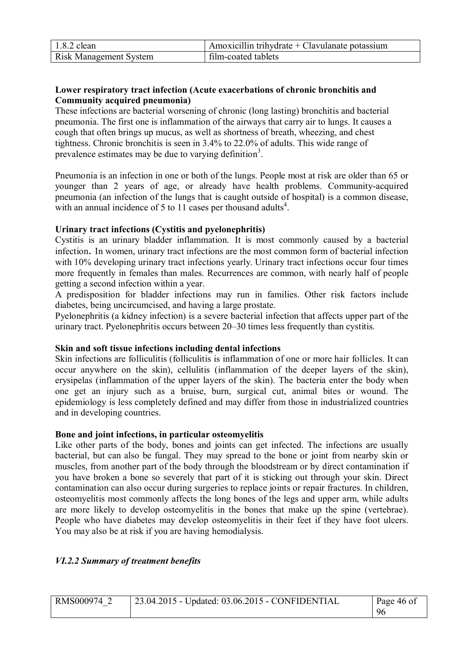| $1.8.2$ clean                 | $\mu$ Amoxicillin trihydrate + Clavulanate potassium |
|-------------------------------|------------------------------------------------------|
| <b>Risk Management System</b> | film-coated tablets                                  |

# **Lower respiratory tract infection (Acute exacerbations of chronic bronchitis and Community acquired pneumonia)**

These infections are bacterial worsening of chronic (long lasting) bronchitis and bacterial pneumonia. The first one is inflammation of the airways that carry air to lungs. It causes a cough that often brings up mucus, as well as shortness of breath, wheezing, and chest tightness. Chronic bronchitis is seen in 3.4% to 22.0% of adults. This wide range of prevalence estimates may be due to varying definition<sup>3</sup>.

Pneumonia is an infection in one or both of the lungs. People most at risk are older than 65 or younger than 2 years of age, or already have health problems. Community-acquired pneumonia (an infection of the lungs that is caught outside of hospital) is a common disease, with an annual incidence of 5 to 11 cases per thousand adults<sup>4</sup>.

# **Urinary tract infections (Cystitis and pyelonephritis)**

Cystitis is an urinary bladder inflammation. It is most commonly caused by a bacterial infection. In women, urinary tract infections are the most common form of bacterial infection with 10% developing urinary tract infections yearly. Urinary tract infections occur four times more frequently in females than males. Recurrences are common, with nearly half of people getting a second infection within a year.

A predisposition for bladder infections may run in families. Other risk factors include diabetes, being uncircumcised, and having a large prostate.

Pyelonephritis (a kidney infection) is a severe bacterial infection that affects upper part of the urinary tract. Pyelonephritis occurs between 20–30 times less frequently than cystitis.

# **Skin and soft tissue infections including dental infections**

Skin infections are folliculitis (folliculitis is inflammation of one or more hair follicles. It can occur anywhere on the skin), cellulitis (inflammation of the deeper layers of the skin), erysipelas (inflammation of the upper layers of the skin). The bacteria enter the body when one get an injury such as a bruise, burn, surgical cut, animal bites or wound. The epidemiology is less completely defined and may differ from those in industrialized countries and in developing countries.

# **Bone and joint infections, in particular osteomyelitis**

Like other parts of the body, bones and joints can get infected. The infections are usually bacterial, but can also be fungal. They may spread to the bone or joint from nearby skin or muscles, from another part of the body through the bloodstream or by direct contamination if you have broken a bone so severely that part of it is sticking out through your skin. Direct contamination can also occur during surgeries to replace joints or repair fractures. In children, osteomyelitis most commonly affects the long bones of the legs and upper arm, while adults are more likely to develop osteomyelitis in the bones that make up the spine (vertebrae). People who have diabetes may develop osteomyelitis in their feet if they have foot ulcers. You may also be at risk if you are having hemodialysis.

# *VI.2.2 Summary of treatment benefits*

| RMS000974 2 | $\vert$ 23.04.2015 - Updated: 03.06.2015 - CONFIDENTIAL | Page 46 of |
|-------------|---------------------------------------------------------|------------|
|             |                                                         | 96         |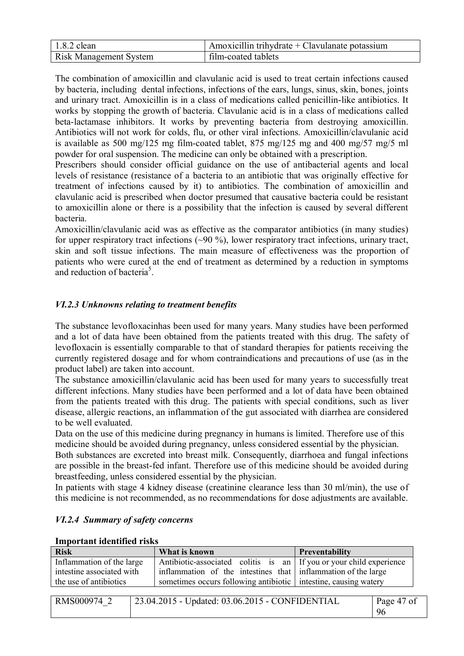| $1.8.2$ clean                 | $\mu$ Amoxicillin trihydrate + Clavulanate potassium |
|-------------------------------|------------------------------------------------------|
| <b>Risk Management System</b> | film-coated tablets                                  |

The combination of amoxicillin and clavulanic acid is used to treat certain infections caused by bacteria, including dental infections, infections of the ears, lungs, sinus, skin, bones, joints and urinary tract. Amoxicillin is in a class of medications called penicillin-like antibiotics. It works by stopping the growth of bacteria. Clavulanic acid is in a class of medications called beta-lactamase inhibitors. It works by preventing bacteria from destroying amoxicillin. Antibiotics will not work for colds, flu, or other viral infections. Amoxicillin/clavulanic acid is available as 500 mg/125 mg film-coated tablet, 875 mg/125 mg and 400 mg/57 mg/5 ml powder for oral suspension. The medicine can only be obtained with a prescription.

Prescribers should consider official guidance on the use of antibacterial agents and local levels of resistance (resistance of a bacteria to an antibiotic that was originally effective for treatment of infections caused by it) to antibiotics. The combination of amoxicillin and clavulanic acid is prescribed when doctor presumed that causative bacteria could be resistant to amoxicillin alone or there is a possibility that the infection is caused by several different bacteria.

Amoxicillin/clavulanic acid was as effective as the comparator antibiotics (in many studies) for upper respiratory tract infections (~90 %), lower respiratory tract infections, urinary tract, skin and soft tissue infections. The main measure of effectiveness was the proportion of patients who were cured at the end of treatment as determined by a reduction in symptoms and reduction of bacteria<sup>5</sup>.

# *VI.2.3 Unknowns relating to treatment benefits*

The substance levofloxacinhas been used for many years. Many studies have been performed and a lot of data have been obtained from the patients treated with this drug. The safety of levofloxacin is essentially comparable to that of standard therapies for patients receiving the currently registered dosage and for whom contraindications and precautions of use (as in the product label) are taken into account.

The substance amoxicillin/clavulanic acid has been used for many years to successfully treat different infections. Many studies have been performed and a lot of data have been obtained from the patients treated with this drug. The patients with special conditions, such as liver disease, allergic reactions, an inflammation of the gut associated with diarrhea are considered to be well evaluated.

Data on the use of this medicine during pregnancy in humans is limited. Therefore use of this medicine should be avoided during pregnancy, unless considered essential by the physician.

Both substances are excreted into breast milk. Consequently, diarrhoea and fungal infections are possible in the breast-fed infant. Therefore use of this medicine should be avoided during breastfeeding, unless considered essential by the physician.

In patients with stage 4 kidney disease (creatinine clearance less than 30 ml/min), the use of this medicine is not recommended, as no recommendations for dose adjustments are available.

| <b>Risk</b>               | What is known                                                       | Preventability |
|---------------------------|---------------------------------------------------------------------|----------------|
| Inflammation of the large | Antibiotic-associated colitis is an If you or your child experience |                |
| intestine associated with | inflammation of the intestines that inflammation of the large       |                |
| the use of antibiotics    | sometimes occurs following antibiotic intestine, causing watery     |                |
|                           |                                                                     |                |

# *VI.2.4 Summary of safety concerns*

| RMS000974 | 23.04.2015 - Updated: 03.06.2015 - CONFIDENTIAL | Page 47 of<br>9ŕ |
|-----------|-------------------------------------------------|------------------|
|           |                                                 |                  |

**Important identified risks**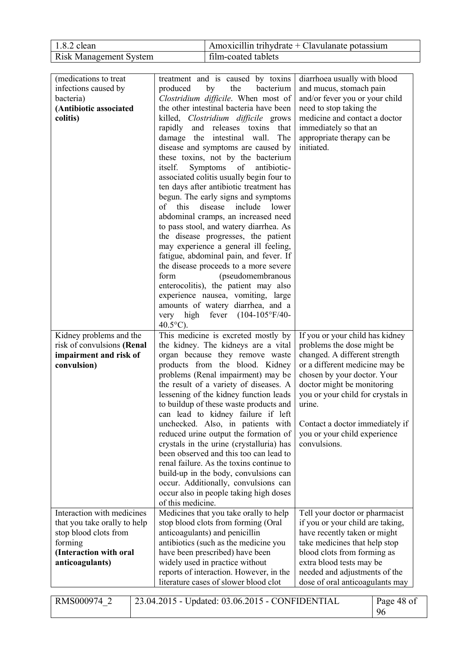| $1.8.2$ clean                 | $\Delta$ Amoxicillin trihydrate + Clavulanate potassium |
|-------------------------------|---------------------------------------------------------|
| <b>Risk Management System</b> | film-coated tablets                                     |

| (medications to treat)<br>infections caused by<br>bacteria)<br>(Antibiotic associated<br>colitis)                                           | treatment and is caused by toxins<br>the<br>produced<br>by<br>bacterium<br>Clostridium difficile. When most of<br>the other intestinal bacteria have been<br>killed, Clostridium difficile grows<br>rapidly and releases toxins<br>that<br>damage the intestinal wall.<br>The<br>disease and symptoms are caused by<br>these toxins, not by the bacterium<br>of antibiotic-<br>itself.<br>Symptoms<br>associated colitis usually begin four to<br>ten days after antibiotic treatment has<br>begun. The early signs and symptoms<br>this<br>disease<br>include lower<br>of<br>abdominal cramps, an increased need<br>to pass stool, and watery diarrhea. As<br>the disease progresses, the patient<br>may experience a general ill feeling,<br>fatigue, abdominal pain, and fever. If<br>the disease proceeds to a more severe<br>form<br>(pseudomembranous<br>enterocolitis), the patient may also<br>experience nausea, vomiting, large<br>amounts of watery diarrhea, and a<br>very high fever (104-105°F/40- | diarrhoea usually with blood<br>and mucus, stomach pain<br>and/or fever you or your child<br>need to stop taking the<br>medicine and contact a doctor<br>immediately so that an<br>appropriate therapy can be<br>initiated.                                                                                                     |
|---------------------------------------------------------------------------------------------------------------------------------------------|------------------------------------------------------------------------------------------------------------------------------------------------------------------------------------------------------------------------------------------------------------------------------------------------------------------------------------------------------------------------------------------------------------------------------------------------------------------------------------------------------------------------------------------------------------------------------------------------------------------------------------------------------------------------------------------------------------------------------------------------------------------------------------------------------------------------------------------------------------------------------------------------------------------------------------------------------------------------------------------------------------------|---------------------------------------------------------------------------------------------------------------------------------------------------------------------------------------------------------------------------------------------------------------------------------------------------------------------------------|
| Kidney problems and the<br>risk of convulsions (Renal<br>impairment and risk of<br>convulsion)                                              | $40.5^{\circ}$ C).<br>This medicine is excreted mostly by<br>the kidney. The kidneys are a vital<br>organ because they remove waste<br>products from the blood. Kidney<br>problems (Renal impairment) may be<br>the result of a variety of diseases. A<br>lessening of the kidney function leads<br>to buildup of these waste products and<br>can lead to kidney failure if left<br>unchecked. Also, in patients with<br>reduced urine output the formation of<br>crystals in the urine (crystalluria) has<br>been observed and this too can lead to<br>renal failure. As the toxins continue to<br>build-up in the body, convulsions can<br>occur. Additionally, convulsions can<br>occur also in people taking high doses<br>of this medicine.                                                                                                                                                                                                                                                                 | If you or your child has kidney<br>problems the dose might be<br>changed. A different strength<br>or a different medicine may be<br>chosen by your doctor. Your<br>doctor might be monitoring<br>you or your child for crystals in<br>urine.<br>Contact a doctor immediately if<br>you or your child experience<br>convulsions. |
| Interaction with medicines<br>that you take orally to help<br>stop blood clots from<br>forming<br>(Interaction with oral<br>anticoagulants) | Medicines that you take orally to help<br>stop blood clots from forming (Oral<br>anticoagulants) and penicillin<br>antibiotics (such as the medicine you<br>have been prescribed) have been<br>widely used in practice without<br>reports of interaction. However, in the<br>literature cases of slower blood clot                                                                                                                                                                                                                                                                                                                                                                                                                                                                                                                                                                                                                                                                                               | Tell your doctor or pharmacist<br>if you or your child are taking,<br>have recently taken or might<br>take medicines that help stop<br>blood clots from forming as<br>extra blood tests may be<br>needed and adjustments of the<br>dose of oral anticoagulants may                                                              |

| <b>RMS000974 2</b> | 23.04.2015 - Updated: 03.06.2015 - CONFIDENTIAL | Page 48 of |
|--------------------|-------------------------------------------------|------------|
|                    |                                                 | 96         |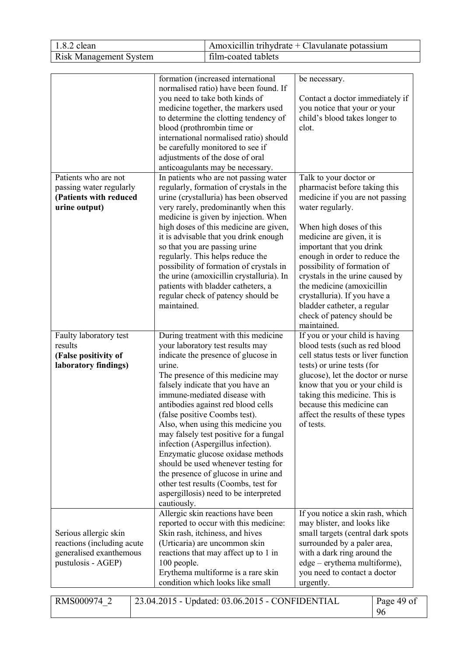| $1.8.2$ clean                 | Amoxicillin trihydrate + Clavulanate potassium |
|-------------------------------|------------------------------------------------|
| <b>Risk Management System</b> | film-coated tablets                            |

|                                                                                                      | formation (increased international<br>normalised ratio) have been found. If<br>you need to take both kinds of<br>medicine together, the markers used<br>to determine the clotting tendency of<br>blood (prothrombin time or<br>international normalised ratio) should<br>be carefully monitored to see if<br>adjustments of the dose of oral<br>anticoagulants may be necessary.                                                                                                                                                                                                                                                                    | be necessary.<br>Contact a doctor immediately if<br>you notice that your or your<br>child's blood takes longer to<br>clot.                                                                                                                                                                                                                                                                                                                     |            |
|------------------------------------------------------------------------------------------------------|-----------------------------------------------------------------------------------------------------------------------------------------------------------------------------------------------------------------------------------------------------------------------------------------------------------------------------------------------------------------------------------------------------------------------------------------------------------------------------------------------------------------------------------------------------------------------------------------------------------------------------------------------------|------------------------------------------------------------------------------------------------------------------------------------------------------------------------------------------------------------------------------------------------------------------------------------------------------------------------------------------------------------------------------------------------------------------------------------------------|------------|
| Patients who are not<br>passing water regularly<br>(Patients with reduced<br>urine output)           | In patients who are not passing water<br>regularly, formation of crystals in the<br>urine (crystalluria) has been observed<br>very rarely, predominantly when this<br>medicine is given by injection. When<br>high doses of this medicine are given,<br>it is advisable that you drink enough<br>so that you are passing urine<br>regularly. This helps reduce the<br>possibility of formation of crystals in<br>the urine (amoxicillin crystalluria). In<br>patients with bladder catheters, a<br>regular check of patency should be<br>maintained.                                                                                                | Talk to your doctor or<br>pharmacist before taking this<br>medicine if you are not passing<br>water regularly.<br>When high doses of this<br>medicine are given, it is<br>important that you drink<br>enough in order to reduce the<br>possibility of formation of<br>crystals in the urine caused by<br>the medicine (amoxicillin<br>crystalluria). If you have a<br>bladder catheter, a regular<br>check of patency should be<br>maintained. |            |
| Faulty laboratory test<br>results<br>(False positivity of<br>laboratory findings)                    | During treatment with this medicine<br>your laboratory test results may<br>indicate the presence of glucose in<br>urine.<br>The presence of this medicine may<br>falsely indicate that you have an<br>immune-mediated disease with<br>antibodies against red blood cells<br>(false positive Coombs test).<br>Also, when using this medicine you<br>may falsely test positive for a fungal<br>infection (Aspergillus infection).<br>Enzymatic glucose oxidase methods<br>should be used whenever testing for<br>the presence of glucose in urine and<br>other test results (Coombs, test for<br>aspergillosis) need to be interpreted<br>cautiously. | If you or your child is having<br>blood tests (such as red blood<br>cell status tests or liver function<br>tests) or urine tests (for<br>glucose), let the doctor or nurse<br>know that you or your child is<br>taking this medicine. This is<br>because this medicine can<br>affect the results of these types<br>of tests.                                                                                                                   |            |
| Serious allergic skin<br>reactions (including acute<br>generalised exanthemous<br>pustulosis - AGEP) | Allergic skin reactions have been<br>reported to occur with this medicine:<br>Skin rash, itchiness, and hives<br>(Urticaria) are uncommon skin<br>reactions that may affect up to 1 in<br>100 people.<br>Erythema multiforme is a rare skin<br>condition which looks like small                                                                                                                                                                                                                                                                                                                                                                     | If you notice a skin rash, which<br>may blister, and looks like<br>small targets (central dark spots<br>surrounded by a paler area,<br>with a dark ring around the<br>edge – erythema multiforme),<br>you need to contact a doctor<br>urgently.                                                                                                                                                                                                |            |
| RMS000974 2<br>23.04.2015 - Updated: 03.06.2015 - CONFIDENTIAL<br>96                                 |                                                                                                                                                                                                                                                                                                                                                                                                                                                                                                                                                                                                                                                     |                                                                                                                                                                                                                                                                                                                                                                                                                                                | Page 49 of |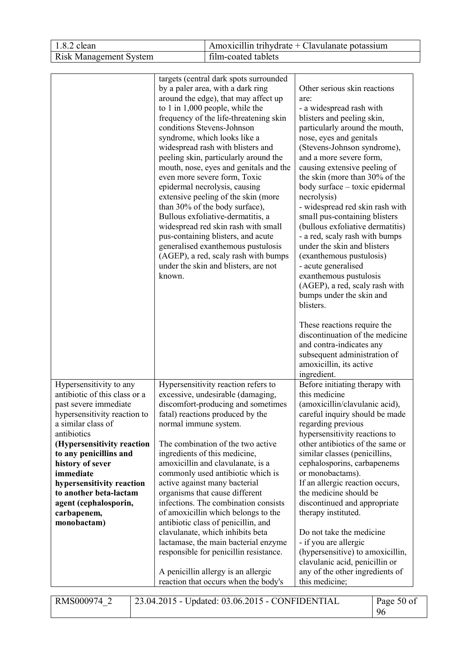| $1.8.2$ clean                 | Amoxicillin trihydrate + Clavulanate potassium |
|-------------------------------|------------------------------------------------|
| <b>Risk Management System</b> | film-coated tablets                            |

|                                                                                                                                                                                                                                                                                                                                                | targets (central dark spots surrounded<br>by a paler area, with a dark ring<br>around the edge), that may affect up<br>to 1 in $1,000$ people, while the<br>frequency of the life-threatening skin<br>conditions Stevens-Johnson<br>syndrome, which looks like a<br>widespread rash with blisters and<br>peeling skin, particularly around the<br>mouth, nose, eyes and genitals and the<br>even more severe form, Toxic<br>epidermal necrolysis, causing<br>extensive peeling of the skin (more<br>than 30% of the body surface),<br>Bullous exfoliative-dermatitis, a<br>widespread red skin rash with small<br>pus-containing blisters, and acute<br>generalised exanthemous pustulosis<br>(AGEP), a red, scaly rash with bumps<br>under the skin and blisters, are not<br>known. | Other serious skin reactions<br>are:<br>- a widespread rash with<br>blisters and peeling skin,<br>particularly around the mouth,<br>nose, eyes and genitals<br>(Stevens-Johnson syndrome),<br>and a more severe form,<br>causing extensive peeling of<br>the skin (more than 30% of the<br>body surface – toxic epidermal<br>necrolysis)<br>- widespread red skin rash with<br>small pus-containing blisters<br>(bullous exfoliative dermatitis)<br>- a red, scaly rash with bumps<br>under the skin and blisters<br>(exanthemous pustulosis)<br>- acute generalised<br>exanthemous pustulosis<br>(AGEP), a red, scaly rash with<br>bumps under the skin and<br>blisters. |
|------------------------------------------------------------------------------------------------------------------------------------------------------------------------------------------------------------------------------------------------------------------------------------------------------------------------------------------------|--------------------------------------------------------------------------------------------------------------------------------------------------------------------------------------------------------------------------------------------------------------------------------------------------------------------------------------------------------------------------------------------------------------------------------------------------------------------------------------------------------------------------------------------------------------------------------------------------------------------------------------------------------------------------------------------------------------------------------------------------------------------------------------|---------------------------------------------------------------------------------------------------------------------------------------------------------------------------------------------------------------------------------------------------------------------------------------------------------------------------------------------------------------------------------------------------------------------------------------------------------------------------------------------------------------------------------------------------------------------------------------------------------------------------------------------------------------------------|
|                                                                                                                                                                                                                                                                                                                                                |                                                                                                                                                                                                                                                                                                                                                                                                                                                                                                                                                                                                                                                                                                                                                                                      | These reactions require the<br>discontinuation of the medicine<br>and contra-indicates any<br>subsequent administration of<br>amoxicillin, its active<br>ingredient.                                                                                                                                                                                                                                                                                                                                                                                                                                                                                                      |
| Hypersensitivity to any<br>antibiotic of this class or a<br>past severe immediate<br>hypersensitivity reaction to<br>a similar class of<br>antibiotics<br>(Hypersensitivity reaction<br>to any penicillins and<br>history of sever<br>immediate<br>hypersensitivity reaction<br>to another beta-lactam<br>agent (cephalosporin,<br>carbapenem, | Hypersensitivity reaction refers to<br>excessive, undesirable (damaging,<br>discomfort-producing and sometimes<br>fatal) reactions produced by the<br>normal immune system.<br>The combination of the two active<br>ingredients of this medicine,<br>amoxicillin and clavulanate, is a<br>commonly used antibiotic which is<br>active against many bacterial<br>organisms that cause different<br>infections. The combination consists<br>of amoxicillin which belongs to the                                                                                                                                                                                                                                                                                                        | Before initiating therapy with<br>this medicine<br>(amoxicillin/clavulanic acid),<br>careful inquiry should be made<br>regarding previous<br>hypersensitivity reactions to<br>other antibiotics of the same or<br>similar classes (penicillins,<br>cephalosporins, carbapenems<br>or monobactams).<br>If an allergic reaction occurs,<br>the medicine should be<br>discontinued and appropriate<br>therapy instituted.                                                                                                                                                                                                                                                    |
| monobactam)<br>$D$ MC $000074$ 2                                                                                                                                                                                                                                                                                                               | antibiotic class of penicillin, and<br>clavulanate, which inhibits beta<br>lactamase, the main bacterial enzyme<br>responsible for penicillin resistance.<br>A penicillin allergy is an allergic<br>reaction that occurs when the body's<br>23.04.2015 Undeted: 03.06.2015 CONFIDENTIAL                                                                                                                                                                                                                                                                                                                                                                                                                                                                                              | Do not take the medicine<br>- if you are allergic<br>(hypersensitive) to amoxicillin,<br>clavulanic acid, penicillin or<br>any of the other ingredients of<br>this medicine;<br>$D_{0.005}$ 50 of                                                                                                                                                                                                                                                                                                                                                                                                                                                                         |

| RMS000974 2 | 23.04.2015 - Updated: 03.06.2015 - CONFIDENTIAL | Page 50 of |
|-------------|-------------------------------------------------|------------|
|-------------|-------------------------------------------------|------------|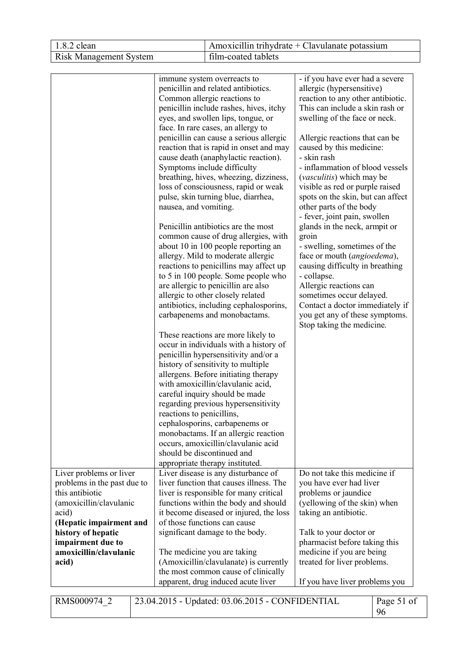| $1.8.2$ clean                 | Amoxicillin trihydrate + Clavulanate potassium |
|-------------------------------|------------------------------------------------|
| <b>Risk Management System</b> | film-coated tablets                            |

| Liver problems or liver<br>problems in the past due to<br>this antibiotic | immune system overreacts to<br>penicillin and related antibiotics.<br>Common allergic reactions to<br>penicillin include rashes, hives, itchy<br>eyes, and swollen lips, tongue, or<br>face. In rare cases, an allergy to<br>penicillin can cause a serious allergic<br>reaction that is rapid in onset and may<br>cause death (anaphylactic reaction).<br>Symptoms include difficulty<br>breathing, hives, wheezing, dizziness,<br>loss of consciousness, rapid or weak<br>pulse, skin turning blue, diarrhea,<br>nausea, and vomiting.<br>Penicillin antibiotics are the most<br>common cause of drug allergies, with<br>about 10 in 100 people reporting an<br>allergy. Mild to moderate allergic<br>reactions to penicillins may affect up<br>to 5 in 100 people. Some people who<br>are allergic to penicillin are also<br>allergic to other closely related<br>antibiotics, including cephalosporins,<br>carbapenems and monobactams.<br>These reactions are more likely to<br>occur in individuals with a history of<br>penicillin hypersensitivity and/or a<br>history of sensitivity to multiple<br>allergens. Before initiating therapy<br>with amoxicillin/clavulanic acid,<br>careful inquiry should be made<br>regarding previous hypersensitivity<br>reactions to penicillins,<br>cephalosporins, carbapenems or<br>monobactams. If an allergic reaction<br>occurs, amoxicillin/clavulanic acid<br>should be discontinued and<br>appropriate therapy instituted.<br>Liver disease is any disturbance of<br>liver function that causes illness. The | - if you have ever had a severe<br>allergic (hypersensitive)<br>reaction to any other antibiotic.<br>This can include a skin rash or<br>swelling of the face or neck.<br>Allergic reactions that can be<br>caused by this medicine:<br>- skin rash<br>- inflammation of blood vessels<br>( <i>vasculitis</i> ) which may be<br>visible as red or purple raised<br>spots on the skin, but can affect<br>other parts of the body<br>- fever, joint pain, swollen<br>glands in the neck, armpit or<br>groin<br>- swelling, sometimes of the<br>face or mouth (angioedema),<br>causing difficulty in breathing<br>- collapse.<br>Allergic reactions can<br>sometimes occur delayed.<br>Contact a doctor immediately if<br>you get any of these symptoms.<br>Stop taking the medicine.<br>Do not take this medicine if<br>you have ever had liver |                  |
|---------------------------------------------------------------------------|------------------------------------------------------------------------------------------------------------------------------------------------------------------------------------------------------------------------------------------------------------------------------------------------------------------------------------------------------------------------------------------------------------------------------------------------------------------------------------------------------------------------------------------------------------------------------------------------------------------------------------------------------------------------------------------------------------------------------------------------------------------------------------------------------------------------------------------------------------------------------------------------------------------------------------------------------------------------------------------------------------------------------------------------------------------------------------------------------------------------------------------------------------------------------------------------------------------------------------------------------------------------------------------------------------------------------------------------------------------------------------------------------------------------------------------------------------------------------------------------------------------------------------------------------------------|----------------------------------------------------------------------------------------------------------------------------------------------------------------------------------------------------------------------------------------------------------------------------------------------------------------------------------------------------------------------------------------------------------------------------------------------------------------------------------------------------------------------------------------------------------------------------------------------------------------------------------------------------------------------------------------------------------------------------------------------------------------------------------------------------------------------------------------------|------------------|
|                                                                           | liver is responsible for many critical<br>functions within the body and should                                                                                                                                                                                                                                                                                                                                                                                                                                                                                                                                                                                                                                                                                                                                                                                                                                                                                                                                                                                                                                                                                                                                                                                                                                                                                                                                                                                                                                                                                   | problems or jaundice                                                                                                                                                                                                                                                                                                                                                                                                                                                                                                                                                                                                                                                                                                                                                                                                                         |                  |
| (amoxicillin/clavulanic<br>acid)                                          | it become diseased or injured, the loss                                                                                                                                                                                                                                                                                                                                                                                                                                                                                                                                                                                                                                                                                                                                                                                                                                                                                                                                                                                                                                                                                                                                                                                                                                                                                                                                                                                                                                                                                                                          | (yellowing of the skin) when<br>taking an antibiotic.                                                                                                                                                                                                                                                                                                                                                                                                                                                                                                                                                                                                                                                                                                                                                                                        |                  |
| (Hepatic impairment and                                                   | of those functions can cause                                                                                                                                                                                                                                                                                                                                                                                                                                                                                                                                                                                                                                                                                                                                                                                                                                                                                                                                                                                                                                                                                                                                                                                                                                                                                                                                                                                                                                                                                                                                     |                                                                                                                                                                                                                                                                                                                                                                                                                                                                                                                                                                                                                                                                                                                                                                                                                                              |                  |
| history of hepatic                                                        | significant damage to the body.                                                                                                                                                                                                                                                                                                                                                                                                                                                                                                                                                                                                                                                                                                                                                                                                                                                                                                                                                                                                                                                                                                                                                                                                                                                                                                                                                                                                                                                                                                                                  | Talk to your doctor or                                                                                                                                                                                                                                                                                                                                                                                                                                                                                                                                                                                                                                                                                                                                                                                                                       |                  |
| impairment due to                                                         |                                                                                                                                                                                                                                                                                                                                                                                                                                                                                                                                                                                                                                                                                                                                                                                                                                                                                                                                                                                                                                                                                                                                                                                                                                                                                                                                                                                                                                                                                                                                                                  | pharmacist before taking this                                                                                                                                                                                                                                                                                                                                                                                                                                                                                                                                                                                                                                                                                                                                                                                                                |                  |
| amoxicillin/clavulanic                                                    | The medicine you are taking                                                                                                                                                                                                                                                                                                                                                                                                                                                                                                                                                                                                                                                                                                                                                                                                                                                                                                                                                                                                                                                                                                                                                                                                                                                                                                                                                                                                                                                                                                                                      | medicine if you are being                                                                                                                                                                                                                                                                                                                                                                                                                                                                                                                                                                                                                                                                                                                                                                                                                    |                  |
| acid)                                                                     | (Amoxicillin/clavulanate) is currently<br>the most common cause of clinically                                                                                                                                                                                                                                                                                                                                                                                                                                                                                                                                                                                                                                                                                                                                                                                                                                                                                                                                                                                                                                                                                                                                                                                                                                                                                                                                                                                                                                                                                    | treated for liver problems.                                                                                                                                                                                                                                                                                                                                                                                                                                                                                                                                                                                                                                                                                                                                                                                                                  |                  |
|                                                                           | apparent, drug induced acute liver                                                                                                                                                                                                                                                                                                                                                                                                                                                                                                                                                                                                                                                                                                                                                                                                                                                                                                                                                                                                                                                                                                                                                                                                                                                                                                                                                                                                                                                                                                                               | If you have liver problems you                                                                                                                                                                                                                                                                                                                                                                                                                                                                                                                                                                                                                                                                                                                                                                                                               |                  |
| RMS000974 2                                                               | 23.04.2015 - Updated: 03.06.2015 - CONFIDENTIAL                                                                                                                                                                                                                                                                                                                                                                                                                                                                                                                                                                                                                                                                                                                                                                                                                                                                                                                                                                                                                                                                                                                                                                                                                                                                                                                                                                                                                                                                                                                  |                                                                                                                                                                                                                                                                                                                                                                                                                                                                                                                                                                                                                                                                                                                                                                                                                                              | Page 51 of<br>96 |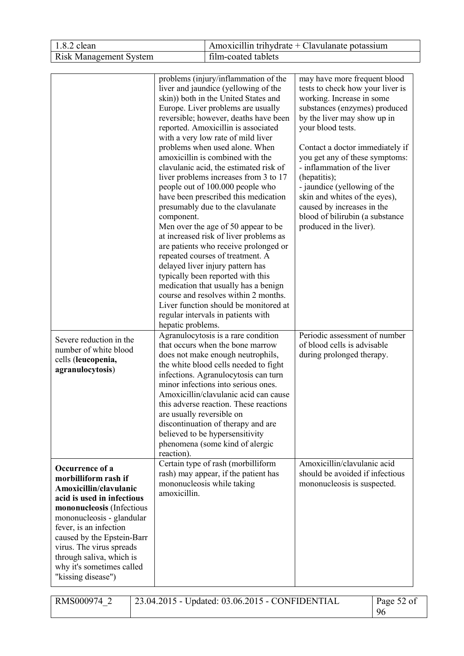| 1.8.2 clean                                                                                                                                                                                                                                                                                                            |                                         | Amoxicillin trihydrate + Clavulanate potassium                                                                                                                                                                                                                                                                                                                                                                                                                                                                                                                                                                                                                                                                                                                                                                                                                                                                                                                                        |                                                                                                                                                                                                                                                                                                                                                                                                                                                                     |  |  |
|------------------------------------------------------------------------------------------------------------------------------------------------------------------------------------------------------------------------------------------------------------------------------------------------------------------------|-----------------------------------------|---------------------------------------------------------------------------------------------------------------------------------------------------------------------------------------------------------------------------------------------------------------------------------------------------------------------------------------------------------------------------------------------------------------------------------------------------------------------------------------------------------------------------------------------------------------------------------------------------------------------------------------------------------------------------------------------------------------------------------------------------------------------------------------------------------------------------------------------------------------------------------------------------------------------------------------------------------------------------------------|---------------------------------------------------------------------------------------------------------------------------------------------------------------------------------------------------------------------------------------------------------------------------------------------------------------------------------------------------------------------------------------------------------------------------------------------------------------------|--|--|
| <b>Risk Management System</b>                                                                                                                                                                                                                                                                                          |                                         | film-coated tablets                                                                                                                                                                                                                                                                                                                                                                                                                                                                                                                                                                                                                                                                                                                                                                                                                                                                                                                                                                   |                                                                                                                                                                                                                                                                                                                                                                                                                                                                     |  |  |
|                                                                                                                                                                                                                                                                                                                        |                                         |                                                                                                                                                                                                                                                                                                                                                                                                                                                                                                                                                                                                                                                                                                                                                                                                                                                                                                                                                                                       |                                                                                                                                                                                                                                                                                                                                                                                                                                                                     |  |  |
| component.                                                                                                                                                                                                                                                                                                             |                                         | problems (injury/inflammation of the<br>liver and jaundice (yellowing of the<br>skin)) both in the United States and<br>Europe. Liver problems are usually<br>reversible; however, deaths have been<br>reported. Amoxicillin is associated<br>with a very low rate of mild liver<br>problems when used alone. When<br>amoxicillin is combined with the<br>clavulanic acid, the estimated risk of<br>liver problems increases from 3 to 17<br>people out of 100.000 people who<br>have been prescribed this medication<br>presumably due to the clavulanate<br>Men over the age of 50 appear to be<br>at increased risk of liver problems as<br>are patients who receive prolonged or<br>repeated courses of treatment. A<br>delayed liver injury pattern has<br>typically been reported with this<br>medication that usually has a benign<br>course and resolves within 2 months.<br>Liver function should be monitored at<br>regular intervals in patients with<br>hepatic problems. | may have more frequent blood<br>tests to check how your liver is<br>working. Increase in some<br>substances (enzymes) produced<br>by the liver may show up in<br>your blood tests.<br>Contact a doctor immediately if<br>you get any of these symptoms:<br>- inflammation of the liver<br>(hepatitis);<br>- jaundice (yellowing of the<br>skin and whites of the eyes),<br>caused by increases in the<br>blood of bilirubin (a substance<br>produced in the liver). |  |  |
| Severe reduction in the<br>number of white blood<br>cells (leucopenia,<br>agranulocytosis)                                                                                                                                                                                                                             | are usually reversible on<br>reaction). | Agranulocytosis is a rare condition<br>that occurs when the bone marrow<br>does not make enough neutrophils,<br>the white blood cells needed to fight<br>infections. Agranulocytosis can turn<br>minor infections into serious ones.<br>Amoxicillin/clavulanic acid can cause<br>this adverse reaction. These reactions<br>discontinuation of therapy and are<br>believed to be hypersensitivity<br>phenomena (some kind of alergic                                                                                                                                                                                                                                                                                                                                                                                                                                                                                                                                                   | Periodic assessment of number<br>of blood cells is advisable<br>during prolonged therapy.                                                                                                                                                                                                                                                                                                                                                                           |  |  |
| Occurrence of a<br>morbilliform rash if<br>Amoxicillin/clavulanic<br>amoxicillin.<br>acid is used in infectious<br>mononucleosis (Infectious<br>mononucleosis - glandular<br>fever, is an infection<br>caused by the Epstein-Barr<br>virus. The virus spreads<br>through saliva, which is<br>why it's sometimes called |                                         | Certain type of rash (morbilliform<br>rash) may appear, if the patient has<br>mononucleosis while taking                                                                                                                                                                                                                                                                                                                                                                                                                                                                                                                                                                                                                                                                                                                                                                                                                                                                              | Amoxicillin/clavulanic acid<br>should be avoided if infectious<br>mononucleosis is suspected.                                                                                                                                                                                                                                                                                                                                                                       |  |  |

| RMS000974 2 | $\vert$ 23.04.2015 - Updated: 03.06.2015 - CONFIDENTIAL | Page 52 of |
|-------------|---------------------------------------------------------|------------|
|             |                                                         |            |

"kissing disease")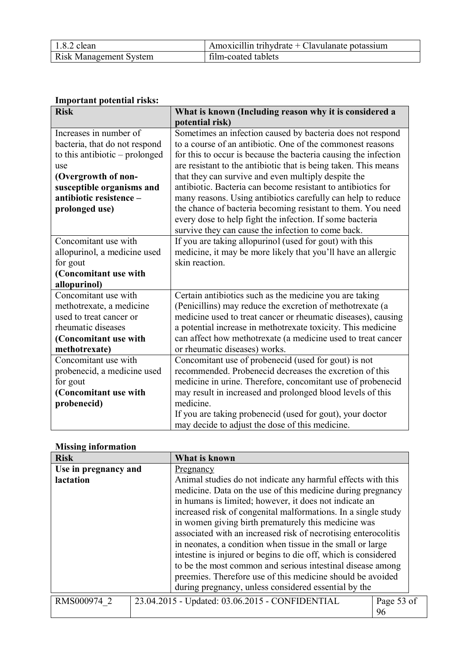| $1.8.2$ clean                 | Amoxicillin trihydrate + Clavulanate potassium |
|-------------------------------|------------------------------------------------|
| <b>Risk Management System</b> | film-coated tablets                            |

# **Important potential risks:**

| <b>Risk</b>                    | What is known (Including reason why it is considered a          |  |  |  |
|--------------------------------|-----------------------------------------------------------------|--|--|--|
|                                | potential risk)                                                 |  |  |  |
| Increases in number of         | Sometimes an infection caused by bacteria does not respond      |  |  |  |
| bacteria, that do not respond  | to a course of an antibiotic. One of the commonest reasons      |  |  |  |
| to this antibiotic – prolonged | for this to occur is because the bacteria causing the infection |  |  |  |
| use                            | are resistant to the antibiotic that is being taken. This means |  |  |  |
| (Overgrowth of non-            | that they can survive and even multiply despite the             |  |  |  |
| susceptible organisms and      | antibiotic. Bacteria can become resistant to antibiotics for    |  |  |  |
| antibiotic resistence -        | many reasons. Using antibiotics carefully can help to reduce    |  |  |  |
| prolonged use)                 | the chance of bacteria becoming resistant to them. You need     |  |  |  |
|                                | every dose to help fight the infection. If some bacteria        |  |  |  |
|                                | survive they can cause the infection to come back.              |  |  |  |
| Concomitant use with           | If you are taking allopurinol (used for gout) with this         |  |  |  |
| allopurinol, a medicine used   | medicine, it may be more likely that you'll have an allergic    |  |  |  |
| for gout                       | skin reaction.                                                  |  |  |  |
| (Concomitant use with          |                                                                 |  |  |  |
| allopurinol)                   |                                                                 |  |  |  |
| Concomitant use with           | Certain antibiotics such as the medicine you are taking         |  |  |  |
| methotrexate, a medicine       | (Penicillins) may reduce the excretion of methotrexate (a       |  |  |  |
| used to treat cancer or        | medicine used to treat cancer or rheumatic diseases), causing   |  |  |  |
| rheumatic diseases             | a potential increase in methotrexate toxicity. This medicine    |  |  |  |
| (Concomitant use with          | can affect how methotrexate (a medicine used to treat cancer    |  |  |  |
| methotrexate)                  | or rheumatic diseases) works.                                   |  |  |  |
| Concomitant use with           | Concomitant use of probenecid (used for gout) is not            |  |  |  |
| probenecid, a medicine used    | recommended. Probenecid decreases the excretion of this         |  |  |  |
| for gout                       | medicine in urine. Therefore, concomitant use of probenecid     |  |  |  |
| (Concomitant use with          | may result in increased and prolonged blood levels of this      |  |  |  |
| probenecid)                    | medicine.                                                       |  |  |  |
|                                | If you are taking probenecid (used for gout), your doctor       |  |  |  |
|                                | may decide to adjust the dose of this medicine.                 |  |  |  |

# **Missing information**

| <b>Risk</b>          |           | What is known                                                  |  |  |
|----------------------|-----------|----------------------------------------------------------------|--|--|
| Use in pregnancy and | Pregnancy |                                                                |  |  |
| lactation            |           | Animal studies do not indicate any harmful effects with this   |  |  |
|                      |           | medicine. Data on the use of this medicine during pregnancy    |  |  |
|                      |           | in humans is limited; however, it does not indicate an         |  |  |
|                      |           | increased risk of congenital malformations. In a single study  |  |  |
|                      |           | in women giving birth prematurely this medicine was            |  |  |
|                      |           | associated with an increased risk of necrotising enterocolitis |  |  |
|                      |           | in neonates, a condition when tissue in the small or large     |  |  |
|                      |           | intestine is injured or begins to die off, which is considered |  |  |
|                      |           | to be the most common and serious intestinal disease among     |  |  |
|                      |           | preemies. Therefore use of this medicine should be avoided     |  |  |
|                      |           | during pregnancy, unless considered essential by the           |  |  |
| RMS000974 2          |           | Page 53 of<br>23.04.2015 - Updated: 03.06.2015 - CONFIDENTIAL  |  |  |
|                      | 96        |                                                                |  |  |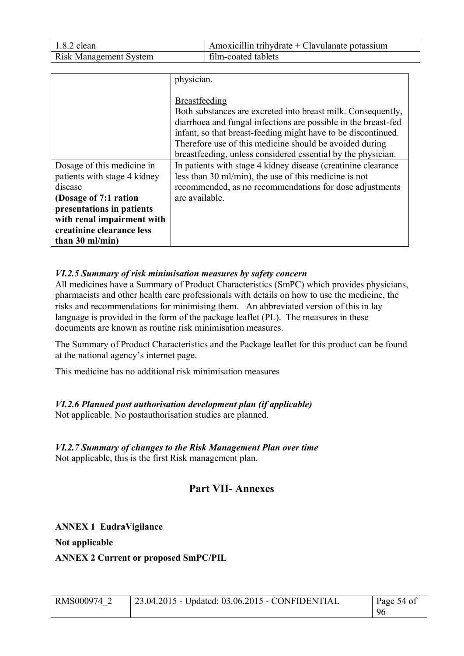| $1.8.2$ clean                 | Amoxicillin trihydrate + Clavulanate potassium |
|-------------------------------|------------------------------------------------|
| <b>Risk Management System</b> | film-coated tablets                            |

|                              | physician.                                                                                                                                                                                                                                                                                                                                         |
|------------------------------|----------------------------------------------------------------------------------------------------------------------------------------------------------------------------------------------------------------------------------------------------------------------------------------------------------------------------------------------------|
|                              | <b>Breastfeeding</b><br>Both substances are excreted into breast milk. Consequently,<br>diarrhoea and fungal infections are possible in the breast-fed<br>infant, so that breast-feeding might have to be discontinued.<br>Therefore use of this medicine should be avoided during<br>breastfeeding, unless considered essential by the physician. |
| Dosage of this medicine in   | In patients with stage 4 kidney disease (creatinine clearance)                                                                                                                                                                                                                                                                                     |
| patients with stage 4 kidney | less than 30 ml/min), the use of this medicine is not                                                                                                                                                                                                                                                                                              |
| disease                      | recommended, as no recommendations for dose adjustments                                                                                                                                                                                                                                                                                            |
| (Dosage of 7:1 ration        | are available.                                                                                                                                                                                                                                                                                                                                     |
| presentations in patients    |                                                                                                                                                                                                                                                                                                                                                    |
| with renal impairment with   |                                                                                                                                                                                                                                                                                                                                                    |
| creatinine clearance less    |                                                                                                                                                                                                                                                                                                                                                    |
| than $30$ ml/min)            |                                                                                                                                                                                                                                                                                                                                                    |

# *VI.2.5 Summary of risk minimisation measures by safety concern*

All medicines have a Summary of Product Characteristics (SmPC) which provides physicians, pharmacists and other health care professionals with details on how to use the medicine, the risks and recommendations for minimising them. An abbreviated version of this in lay language is provided in the form of the package leaflet (PL). The measures in these documents are known as routine risk minimisation measures.

The Summary of Product Characteristics and the Package leaflet for this product can be found at the national agency's internet page.

This medicine has no additional risk minimisation measures

# *VI.2.6 Planned post authorisation development plan (if applicable)*

Not applicable. No postauthorisation studies are planned.

### *VI.2.7 Summary of changes to the Risk Management Plan over time* Not applicable, this is the first Risk management plan.

# **Part VII- Annexes**

# **ANNEX 1 EudraVigilance**

**Not applicable**

**ANNEX 2 Current or proposed SmPC/PIL**

| RMS000974 2 | $\vert$ 23.04.2015 - Updated: 03.06.2015 - CONFIDENTIAL<br>Page 54 of |    |
|-------------|-----------------------------------------------------------------------|----|
|             |                                                                       | 96 |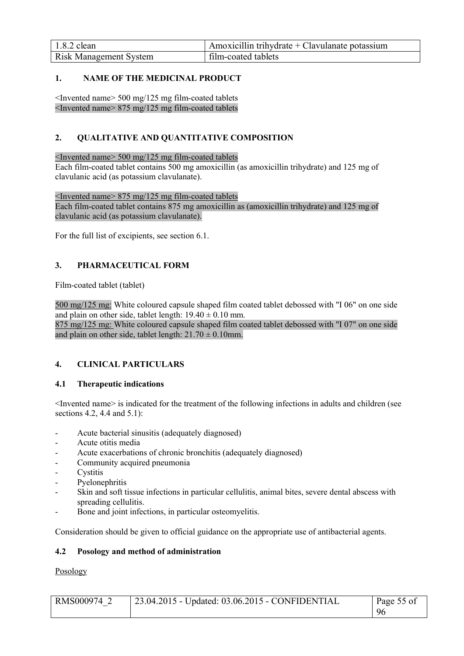| $1.8.2$ clean                 | $\vert$ Amoxicillin trihydrate + Clavulanate potassium |
|-------------------------------|--------------------------------------------------------|
| <b>Risk Management System</b> | film-coated tablets                                    |

# **1. NAME OF THE MEDICINAL PRODUCT**

<Invented name> 500 mg/125 mg film-coated tablets <Invented name> 875 mg/125 mg film-coated tablets

# **2. QUALITATIVE AND QUANTITATIVE COMPOSITION**

<Invented name> 500 mg/125 mg film-coated tablets

Each film-coated tablet contains 500 mg amoxicillin (as amoxicillin trihydrate) and 125 mg of clavulanic acid (as potassium clavulanate).

<Invented name> 875 mg/125 mg film-coated tablets Each film-coated tablet contains 875 mg amoxicillin as (amoxicillin trihydrate) and 125 mg of clavulanic acid (as potassium clavulanate).

For the full list of excipients, see section 6.1.

# **3. PHARMACEUTICAL FORM**

Film-coated tablet (tablet)

500 mg/125 mg: White coloured capsule shaped film coated tablet debossed with "I 06" on one side and plain on other side, tablet length:  $19.40 \pm 0.10$  mm. 875 mg/125 mg: White coloured capsule shaped film coated tablet debossed with "I 07" on one side and plain on other side, tablet length:  $21.70 \pm 0.10$ mm.

# **4. CLINICAL PARTICULARS**

# **4.1 Therapeutic indications**

<Invented name> is indicated for the treatment of the following infections in adults and children (see sections 4.2, 4.4 and 5.1):

- Acute bacterial sinusitis (adequately diagnosed)
- Acute otitis media
- Acute exacerbations of chronic bronchitis (adequately diagnosed)
- Community acquired pneumonia
- **Cystitis**
- Pyelonephritis
- Skin and soft tissue infections in particular cellulitis, animal bites, severe dental abscess with spreading cellulitis.
- Bone and joint infections, in particular osteomyelitis.

Consideration should be given to official guidance on the appropriate use of antibacterial agents.

#### **4.2 Posology and method of administration**

# Posology

| RMS000974 2 | $\mid$ 23.04.2015 - Updated: 03.06.2015 - CONFIDENTIAL | $\vert$ Page 55 of |
|-------------|--------------------------------------------------------|--------------------|
|             |                                                        | -96                |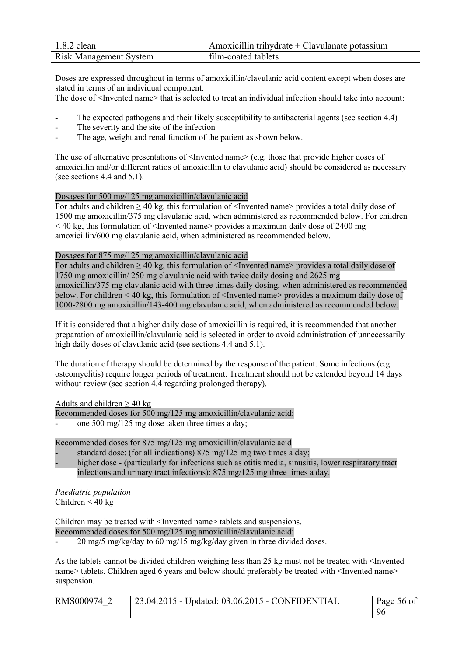| $1.8.2$ clean                 | Amoxicillin trihydrate $+$ Clavulanate potassium |
|-------------------------------|--------------------------------------------------|
| <b>Risk Management System</b> | film-coated tablets                              |

Doses are expressed throughout in terms of amoxicillin/clavulanic acid content except when doses are stated in terms of an individual component.

The dose of <Invented name> that is selected to treat an individual infection should take into account:

- The expected pathogens and their likely susceptibility to antibacterial agents (see section 4.4)
- The severity and the site of the infection
- The age, weight and renal function of the patient as shown below.

The use of alternative presentations of  $\leq$ Invented name $\geq$  (e.g. those that provide higher doses of amoxicillin and/or different ratios of amoxicillin to clavulanic acid) should be considered as necessary (see sections 4.4 and 5.1).

# Dosages for 500 mg/125 mg amoxicillin/clavulanic acid

For adults and children  $\geq 40$  kg, this formulation of  $\leq$  Invented name $\geq$  provides a total daily dose of 1500 mg amoxicillin/375 mg clavulanic acid, when administered as recommended below. For children  $\leq$  40 kg, this formulation of  $\leq$ Invented name> provides a maximum daily dose of 2400 mg amoxicillin/600 mg clavulanic acid, when administered as recommended below.

# Dosages for 875 mg/125 mg amoxicillin/clavulanic acid

For adults and children  $\geq 40$  kg, this formulation of <Invented name> provides a total daily dose of 1750 mg amoxicillin/ 250 mg clavulanic acid with twice daily dosing and 2625 mg amoxicillin/375 mg clavulanic acid with three times daily dosing, when administered as recommended below. For children < 40 kg, this formulation of <Invented name> provides a maximum daily dose of 1000-2800 mg amoxicillin/143-400 mg clavulanic acid, when administered as recommended below.

If it is considered that a higher daily dose of amoxicillin is required, it is recommended that another preparation of amoxicillin/clavulanic acid is selected in order to avoid administration of unnecessarily high daily doses of clavulanic acid (see sections 4.4 and 5.1).

The duration of therapy should be determined by the response of the patient. Some infections (e.g. osteomyelitis) require longer periods of treatment. Treatment should not be extended beyond 14 days without review (see section 4.4 regarding prolonged therapy).

Adults and children  $\geq$  40 kg

Recommended doses for 500 mg/125 mg amoxicillin/clavulanic acid:

one 500 mg/125 mg dose taken three times a day;

Recommended doses for 875 mg/125 mg amoxicillin/clavulanic acid

- standard dose: (for all indications) 875 mg/125 mg two times a day;
- higher dose (particularly for infections such as otitis media, sinusitis, lower respiratory tract infections and urinary tract infections): 875 mg/125 mg three times a day.

*Paediatric population* Children  $< 40$  kg

Children may be treated with <Invented name> tablets and suspensions.

Recommended doses for 500 mg/125 mg amoxicillin/clavulanic acid:

- 20 mg/5 mg/kg/day to 60 mg/15 mg/kg/day given in three divided doses.

As the tablets cannot be divided children weighing less than 25 kg must not be treated with <Invented name> tablets. Children aged 6 years and below should preferably be treated with <Invented name> suspension.

| RMS000974 2 | 23.04.2015 - Updated: 03.06.2015 - CONFIDENTIAL |    |
|-------------|-------------------------------------------------|----|
|             |                                                 | 96 |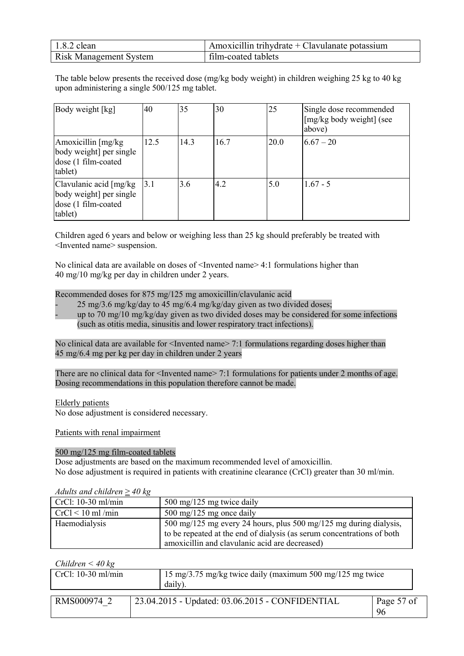| $1.8.2$ clean                 | Amoxicillin trihydrate + Clavulanate potassium |
|-------------------------------|------------------------------------------------|
| <b>Risk Management System</b> | film-coated tablets                            |

The table below presents the received dose (mg/kg body weight) in children weighing 25 kg to 40 kg upon administering a single 500/125 mg tablet.

| Body weight [kg]                                                                     | 40   | 35   | 30   | 25   | Single dose recommended<br>[mg/kg body weight] (see<br>above) |
|--------------------------------------------------------------------------------------|------|------|------|------|---------------------------------------------------------------|
| Amoxicillin $[mg/kg]$<br>body weight] per single<br>dose (1 film-coated<br>tablet)   | 12.5 | 14.3 | 16.7 | 20.0 | $6.67 - 20$                                                   |
| Clavulanic acid [mg/kg]<br>body weight] per single<br>dose (1 film-coated<br>tablet) | 3.1  | 3.6  | 4.2  | 5.0  | $167 - 5$                                                     |

Children aged 6 years and below or weighing less than 25 kg should preferably be treated with <Invented name> suspension.

No clinical data are available on doses of  $\leq$ Invented name $\geq$  4:1 formulations higher than 40 mg/10 mg/kg per day in children under 2 years.

Recommended doses for 875 mg/125 mg amoxicillin/clavulanic acid

- 25 mg/3.6 mg/kg/day to 45 mg/6.4 mg/kg/day given as two divided doses;
- up to 70 mg/10 mg/kg/day given as two divided doses may be considered for some infections (such as otitis media, sinusitis and lower respiratory tract infections).

No clinical data are available for <Invented name> 7:1 formulations regarding doses higher than 45 mg/6.4 mg per kg per day in children under 2 years

There are no clinical data for <Invented name> 7:1 formulations for patients under 2 months of age. Dosing recommendations in this population therefore cannot be made.

Elderly patients

No dose adjustment is considered necessary.

Patients with renal impairment

#### 500 mg/125 mg film-coated tablets

Dose adjustments are based on the maximum recommended level of amoxicillin. No dose adjustment is required in patients with creatinine clearance (CrCl) greater than 30 ml/min.

| <i>Tranto and children</i> $\leq$ 70 $\kappa$ |                                                                        |
|-----------------------------------------------|------------------------------------------------------------------------|
| $CrCl: 10-30$ ml/min                          | 500 mg/125 mg twice daily                                              |
| $CrCl < 10$ ml/min                            | $500 \text{ mg}/125 \text{ mg}$ once daily                             |
| Haemodialysis                                 | 500 mg/125 mg every 24 hours, plus 500 mg/125 mg during dialysis,      |
|                                               | to be repeated at the end of dialysis (as serum concentrations of both |
|                                               | amoxicillin and clavulanic acid are decreased)                         |

*Adults and children* ≥ *40 kg*

| Children $\leq 40$ kg |  |  |  |
|-----------------------|--|--|--|
|-----------------------|--|--|--|

| $CrCl: 10-30$ ml/min | 15 mg/3.75 mg/kg twice daily (maximum 500 mg/125 mg twice<br>daily). |                  |
|----------------------|----------------------------------------------------------------------|------------------|
| RMS000974 2          | 23.04.2015 - Updated: 03.06.2015 - CONFIDENTIAL                      | Page 57 of<br>96 |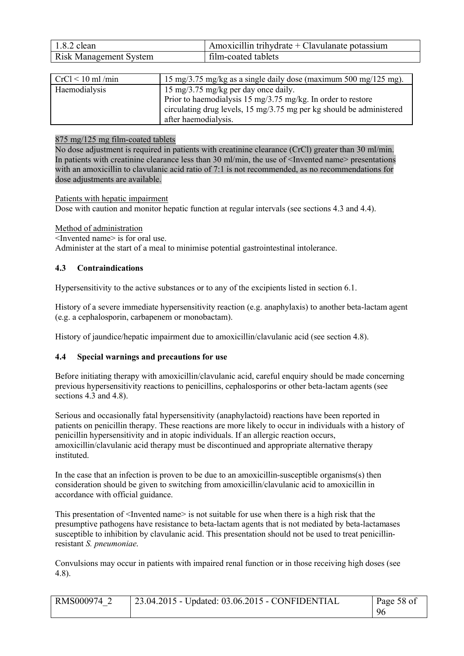| $1.8.2$ clean                 | Amoxicillin trihydrate + Clavulanate potassium |
|-------------------------------|------------------------------------------------|
| <b>Risk Management System</b> | film-coated tablets                            |

| $CrCl < 10$ ml/min | 15 mg/3.75 mg/kg as a single daily dose (maximum 500 mg/125 mg).     |
|--------------------|----------------------------------------------------------------------|
| Haemodialysis      | 15 mg/3.75 mg/kg per day once daily.                                 |
|                    | Prior to haemodialysis 15 mg/3.75 mg/kg. In order to restore         |
|                    | circulating drug levels, 15 mg/3.75 mg per kg should be administered |
|                    | after haemodialysis.                                                 |

### 875 mg/125 mg film-coated tablets

No dose adjustment is required in patients with creatinine clearance (CrCl) greater than 30 ml/min. In patients with creatinine clearance less than 30 ml/min, the use of  $\leq$  Invented name $\geq$  presentations with an amoxicillin to clavulanic acid ratio of 7:1 is not recommended, as no recommendations for dose adjustments are available.

Patients with hepatic impairment

Dose with caution and monitor hepatic function at regular intervals (see sections 4.3 and 4.4).

Method of administration

<Invented name> is for oral use.

Administer at the start of a meal to minimise potential gastrointestinal intolerance.

#### **4.3 Contraindications**

Hypersensitivity to the active substances or to any of the excipients listed in section 6.1.

History of a severe immediate hypersensitivity reaction (e.g. anaphylaxis) to another beta-lactam agent (e.g. a cephalosporin, carbapenem or monobactam).

History of jaundice/hepatic impairment due to amoxicillin/clavulanic acid (see section 4.8).

# **4.4 Special warnings and precautions for use**

Before initiating therapy with amoxicillin/clavulanic acid, careful enquiry should be made concerning previous hypersensitivity reactions to penicillins, cephalosporins or other beta-lactam agents (see sections  $4.\overline{3}$  and  $4.\overline{8}$ ).

Serious and occasionally fatal hypersensitivity (anaphylactoid) reactions have been reported in patients on penicillin therapy. These reactions are more likely to occur in individuals with a history of penicillin hypersensitivity and in atopic individuals. If an allergic reaction occurs, amoxicillin/clavulanic acid therapy must be discontinued and appropriate alternative therapy instituted.

In the case that an infection is proven to be due to an amoxicillin-susceptible organisms(s) then consideration should be given to switching from amoxicillin/clavulanic acid to amoxicillin in accordance with official guidance.

This presentation of  $\leq$ Invented name $\geq$  is not suitable for use when there is a high risk that the presumptive pathogens have resistance to beta-lactam agents that is not mediated by beta-lactamases susceptible to inhibition by clavulanic acid. This presentation should not be used to treat penicillinresistant *S. pneumoniae*.

Convulsions may occur in patients with impaired renal function or in those receiving high doses (see 4.8).

| RMS000974 2 | $\vert$ 23.04.2015 - Updated: 03.06.2015 - CONFIDENTIAL | Page 58 of |
|-------------|---------------------------------------------------------|------------|
|             |                                                         | 96         |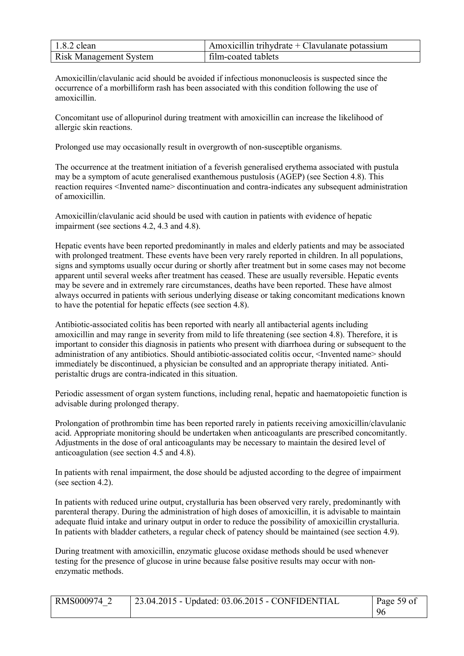| $1.8.2$ clean                 | Amoxicillin trihydrate $+$ Clavulanate potassium |
|-------------------------------|--------------------------------------------------|
| <b>Risk Management System</b> | film-coated tablets                              |

Amoxicillin/clavulanic acid should be avoided if infectious mononucleosis is suspected since the occurrence of a morbilliform rash has been associated with this condition following the use of amoxicillin.

Concomitant use of allopurinol during treatment with amoxicillin can increase the likelihood of allergic skin reactions.

Prolonged use may occasionally result in overgrowth of non-susceptible organisms.

The occurrence at the treatment initiation of a feverish generalised erythema associated with pustula may be a symptom of acute generalised exanthemous pustulosis (AGEP) (see Section 4.8). This reaction requires <Invented name> discontinuation and contra-indicates any subsequent administration of amoxicillin.

Amoxicillin/clavulanic acid should be used with caution in patients with evidence of hepatic impairment (see sections 4.2, 4.3 and 4.8).

Hepatic events have been reported predominantly in males and elderly patients and may be associated with prolonged treatment. These events have been very rarely reported in children. In all populations, signs and symptoms usually occur during or shortly after treatment but in some cases may not become apparent until several weeks after treatment has ceased. These are usually reversible. Hepatic events may be severe and in extremely rare circumstances, deaths have been reported. These have almost always occurred in patients with serious underlying disease or taking concomitant medications known to have the potential for hepatic effects (see section 4.8).

Antibiotic-associated colitis has been reported with nearly all antibacterial agents including amoxicillin and may range in severity from mild to life threatening (see section 4.8). Therefore, it is important to consider this diagnosis in patients who present with diarrhoea during or subsequent to the administration of any antibiotics. Should antibiotic-associated colitis occur, <Invented name> should immediately be discontinued, a physician be consulted and an appropriate therapy initiated. Antiperistaltic drugs are contra-indicated in this situation.

Periodic assessment of organ system functions, including renal, hepatic and haematopoietic function is advisable during prolonged therapy.

Prolongation of prothrombin time has been reported rarely in patients receiving amoxicillin/clavulanic acid. Appropriate monitoring should be undertaken when anticoagulants are prescribed concomitantly. Adjustments in the dose of oral anticoagulants may be necessary to maintain the desired level of anticoagulation (see section 4.5 and 4.8).

In patients with renal impairment, the dose should be adjusted according to the degree of impairment (see section 4.2).

In patients with reduced urine output, crystalluria has been observed very rarely, predominantly with parenteral therapy. During the administration of high doses of amoxicillin, it is advisable to maintain adequate fluid intake and urinary output in order to reduce the possibility of amoxicillin crystalluria. In patients with bladder catheters, a regular check of patency should be maintained (see section 4.9).

During treatment with amoxicillin, enzymatic glucose oxidase methods should be used whenever testing for the presence of glucose in urine because false positive results may occur with nonenzymatic methods.

| RMS000974 2 | $\vert$ 23.04.2015 - Updated: 03.06.2015 - CONFIDENTIAL | Page 59 of |
|-------------|---------------------------------------------------------|------------|
|             |                                                         | -96        |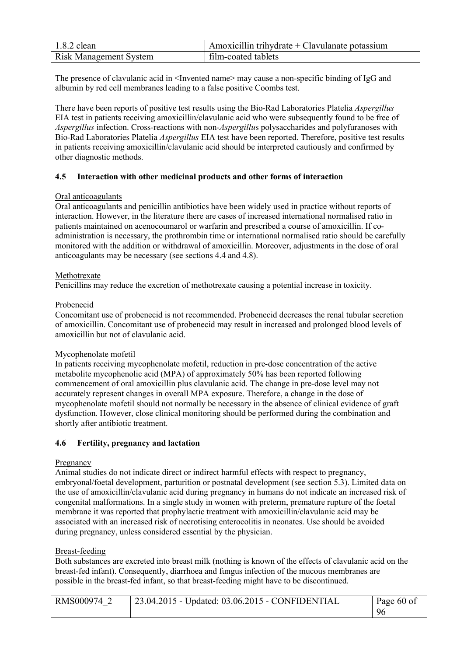| $1.8.2$ clean                 | Amoxicillin trihydrate $+$ Clavulanate potassium |
|-------------------------------|--------------------------------------------------|
| <b>Risk Management System</b> | film-coated tablets                              |

The presence of clavulanic acid in  $\leq$  Invented name> may cause a non-specific binding of IgG and albumin by red cell membranes leading to a false positive Coombs test.

There have been reports of positive test results using the Bio-Rad Laboratories Platelia *Aspergillus*  EIA test in patients receiving amoxicillin/clavulanic acid who were subsequently found to be free of *Aspergillus* infection. Cross-reactions with non-*Aspergillu*s polysaccharides and polyfuranoses with Bio-Rad Laboratories Platelia *Aspergillus* EIA test have been reported. Therefore, positive test results in patients receiving amoxicillin/clavulanic acid should be interpreted cautiously and confirmed by other diagnostic methods.

#### **4.5 Interaction with other medicinal products and other forms of interaction**

#### Oral anticoagulants

Oral anticoagulants and penicillin antibiotics have been widely used in practice without reports of interaction. However, in the literature there are cases of increased international normalised ratio in patients maintained on acenocoumarol or warfarin and prescribed a course of amoxicillin. If coadministration is necessary, the prothrombin time or international normalised ratio should be carefully monitored with the addition or withdrawal of amoxicillin. Moreover, adjustments in the dose of oral anticoagulants may be necessary (see sections 4.4 and 4.8).

#### Methotrexate

Penicillins may reduce the excretion of methotrexate causing a potential increase in toxicity.

#### Probenecid

Concomitant use of probenecid is not recommended. Probenecid decreases the renal tubular secretion of amoxicillin. Concomitant use of probenecid may result in increased and prolonged blood levels of amoxicillin but not of clavulanic acid.

#### Mycophenolate mofetil

In patients receiving mycophenolate mofetil, reduction in pre-dose concentration of the active metabolite mycophenolic acid (MPA) of approximately 50% has been reported following commencement of oral amoxicillin plus clavulanic acid. The change in pre-dose level may not accurately represent changes in overall MPA exposure. Therefore, a change in the dose of mycophenolate mofetil should not normally be necessary in the absence of clinical evidence of graft dysfunction. However, close clinical monitoring should be performed during the combination and shortly after antibiotic treatment.

# **4.6 Fertility, pregnancy and lactation**

#### Pregnancy

Animal studies do not indicate direct or indirect harmful effects with respect to pregnancy, embryonal/foetal development, parturition or postnatal development (see section 5.3). Limited data on the use of amoxicillin/clavulanic acid during pregnancy in humans do not indicate an increased risk of congenital malformations. In a single study in women with preterm, premature rupture of the foetal membrane it was reported that prophylactic treatment with amoxicillin/clavulanic acid may be associated with an increased risk of necrotising enterocolitis in neonates. Use should be avoided during pregnancy, unless considered essential by the physician.

# Breast-feeding

Both substances are excreted into breast milk (nothing is known of the effects of clavulanic acid on the breast-fed infant). Consequently, diarrhoea and fungus infection of the mucous membranes are possible in the breast-fed infant, so that breast-feeding might have to be discontinued.

| RMS000974 | $23.04.2015$ - Updated: $03.06.2015$ - CONFIDENTIAL | Page 60 of |
|-----------|-----------------------------------------------------|------------|
|           |                                                     | 96         |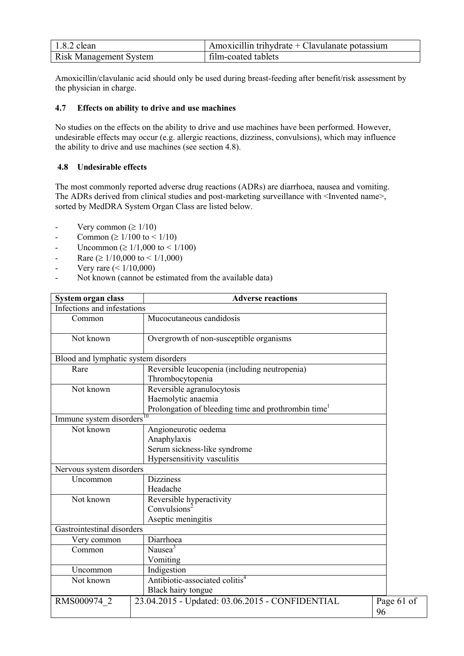| $1.8.2$ clean                 | $\Delta$ Amoxicillin trihydrate + Clavulanate potassium |
|-------------------------------|---------------------------------------------------------|
| <b>Risk Management System</b> | film-coated tablets                                     |

Amoxicillin/clavulanic acid should only be used during breast-feeding after benefit/risk assessment by the physician in charge.

### **4.7 Effects on ability to drive and use machines**

No studies on the effects on the ability to drive and use machines have been performed. However, undesirable effects may occur (e.g. allergic reactions, dizziness, convulsions), which may influence the ability to drive and use machines (see section 4.8).

### **4.8 Undesirable effects**

The most commonly reported adverse drug reactions (ADRs) are diarrhoea, nausea and vomiting. The ADRs derived from clinical studies and post-marketing surveillance with <Invented name>, sorted by MedDRA System Organ Class are listed below.

- Very common ( $\geq 1/10$ )
- Common ( $\geq 1/100$  to  $\leq 1/10$ )
- Uncommon ( $\geq 1/1,000$  to  $\leq 1/100$ )
- Rare ( $\geq 1/10,000$  to  $\leq 1/1,000$ )
- Very rare  $(< 1/10,000)$
- Not known (cannot be estimated from the available data)

| System organ class                    | <b>Adverse reactions</b>                                        |            |
|---------------------------------------|-----------------------------------------------------------------|------------|
| Infections and infestations           |                                                                 |            |
| Common                                | Mucocutaneous candidosis                                        |            |
| Not known                             | Overgrowth of non-susceptible organisms                         |            |
| Blood and lymphatic system disorders  |                                                                 |            |
| Rare                                  | Reversible leucopenia (including neutropenia)                   |            |
|                                       | Thrombocytopenia                                                |            |
| Not known                             | Reversible agranulocytosis                                      |            |
|                                       | Haemolytic anaemia                                              |            |
|                                       | Prolongation of bleeding time and prothrombin time <sup>1</sup> |            |
| Immune system disorders <sup>10</sup> |                                                                 |            |
| Not known                             | Angioneurotic oedema                                            |            |
|                                       | Anaphylaxis                                                     |            |
|                                       | Serum sickness-like syndrome                                    |            |
|                                       | Hypersensitivity vasculitis                                     |            |
| Nervous system disorders              |                                                                 |            |
| Uncommon                              | <b>Dizziness</b>                                                |            |
|                                       | Headache                                                        |            |
| Not known                             | Reversible hyperactivity                                        |            |
|                                       | Convulsions <sup>2</sup>                                        |            |
|                                       | Aseptic meningitis                                              |            |
| Gastrointestinal disorders            |                                                                 |            |
| Very common                           | Diarrhoea                                                       |            |
| Common                                | Nausea <sup>3</sup>                                             |            |
|                                       | Vomiting                                                        |            |
| Uncommon                              | Indigestion                                                     |            |
| Not known                             | Antibiotic-associated colitis <sup>4</sup>                      |            |
|                                       | Black hairy tongue                                              |            |
| RMS000974 2                           | 23.04.2015 - Updated: 03.06.2015 - CONFIDENTIAL                 | Page 61 of |
|                                       |                                                                 | 96         |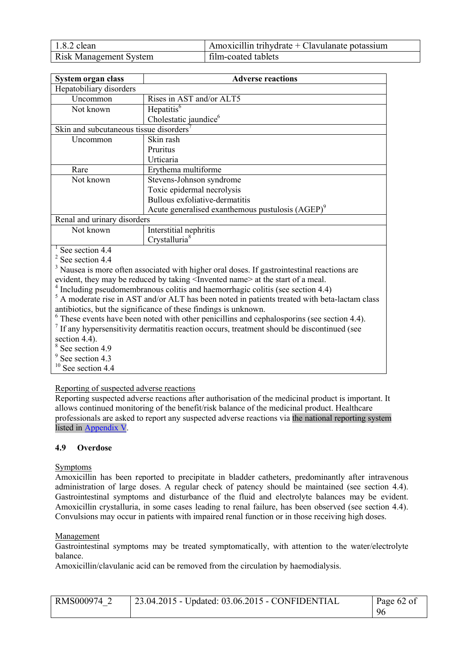| $1.8.2$ clean                 | $\Delta$ Amoxicillin trihydrate + Clavulanate potassium |
|-------------------------------|---------------------------------------------------------|
| <b>Risk Management System</b> | film-coated tablets                                     |

| System organ class                                  | <b>Adverse reactions</b>                                     |  |  |
|-----------------------------------------------------|--------------------------------------------------------------|--|--|
| Hepatobiliary disorders                             |                                                              |  |  |
| Uncommon                                            | Rises in AST and/or ALT5                                     |  |  |
| Not known                                           | $\overline{\text{He}}$ patitis <sup>6</sup>                  |  |  |
|                                                     | Cholestatic jaundice <sup>6</sup>                            |  |  |
| Skin and subcutaneous tissue disorders <sup>7</sup> |                                                              |  |  |
| Uncommon                                            | Skin rash                                                    |  |  |
|                                                     | Pruritus                                                     |  |  |
|                                                     | Urticaria                                                    |  |  |
| Rare                                                | Erythema multiforme                                          |  |  |
| Not known                                           | Stevens-Johnson syndrome                                     |  |  |
|                                                     | Toxic epidermal necrolysis                                   |  |  |
|                                                     | Bullous exfoliative-dermatitis                               |  |  |
|                                                     | Acute generalised exanthemous pustulosis (AGEP) <sup>9</sup> |  |  |
| Renal and urinary disorders                         |                                                              |  |  |
| Not known                                           | Interstitial nephritis                                       |  |  |
|                                                     | Crystalluria <sup>8</sup>                                    |  |  |
| See section 4.4                                     |                                                              |  |  |
| $2$ See section 4.4                                 |                                                              |  |  |

<sup>3</sup> Nausea is more often associated with higher oral doses. If gastrointestinal reactions are evident, they may be reduced by taking <Invented name> at the start of a meal.

<sup>4</sup> Including pseudomembranous colitis and haemorrhagic colitis (see section 4.4)

 $<sup>5</sup>$  A moderate rise in AST and/or ALT has been noted in patients treated with beta-lactam class</sup> antibiotics, but the significance of these findings is unknown.

<sup>6</sup> These events have been noted with other penicillins and cephalosporins (see section 4.4).

<sup>7</sup> If any hypersensitivity dermatitis reaction occurs, treatment should be discontinued (see section 4.4).

8 See section 4.9

<sup>9</sup> See section 4.3

 $10$  See section 4.4

# Reporting of suspected adverse reactions

Reporting suspected adverse reactions after authorisation of the medicinal product is important. It allows continued monitoring of the benefit/risk balance of the medicinal product. Healthcare professionals are asked to report any suspected adverse reactions via the national reporting system listed in Appendix V.

# **4.9 Overdose**

# Symptoms

Amoxicillin has been reported to precipitate in bladder catheters, predominantly after intravenous administration of large doses. A regular check of patency should be maintained (see section 4.4). Gastrointestinal symptoms and disturbance of the fluid and electrolyte balances may be evident. Amoxicillin crystalluria, in some cases leading to renal failure, has been observed (see section 4.4). Convulsions may occur in patients with impaired renal function or in those receiving high doses.

# Management

Gastrointestinal symptoms may be treated symptomatically, with attention to the water/electrolyte balance.

Amoxicillin/clavulanic acid can be removed from the circulation by haemodialysis.

| RMS000974 2 | $\vert$ 23.04.2015 - Updated: 03.06.2015 - CONFIDENTIAL | Page $62$ of |
|-------------|---------------------------------------------------------|--------------|
|             |                                                         | 96           |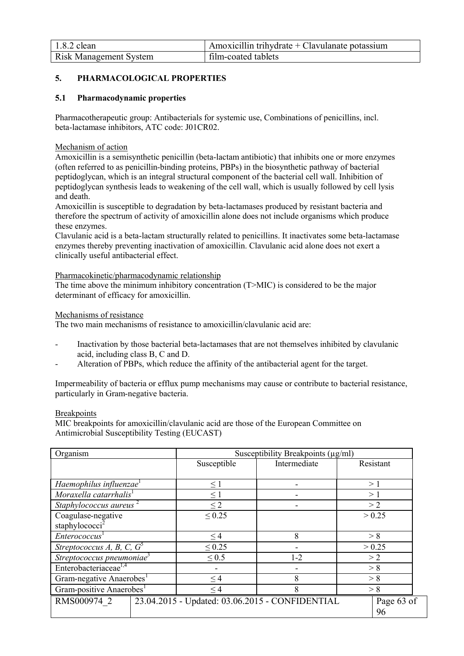| $1.8.2$ clean                 | $\mu$ Amoxicillin trihydrate + Clavulanate potassium |
|-------------------------------|------------------------------------------------------|
| <b>Risk Management System</b> | film-coated tablets                                  |

# **5. PHARMACOLOGICAL PROPERTIES**

# **5.1 Pharmacodynamic properties**

Pharmacotherapeutic group: Antibacterials for systemic use, Combinations of penicillins, incl. beta-lactamase inhibitors, ATC code: J01CR02.

#### Mechanism of action

Amoxicillin is a semisynthetic penicillin (beta-lactam antibiotic) that inhibits one or more enzymes (often referred to as penicillin-binding proteins, PBPs) in the biosynthetic pathway of bacterial peptidoglycan, which is an integral structural component of the bacterial cell wall. Inhibition of peptidoglycan synthesis leads to weakening of the cell wall, which is usually followed by cell lysis and death.

Amoxicillin is susceptible to degradation by beta-lactamases produced by resistant bacteria and therefore the spectrum of activity of amoxicillin alone does not include organisms which produce these enzymes.

Clavulanic acid is a beta-lactam structurally related to penicillins. It inactivates some beta-lactamase enzymes thereby preventing inactivation of amoxicillin. Clavulanic acid alone does not exert a clinically useful antibacterial effect.

#### Pharmacokinetic/pharmacodynamic relationship

The time above the minimum inhibitory concentration (T>MIC) is considered to be the major determinant of efficacy for amoxicillin.

#### Mechanisms of resistance

The two main mechanisms of resistance to amoxicillin/clavulanic acid are:

- Inactivation by those bacterial beta-lactamases that are not themselves inhibited by clavulanic acid, including class B, C and D.
- Alteration of PBPs, which reduce the affinity of the antibacterial agent for the target.

Impermeability of bacteria or efflux pump mechanisms may cause or contribute to bacterial resistance, particularly in Gram-negative bacteria.

#### **Breakpoints**

MIC breakpoints for amoxicillin/clavulanic acid are those of the European Committee on Antimicrobial Susceptibility Testing (EUCAST)

| Organism                              | Susceptibility Breakpoints $(\mu g/ml)$ |                                                 |            |  |
|---------------------------------------|-----------------------------------------|-------------------------------------------------|------------|--|
|                                       | Susceptible                             | Intermediate                                    | Resistant  |  |
|                                       |                                         |                                                 |            |  |
| Haemophilus influenzae                | $\leq$ 1                                |                                                 | >1         |  |
| Moraxella catarrhalis <sup>1</sup>    | $\leq$ 1                                |                                                 | >1         |  |
| Staphylococcus aureus                 | $\leq$ 2                                |                                                 | >2         |  |
| Coagulase-negative                    | $\leq 0.25$                             |                                                 | > 0.25     |  |
| staphylococci <sup>2</sup>            |                                         |                                                 |            |  |
| <i>Enterococcus</i>                   | $\leq$ 4                                | 8                                               | > 8        |  |
| Streptococcus A, B, C, $G^5$          | $\leq 0.25$                             |                                                 | > 0.25     |  |
| Streptococcus pneumoniae <sup>3</sup> | $\leq 0.5$                              | $1 - 2$                                         | >2         |  |
| Enterobacteriaceae <sup>1,4</sup>     |                                         |                                                 | > 8        |  |
| Gram-negative Anaerobes <sup>1</sup>  | $\leq$ 4                                | 8                                               | > 8        |  |
| Gram-positive Anaerobes <sup>1</sup>  | $\leq$ 4                                | 8                                               | > 8        |  |
| RMS000974 2                           |                                         | 23.04.2015 - Updated: 03.06.2015 - CONFIDENTIAL | Page 63 of |  |
|                                       |                                         |                                                 | 96         |  |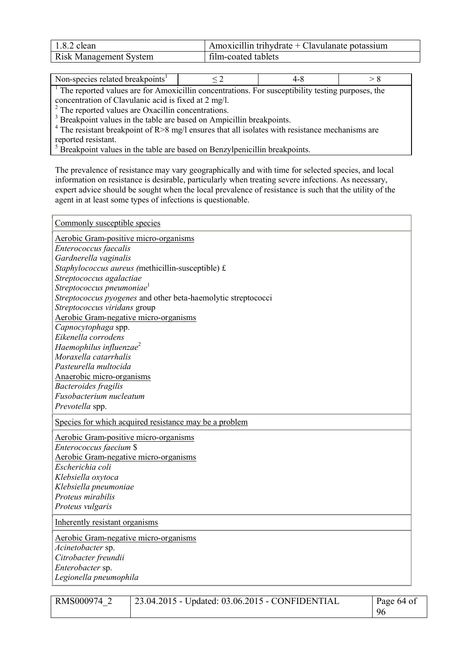| $1.8.2$ clean                 | Amoxicillin trihydrate + Clavulanate potassium |
|-------------------------------|------------------------------------------------|
| <b>Risk Management System</b> | film-coated tablets                            |

| Non-species related breakpoints <sup>1</sup>                                                      | $\leq$ 2                                                                                                      | 4-8 |  |  |  |
|---------------------------------------------------------------------------------------------------|---------------------------------------------------------------------------------------------------------------|-----|--|--|--|
|                                                                                                   | <sup>1</sup> The reported values are for Amoxicillin concentrations. For susceptibility testing purposes, the |     |  |  |  |
| concentration of Clavulanic acid is fixed at 2 mg/l.                                              |                                                                                                               |     |  |  |  |
| <sup>2</sup> The reported values are Oxacillin concentrations.                                    |                                                                                                               |     |  |  |  |
| <sup>3</sup> Breakpoint values in the table are based on Ampicillin breakpoints.                  |                                                                                                               |     |  |  |  |
| $4$ The resistant breakpoint of R>8 mg/l ensures that all isolates with resistance mechanisms are |                                                                                                               |     |  |  |  |
| reported resistant.                                                                               |                                                                                                               |     |  |  |  |
| <sup>5</sup> Breakpoint values in the table are based on Benzylpenicillin breakpoints.            |                                                                                                               |     |  |  |  |

The prevalence of resistance may vary geographically and with time for selected species, and local information on resistance is desirable, particularly when treating severe infections. As necessary, expert advice should be sought when the local prevalence of resistance is such that the utility of the agent in at least some types of infections is questionable.

| Commonly susceptible species                                  |
|---------------------------------------------------------------|
| <b>Aerobic Gram-positive micro-organisms</b>                  |
| Enterococcus faecalis                                         |
| Gardnerella vaginalis                                         |
| Staphylococcus aureus (methicillin-susceptible) £             |
| Streptococcus agalactiae                                      |
| Streptococcus pneumoniae <sup>1</sup>                         |
| Streptococcus pyogenes and other beta-haemolytic streptococci |
| Streptococcus viridans group                                  |
| Aerobic Gram-negative micro-organisms                         |
| Capnocytophaga spp.                                           |
| Eikenella corrodens                                           |
| Haemophilus influenzae <sup>2</sup>                           |
| Moraxella catarrhalis                                         |
| Pasteurella multocida                                         |
| Anaerobic micro-organisms                                     |
| <b>Bacteroides fragilis</b>                                   |
| Fusobacterium nucleatum                                       |
| Prevotella spp.                                               |
| Species for which acquired resistance may be a problem        |
| <b>Aerobic Gram-positive micro-organisms</b>                  |
| Enterococcus faecium \$                                       |
| Aerobic Gram-negative micro-organisms                         |
| Escherichia coli                                              |
| Klebsiella oxytoca                                            |
| Klebsiella pneumoniae                                         |
| Proteus mirabilis                                             |
| Proteus vulgaris                                              |
| Inherently resistant organisms                                |
| <b>Aerobic Gram-negative micro-organisms</b>                  |
| Acinetobacter sp.                                             |
| Citrobacter freundii                                          |
| Enterobacter sp.                                              |
| Legionella pneumophila                                        |
|                                                               |

| RMS000974 2 | 23.04.2015 - Updated: 03.06.2015 - CONFIDENTIAL | Page $64$ of |
|-------------|-------------------------------------------------|--------------|
|             |                                                 | 96           |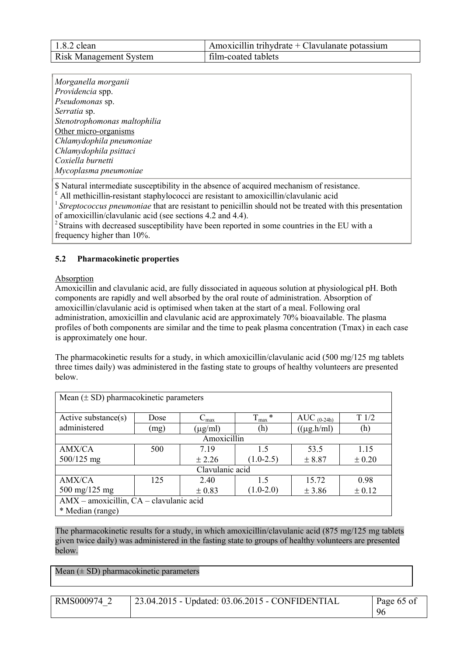| $1.8.2$ clean                 | Amoxicillin trihydrate + Clavulanate potassium |
|-------------------------------|------------------------------------------------|
| <b>Risk Management System</b> | film-coated tablets                            |

| Morganella morganii                                                                        |
|--------------------------------------------------------------------------------------------|
| Providencia spp.                                                                           |
| Pseudomonas sp.                                                                            |
| Serratia sp.                                                                               |
| Stenotrophomonas maltophilia                                                               |
| Other micro-organisms                                                                      |
| Chlamydophila pneumoniae                                                                   |
| Chlamydophila psittaci                                                                     |
| Coxiella burnetti                                                                          |
| Mycoplasma pneumoniae                                                                      |
| \$ Natural intermediate susceptibility in the absence of acquired mechanism of resistance. |

 $^t$  All methicillin-resistant staphylococci are resistant to amoxicillin/clavulanic acid

<sup>1</sup> Streptococcus pneumoniae that are resistant to penicillin should not be treated with this presentation of amoxicillin/clavulanic acid (see sections 4.2 and 4.4).

<sup>2</sup> Strains with decreased susceptibility have been reported in some countries in the EU with a frequency higher than 10%.

# **5.2 Pharmacokinetic properties**

# **Absorption**

Amoxicillin and clavulanic acid, are fully dissociated in aqueous solution at physiological pH. Both components are rapidly and well absorbed by the oral route of administration. Absorption of amoxicillin/clavulanic acid is optimised when taken at the start of a meal. Following oral administration, amoxicillin and clavulanic acid are approximately 70% bioavailable. The plasma profiles of both components are similar and the time to peak plasma concentration (Tmax) in each case is approximately one hour.

The pharmacokinetic results for a study, in which amoxicillin/clavulanic acid (500 mg/125 mg tablets three times daily) was administered in the fasting state to groups of healthy volunteers are presented below.

| Mean $(\pm SD)$ pharmacokinetic parameters  |      |                |                |                 |            |
|---------------------------------------------|------|----------------|----------------|-----------------|------------|
| Active substance(s)                         | Dose | $\rm{C_{max}}$ | *<br>$T_{max}$ | AUC $(0-24h)$   | T1/2       |
| administered                                | (mg) | $(\mu g/ml)$   | (h)            | $((\mu g.h/ml)$ | (h)        |
|                                             |      | Amoxicillin    |                |                 |            |
| AMX/CA                                      | 500  | 7.19           | 1.5            | 53.5            | 1.15       |
| $500/125$ mg                                |      | ± 2.26         | $(1.0-2.5)$    | ± 8.87          | $\pm 0.20$ |
| Clavulanic acid                             |      |                |                |                 |            |
| AMX/CA                                      | 125  | 2.40           | 1.5            | 15.72           | 0.98       |
| 500 mg/125 mg                               |      | $\pm$ 0.83     | $(1.0-2.0)$    | $±$ 3.86        | ± 0.12     |
| $AMX$ – amoxicillin, $CA$ – clavulanic acid |      |                |                |                 |            |
| * Median (range)                            |      |                |                |                 |            |

The pharmacokinetic results for a study, in which amoxicillin/clavulanic acid (875 mg/125 mg tablets given twice daily) was administered in the fasting state to groups of healthy volunteers are presented below.

Mean  $(\pm SD)$  pharmacokinetic parameters

RMS000974\_2 23.04.2015 - Updated: 03.06.2015 - CONFIDENTIAL Page 65 of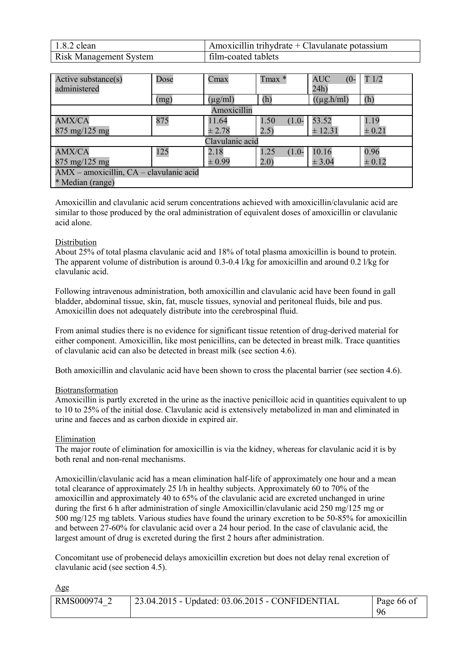| $1.8.2$ clean                 | Amoxicillin trihydrate + Clavulanate potassium |
|-------------------------------|------------------------------------------------|
| <b>Risk Management System</b> | film-coated tablets                            |

| Active substance(s)<br>administered     | Dose | Cmax         | Tmax *          | <b>AUC</b><br>$(0 -$<br>24h) | T1/2       |
|-----------------------------------------|------|--------------|-----------------|------------------------------|------------|
|                                         | (mg) | $(\mu g/ml)$ | (h)             | $((\mu g.h/ml)$              | (h)        |
|                                         |      | Amoxicillin  |                 |                              |            |
| <b>AMX/CA</b>                           | 875  | 11.64        | 1.50<br>$(1.0-$ | 53.52                        | 1.19       |
| $875 \text{ mg}/125 \text{ mg}$         |      | $\pm 2.78$   | (2.5)           | ± 12.31                      | $\pm 0.21$ |
| Clavulanic acid                         |      |              |                 |                              |            |
| <b>AMX/CA</b>                           | 125  | 2.18         | 1.25<br>$(1.0-$ | 10.16                        | 0.96       |
| $875 \text{ mg}/125 \text{ mg}$         |      | $\pm 0.99$   | 2.0)            | ± 3.04                       | $\pm 0.12$ |
| AMX - amoxicillin, CA - clavulanic acid |      |              |                 |                              |            |
| * Median (range)                        |      |              |                 |                              |            |

Amoxicillin and clavulanic acid serum concentrations achieved with amoxicillin/clavulanic acid are similar to those produced by the oral administration of equivalent doses of amoxicillin or clavulanic acid alone.

#### Distribution

About 25% of total plasma clavulanic acid and 18% of total plasma amoxicillin is bound to protein. The apparent volume of distribution is around 0.3-0.4 l/kg for amoxicillin and around 0.2 l/kg for clavulanic acid.

Following intravenous administration, both amoxicillin and clavulanic acid have been found in gall bladder, abdominal tissue, skin, fat, muscle tissues, synovial and peritoneal fluids, bile and pus. Amoxicillin does not adequately distribute into the cerebrospinal fluid.

From animal studies there is no evidence for significant tissue retention of drug-derived material for either component. Amoxicillin, like most penicillins, can be detected in breast milk. Trace quantities of clavulanic acid can also be detected in breast milk (see section 4.6).

Both amoxicillin and clavulanic acid have been shown to cross the placental barrier (see section 4.6).

#### Biotransformation

Amoxicillin is partly excreted in the urine as the inactive penicilloic acid in quantities equivalent to up to 10 to 25% of the initial dose. Clavulanic acid is extensively metabolized in man and eliminated in urine and faeces and as carbon dioxide in expired air.

#### Elimination

The major route of elimination for amoxicillin is via the kidney, whereas for clavulanic acid it is by both renal and non-renal mechanisms.

Amoxicillin/clavulanic acid has a mean elimination half-life of approximately one hour and a mean total clearance of approximately 25 l/h in healthy subjects. Approximately 60 to 70% of the amoxicillin and approximately 40 to 65% of the clavulanic acid are excreted unchanged in urine during the first 6 h after administration of single Amoxicillin/clavulanic acid 250 mg/125 mg or 500 mg/125 mg tablets. Various studies have found the urinary excretion to be 50-85% for amoxicillin and between 27-60% for clavulanic acid over a 24 hour period. In the case of clavulanic acid, the largest amount of drug is excreted during the first 2 hours after administration.

Concomitant use of probenecid delays amoxicillin excretion but does not delay renal excretion of clavulanic acid (see section 4.5).

| ×<br>۰. |
|---------|
|---------|

| RMS000974 2 | 23.04.2015 - Updated: 03.06.2015 - CONFIDENTIAL | Page 66 of |
|-------------|-------------------------------------------------|------------|
|             |                                                 | 96         |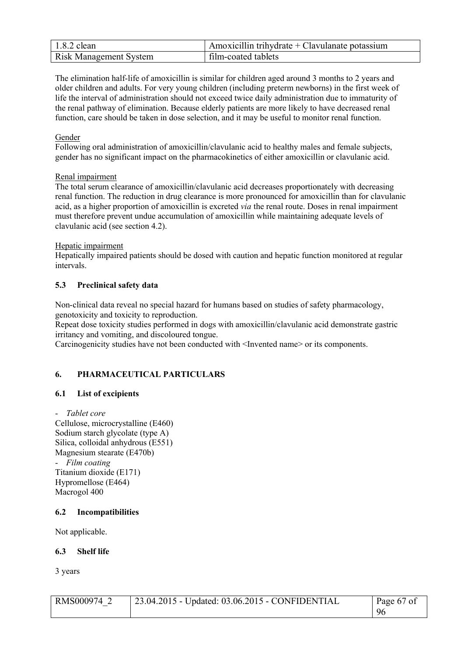| $1.8.2$ clean                 | Amoxicillin trihydrate $+$ Clavulanate potassium |
|-------------------------------|--------------------------------------------------|
| <b>Risk Management System</b> | film-coated tablets                              |

The elimination half-life of amoxicillin is similar for children aged around 3 months to 2 years and older children and adults. For very young children (including preterm newborns) in the first week of life the interval of administration should not exceed twice daily administration due to immaturity of the renal pathway of elimination. Because elderly patients are more likely to have decreased renal function, care should be taken in dose selection, and it may be useful to monitor renal function.

# Gender

Following oral administration of amoxicillin/clavulanic acid to healthy males and female subjects, gender has no significant impact on the pharmacokinetics of either amoxicillin or clavulanic acid.

# Renal impairment

The total serum clearance of amoxicillin/clavulanic acid decreases proportionately with decreasing renal function. The reduction in drug clearance is more pronounced for amoxicillin than for clavulanic acid, as a higher proportion of amoxicillin is excreted *via* the renal route. Doses in renal impairment must therefore prevent undue accumulation of amoxicillin while maintaining adequate levels of clavulanic acid (see section 4.2).

#### Hepatic impairment

Hepatically impaired patients should be dosed with caution and hepatic function monitored at regular intervals.

# **5.3 Preclinical safety data**

Non-clinical data reveal no special hazard for humans based on studies of safety pharmacology, genotoxicity and toxicity to reproduction.

Repeat dose toxicity studies performed in dogs with amoxicillin/clavulanic acid demonstrate gastric irritancy and vomiting, and discoloured tongue.

Carcinogenicity studies have not been conducted with <Invented name> or its components.

# **6. PHARMACEUTICAL PARTICULARS**

# **6.1 List of excipients**

- *Tablet core*  Cellulose, microcrystalline (E460) Sodium starch glycolate (type A) Silica, colloidal anhydrous (E551) Magnesium stearate (E470b) - *Film coating*  Titanium dioxide (E171) Hypromellose (E464) Macrogol 400

# **6.2 Incompatibilities**

Not applicable.

# **6.3 Shelf life**

3 years

| RMS000974 2 | 23.04.2015 - Updated: 03.06.2015 - CONFIDENTIAL | Page 67 of |
|-------------|-------------------------------------------------|------------|
|             |                                                 | 96         |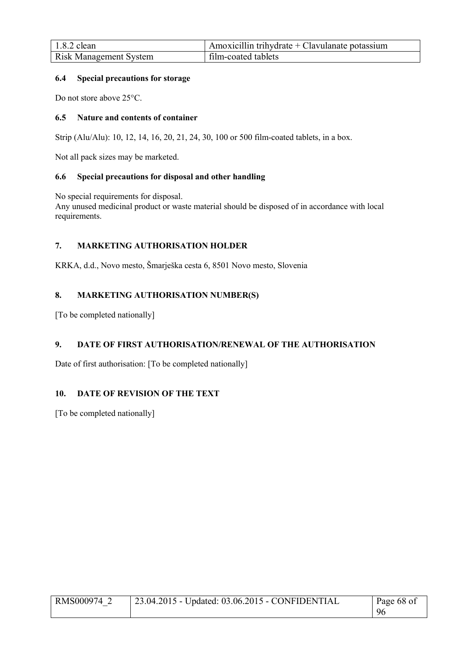| $1.8.2$ clean                 | Amoxicillin trihydrate + Clavulanate potassium |
|-------------------------------|------------------------------------------------|
| <b>Risk Management System</b> | film-coated tablets                            |

### **6.4 Special precautions for storage**

Do not store above 25°C.

# **6.5 Nature and contents of container**

Strip (Alu/Alu): 10, 12, 14, 16, 20, 21, 24, 30, 100 or 500 film-coated tablets, in a box.

Not all pack sizes may be marketed.

#### **6.6 Special precautions for disposal and other handling**

No special requirements for disposal.

Any unused medicinal product or waste material should be disposed of in accordance with local requirements.

# **7. MARKETING AUTHORISATION HOLDER**

KRKA, d.d., Novo mesto, Šmarješka cesta 6, 8501 Novo mesto, Slovenia

# **8. MARKETING AUTHORISATION NUMBER(S)**

[To be completed nationally]

# **9. DATE OF FIRST AUTHORISATION/RENEWAL OF THE AUTHORISATION**

Date of first authorisation: [To be completed nationally]

# **10. DATE OF REVISION OF THE TEXT**

[To be completed nationally]

| RMS000974 2 | 23.04.2015 - Updated: 03.06.2015 - CONFIDENTIAL | Page 68 of |
|-------------|-------------------------------------------------|------------|
|             |                                                 | 96         |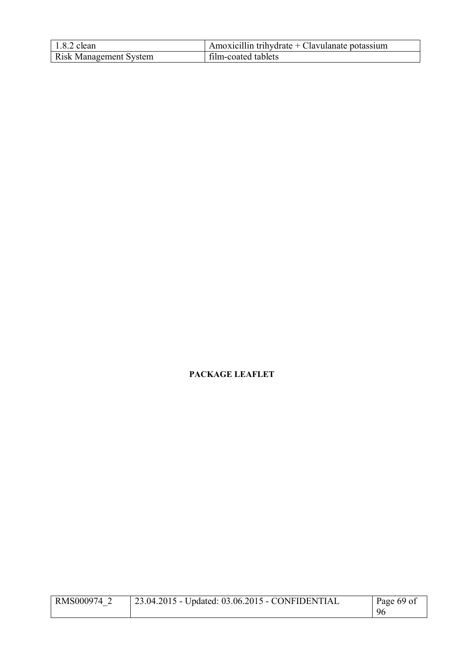| $1.8.2$ clean                 | Amoxicillin trihydrate + Clavulanate potassium |
|-------------------------------|------------------------------------------------|
| <b>Risk Management System</b> | film-coated tablets                            |

# **PACKAGE LEAFLET**

| RMS000974 2 | 23.04.2015 - Updated: 03.06.2015 - CONFIDENTIAL | Page 69 of |
|-------------|-------------------------------------------------|------------|
|             |                                                 | 96         |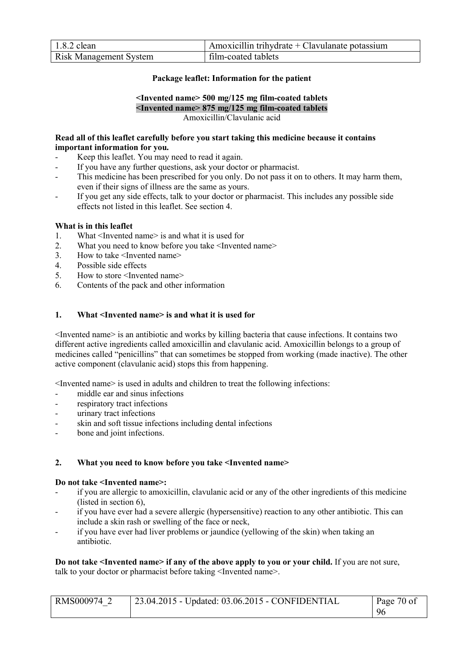| $1.8.2$ clean                 | $\mu$ Amoxicillin trihydrate + Clavulanate potassium |
|-------------------------------|------------------------------------------------------|
| <b>Risk Management System</b> | film-coated tablets                                  |

### **Package leaflet: Information for the patient**

#### **<Invented name> 500 mg/125 mg film-coated tablets <Invented name> 875 mg/125 mg film-coated tablets** Amoxicillin/Clavulanic acid

#### **Read all of this leaflet carefully before you start taking this medicine because it contains important information for you.**

- Keep this leaflet. You may need to read it again.
- If you have any further questions, ask your doctor or pharmacist.
- This medicine has been prescribed for you only. Do not pass it on to others. It may harm them, even if their signs of illness are the same as yours.
- If you get any side effects, talk to your doctor or pharmacist. This includes any possible side effects not listed in this leaflet. See section 4.

#### **What is in this leaflet**

- 1. What <Invented name> is and what it is used for
- 2. What you need to know before you take <Invented name>
- 3. How to take <Invented name>
- 4. Possible side effects
- 5. How to store <Invented name>
- 6. Contents of the pack and other information

#### **1. What <Invented name> is and what it is used for**

<Invented name> is an antibiotic and works by killing bacteria that cause infections. It contains two different active ingredients called amoxicillin and clavulanic acid. Amoxicillin belongs to a group of medicines called "penicillins" that can sometimes be stopped from working (made inactive). The other active component (clavulanic acid) stops this from happening.

<Invented name> is used in adults and children to treat the following infections:

- middle ear and sinus infections
- respiratory tract infections
- urinary tract infections
- skin and soft tissue infections including dental infections
- bone and joint infections.

#### **2. What you need to know before you take <Invented name>**

#### **Do not take <Invented name>:**

- if you are allergic to amoxicillin, clavulanic acid or any of the other ingredients of this medicine (listed in section 6),
- if you have ever had a severe allergic (hypersensitive) reaction to any other antibiotic. This can include a skin rash or swelling of the face or neck,
- if you have ever had liver problems or jaundice (yellowing of the skin) when taking an antibiotic.

**Do not take <Invented name> if any of the above apply to you or your child.** If you are not sure, talk to your doctor or pharmacist before taking <Invented name>.

| RMS000974 2 | 23.04.2015 - Updated: 03.06.2015 - CONFIDENTIAL | Page 70 of |
|-------------|-------------------------------------------------|------------|
|             |                                                 | 96         |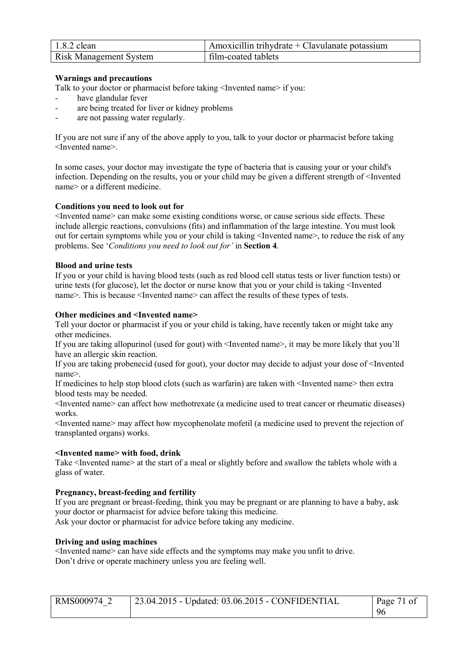| $1.8.2$ clean                 | Amoxicillin trihydrate $+$ Clavulanate potassium |
|-------------------------------|--------------------------------------------------|
| <b>Risk Management System</b> | film-coated tablets                              |

#### **Warnings and precautions**

Talk to your doctor or pharmacist before taking <Invented name> if you:

- have glandular fever
- are being treated for liver or kidney problems
- are not passing water regularly.

If you are not sure if any of the above apply to you, talk to your doctor or pharmacist before taking <Invented name>.

In some cases, your doctor may investigate the type of bacteria that is causing your or your child's infection. Depending on the results, you or your child may be given a different strength of <Invented name> or a different medicine.

#### **Conditions you need to look out for**

<Invented name> can make some existing conditions worse, or cause serious side effects. These include allergic reactions, convulsions (fits) and inflammation of the large intestine. You must look out for certain symptoms while you or your child is taking <Invented name>, to reduce the risk of any problems. See '*Conditions you need to look out for'* in **Section 4**.

#### **Blood and urine tests**

If you or your child is having blood tests (such as red blood cell status tests or liver function tests) or urine tests (for glucose), let the doctor or nurse know that you or your child is taking <Invented name>. This is because <Invented name> can affect the results of these types of tests.

#### **Other medicines and <Invented name>**

Tell your doctor or pharmacist if you or your child is taking, have recently taken or might take any other medicines.

If you are taking allopurinol (used for gout) with <Invented name>, it may be more likely that you'll have an allergic skin reaction.

If you are taking probenecid (used for gout), your doctor may decide to adjust your dose of <Invented name>.

If medicines to help stop blood clots (such as warfarin) are taken with <Invented name> then extra blood tests may be needed.

<Invented name> can affect how methotrexate (a medicine used to treat cancer or rheumatic diseases) works.

<Invented name> may affect how mycophenolate mofetil (a medicine used to prevent the rejection of transplanted organs) works.

#### **<Invented name> with food, drink**

Take <Invented name> at the start of a meal or slightly before and swallow the tablets whole with a glass of water.

#### **Pregnancy, breast-feeding and fertility**

If you are pregnant or breast-feeding, think you may be pregnant or are planning to have a baby, ask your doctor or pharmacist for advice before taking this medicine. Ask your doctor or pharmacist for advice before taking any medicine.

#### **Driving and using machines**

<Invented name> can have side effects and the symptoms may make you unfit to drive. Don't drive or operate machinery unless you are feeling well.

| RMS000974 2 | $\vert$ 23.04.2015 - Updated: 03.06.2015 - CONFIDENTIAL |     |
|-------------|---------------------------------------------------------|-----|
|             |                                                         | -96 |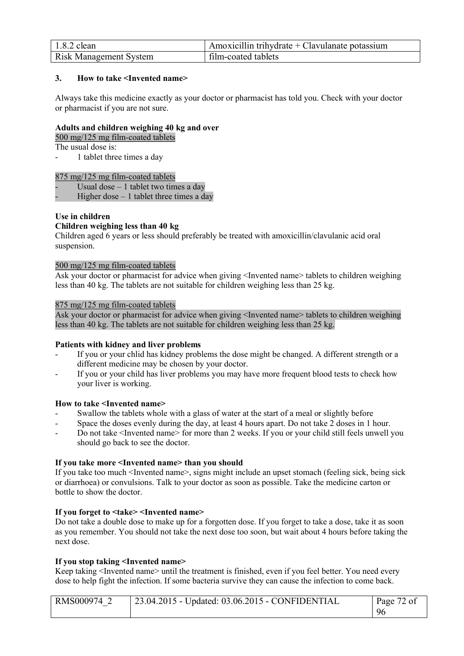| $1.8.2$ clean                 | Amoxicillin trihydrate $+$ Clavulanate potassium |
|-------------------------------|--------------------------------------------------|
| <b>Risk Management System</b> | film-coated tablets                              |

# **3. How to take <Invented name>**

Always take this medicine exactly as your doctor or pharmacist has told you. Check with your doctor or pharmacist if you are not sure.

#### **Adults and children weighing 40 kg and over**

500 mg/125 mg film-coated tablets

The usual dose is:

1 tablet three times a day

#### 875 mg/125 mg film-coated tablets

Usual dose  $-1$  tablet two times a day

Higher dose  $-1$  tablet three times a day

# **Use in children**

#### **Children weighing less than 40 kg**

Children aged 6 years or less should preferably be treated with amoxicillin/clavulanic acid oral suspension.

#### 500 mg/125 mg film-coated tablets

Ask your doctor or pharmacist for advice when giving <Invented name> tablets to children weighing less than 40 kg. The tablets are not suitable for children weighing less than 25 kg.

#### 875 mg/125 mg film-coated tablets

Ask your doctor or pharmacist for advice when giving <Invented name> tablets to children weighing less than 40 kg. The tablets are not suitable for children weighing less than 25 kg.

#### **Patients with kidney and liver problems**

- If you or your chlid has kidney problems the dose might be changed. A different strength or a different medicine may be chosen by your doctor.
- If you or your child has liver problems you may have more frequent blood tests to check how your liver is working.

#### **How to take <Invented name>**

- Swallow the tablets whole with a glass of water at the start of a meal or slightly before
- Space the doses evenly during the day, at least 4 hours apart. Do not take 2 doses in 1 hour.
- Do not take <Invented name> for more than 2 weeks. If you or your child still feels unwell you should go back to see the doctor.

#### **If you take more <Invented name> than you should**

If you take too much <Invented name>, signs might include an upset stomach (feeling sick, being sick or diarrhoea) or convulsions. Talk to your doctor as soon as possible. Take the medicine carton or bottle to show the doctor.

# **If you forget to <take> <Invented name>**

Do not take a double dose to make up for a forgotten dose. If you forget to take a dose, take it as soon as you remember. You should not take the next dose too soon, but wait about 4 hours before taking the next dose.

#### **If you stop taking <Invented name>**

Keep taking <Invented name> until the treatment is finished, even if you feel better. You need every dose to help fight the infection. If some bacteria survive they can cause the infection to come back.

| RMS000974 | $\frac{1}{23.04.2015}$ - Updated: 03.06.2015 - CONFIDENTIAL<br>Page 72 of |    |
|-----------|---------------------------------------------------------------------------|----|
|           |                                                                           | 96 |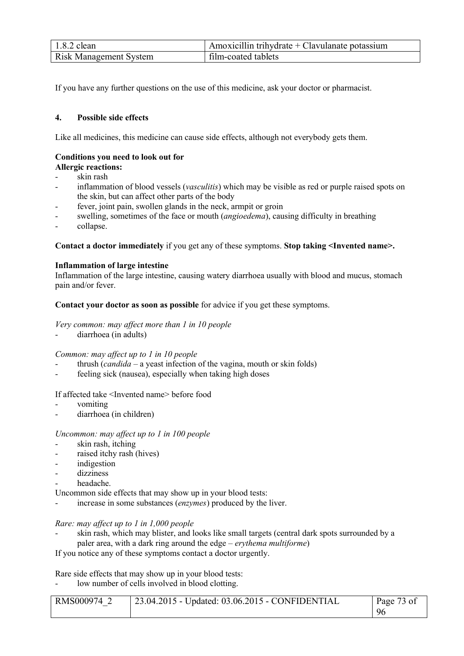| $1.8.2$ clean                 | Amoxicillin trihydrate + Clavulanate potassium |
|-------------------------------|------------------------------------------------|
| <b>Risk Management System</b> | film-coated tablets                            |

If you have any further questions on the use of this medicine, ask your doctor or pharmacist.

# **4. Possible side effects**

Like all medicines, this medicine can cause side effects, although not everybody gets them.

# **Conditions you need to look out for**

# **Allergic reactions:**

- skin rash
- inflammation of blood vessels (*vasculitis*) which may be visible as red or purple raised spots on the skin, but can affect other parts of the body
- fever, joint pain, swollen glands in the neck, armpit or groin
- swelling, sometimes of the face or mouth *(angioedema)*, causing difficulty in breathing
- collapse.

**Contact a doctor immediately** if you get any of these symptoms. **Stop taking <Invented name>.** 

# **Inflammation of large intestine**

Inflammation of the large intestine, causing watery diarrhoea usually with blood and mucus, stomach pain and/or fever.

**Contact your doctor as soon as possible** for advice if you get these symptoms.

### *Very common: may affect more than 1 in 10 people*

diarrhoea (in adults)

# *Common: may affect up to 1 in 10 people*

- thrush (*candida*  a yeast infection of the vagina, mouth or skin folds)
- feeling sick (nausea), especially when taking high doses

# If affected take <Invented name> before food

- vomiting
- diarrhoea (in children)

# *Uncommon: may affect up to 1 in 100 people*

- skin rash, itching
- raised itchy rash (hives)
- indigestion
- dizziness
- headache.

Uncommon side effects that may show up in your blood tests:

increase in some substances *(enzymes)* produced by the liver.

# *Rare: may affect up to 1 in 1,000 people*

skin rash, which may blister, and looks like small targets (central dark spots surrounded by a paler area, with a dark ring around the edge – *erythema multiforme*)

If you notice any of these symptoms contact a doctor urgently.

Rare side effects that may show up in your blood tests:

low number of cells involved in blood clotting.

| RMS000974 | $'$ 23.04.2015 - Updated: 03.06.2015 - CONFIDENTIAL | Page 73 of |
|-----------|-----------------------------------------------------|------------|
|           |                                                     |            |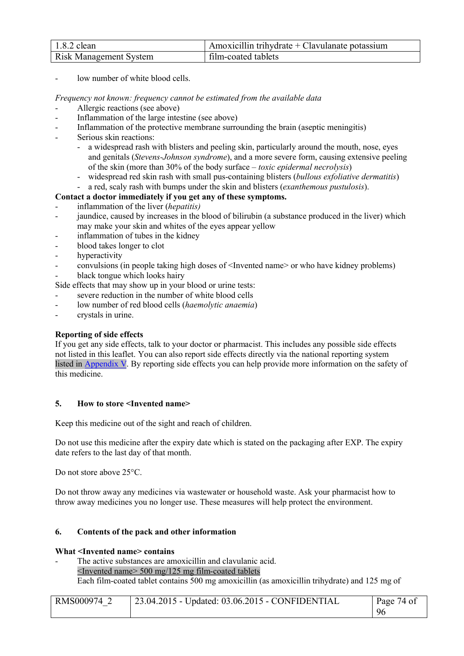| $1.8.2$ clean                 | Amoxicillin trihydrate + Clavulanate potassium |
|-------------------------------|------------------------------------------------|
| <b>Risk Management System</b> | film-coated tablets                            |

low number of white blood cells.

#### *Frequency not known: frequency cannot be estimated from the available data*

- Allergic reactions (see above)
- Inflammation of the large intestine (see above)
- Inflammation of the protective membrane surrounding the brain (aseptic meningitis)
- Serious skin reactions:
	- a widespread rash with blisters and peeling skin, particularly around the mouth, nose, eyes and genitals (*Stevens-Johnson syndrome*), and a more severe form, causing extensive peeling of the skin (more than 30% of the body surface – *toxic epidermal necrolysis*)
	- widespread red skin rash with small pus-containing blisters (*bullous exfoliative dermatitis*)
	- a red, scaly rash with bumps under the skin and blisters (*exanthemous pustulosis*).

# **Contact a doctor immediately if you get any of these symptoms.**

- inflammation of the liver (*hepatitis)*
- jaundice, caused by increases in the blood of bilirubin (a substance produced in the liver) which may make your skin and whites of the eyes appear yellow
- inflammation of tubes in the kidney
- blood takes longer to clot
- hyperactivity
- convulsions (in people taking high doses of <Invented name> or who have kidney problems) black tongue which looks hairy
- Side effects that may show up in your blood or urine tests:
- severe reduction in the number of white blood cells
- low number of red blood cells (*haemolytic anaemia*)
- crystals in urine.

# **Reporting of side effects**

If you get any side effects, talk to your doctor or pharmacist. This includes any possible side effects not listed in this leaflet. You can also report side effects directly via the national reporting system listed in Appendix V. By reporting side effects you can help provide more information on the safety of this medicine.

# **5. How to store <Invented name>**

Keep this medicine out of the sight and reach of children.

Do not use this medicine after the expiry date which is stated on the packaging after EXP. The expiry date refers to the last day of that month.

Do not store above 25°C.

Do not throw away any medicines via wastewater or household waste. Ask your pharmacist how to throw away medicines you no longer use. These measures will help protect the environment.

# **6. Contents of the pack and other information**

#### **What <Invented name> contains**

The active substances are amoxicillin and clavulanic acid. <Invented name> 500 mg/125 mg film-coated tablets Each film-coated tablet contains 500 mg amoxicillin (as amoxicillin trihydrate) and 125 mg of

| RMS000974 2 | 23.04.2015 - Updated: 03.06.2015 - CONFIDENTIAL | Page 74 of |
|-------------|-------------------------------------------------|------------|
|             |                                                 | -96        |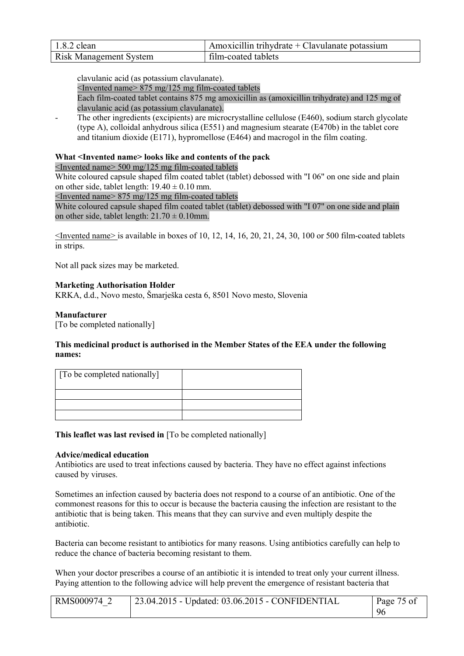| $1.8.2$ clean                 | Amoxicillin trihydrate + Clavulanate potassium |
|-------------------------------|------------------------------------------------|
| <b>Risk Management System</b> | film-coated tablets                            |

clavulanic acid (as potassium clavulanate).

<Invented name> 875 mg/125 mg film-coated tablets

Each film-coated tablet contains 875 mg amoxicillin as (amoxicillin trihydrate) and 125 mg of clavulanic acid (as potassium clavulanate).

The other ingredients (excipients) are microcrystalline cellulose (E460), sodium starch glycolate (type A), colloidal anhydrous silica (E551) and magnesium stearate (E470b) in the tablet core and titanium dioxide (E171), hypromellose (E464) and macrogol in the film coating.

### **What <Invented name> looks like and contents of the pack**

<Invented name> 500 mg/125 mg film-coated tablets

White coloured capsule shaped film coated tablet (tablet) debossed with "I 06" on one side and plain on other side, tablet length:  $19.40 \pm 0.10$  mm.

<Invented name> 875 mg/125 mg film-coated tablets

White coloured capsule shaped film coated tablet (tablet) debossed with "I 07" on one side and plain on other side, tablet length:  $21.70 \pm 0.10$ mm.

 $\leq$ Invented name> is available in boxes of 10, 12, 14, 16, 20, 21, 24, 30, 100 or 500 film-coated tablets in strips.

Not all pack sizes may be marketed.

### **Marketing Authorisation Holder**

KRKA, d.d., Novo mesto, Šmarješka cesta 6, 8501 Novo mesto, Slovenia

### **Manufacturer**

[To be completed nationally]

### **This medicinal product is authorised in the Member States of the EEA under the following names:**

| [To be completed nationally] |  |
|------------------------------|--|
|                              |  |
|                              |  |
|                              |  |

**This leaflet was last revised in** [To be completed nationally]

#### **Advice/medical education**

Antibiotics are used to treat infections caused by bacteria. They have no effect against infections caused by viruses.

Sometimes an infection caused by bacteria does not respond to a course of an antibiotic. One of the commonest reasons for this to occur is because the bacteria causing the infection are resistant to the antibiotic that is being taken. This means that they can survive and even multiply despite the antibiotic.

Bacteria can become resistant to antibiotics for many reasons. Using antibiotics carefully can help to reduce the chance of bacteria becoming resistant to them.

When your doctor prescribes a course of an antibiotic it is intended to treat only your current illness. Paying attention to the following advice will help prevent the emergence of resistant bacteria that

| RMS000974 | 23.04.2015 - Updated: 03.06.2015 - CONFIDENTIAL | Page 75 of |
|-----------|-------------------------------------------------|------------|
|           |                                                 | 96         |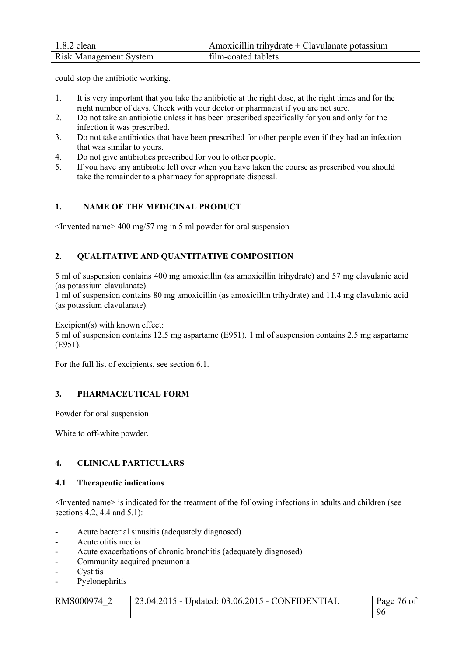| $1.8.2$ clean                 | $\mu$ Amoxicillin trihydrate + Clavulanate potassium |
|-------------------------------|------------------------------------------------------|
| <b>Risk Management System</b> | film-coated tablets                                  |

could stop the antibiotic working.

- 1. It is very important that you take the antibiotic at the right dose, at the right times and for the right number of days. Check with your doctor or pharmacist if you are not sure.
- 2. Do not take an antibiotic unless it has been prescribed specifically for you and only for the infection it was prescribed.
- 3. Do not take antibiotics that have been prescribed for other people even if they had an infection that was similar to yours.
- 4. Do not give antibiotics prescribed for you to other people.
- 5. If you have any antibiotic left over when you have taken the course as prescribed you should take the remainder to a pharmacy for appropriate disposal.

# **1. NAME OF THE MEDICINAL PRODUCT**

<Invented name> 400 mg/57 mg in 5 ml powder for oral suspension

# **2. QUALITATIVE AND QUANTITATIVE COMPOSITION**

5 ml of suspension contains 400 mg amoxicillin (as amoxicillin trihydrate) and 57 mg clavulanic acid (as potassium clavulanate).

1 ml of suspension contains 80 mg amoxicillin (as amoxicillin trihydrate) and 11.4 mg clavulanic acid (as potassium clavulanate).

Excipient(s) with known effect:

5 ml of suspension contains 12.5 mg aspartame (E951). 1 ml of suspension contains 2.5 mg aspartame (E951).

For the full list of excipients, see section 6.1.

# **3. PHARMACEUTICAL FORM**

Powder for oral suspension

White to off-white powder.

# **4. CLINICAL PARTICULARS**

# **4.1 Therapeutic indications**

<Invented name> is indicated for the treatment of the following infections in adults and children (see sections 4.2, 4.4 and 5.1):

- Acute bacterial sinusitis (adequately diagnosed)
- Acute otitis media
- Acute exacerbations of chronic bronchitis (adequately diagnosed)
- Community acquired pneumonia
- **Cystitis**
- Pyelonephritis

| RMS000974 2 | 23.04.2015 - Updated: 03.06.2015 - CONFIDENTIAL | Page 76 of |
|-------------|-------------------------------------------------|------------|
|             |                                                 | 96         |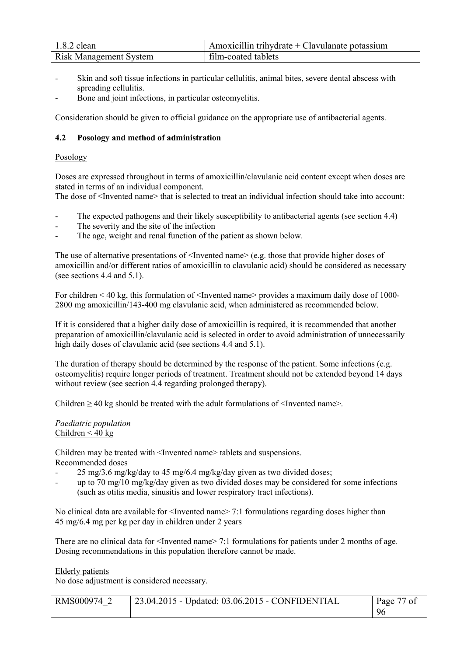| $1.8.2$ clean                 | Amoxicillin trihydrate $+$ Clavulanate potassium |
|-------------------------------|--------------------------------------------------|
| <b>Risk Management System</b> | film-coated tablets                              |

- Skin and soft tissue infections in particular cellulitis, animal bites, severe dental abscess with spreading cellulitis.
- Bone and joint infections, in particular osteomyelitis.

Consideration should be given to official guidance on the appropriate use of antibacterial agents.

# **4.2 Posology and method of administration**

# **Posology**

Doses are expressed throughout in terms of amoxicillin/clavulanic acid content except when doses are stated in terms of an individual component.

The dose of <Invented name> that is selected to treat an individual infection should take into account:

- The expected pathogens and their likely susceptibility to antibacterial agents (see section 4.4)
- The severity and the site of the infection
- The age, weight and renal function of the patient as shown below.

The use of alternative presentations of  $\leq$ Invented name $\geq$  (e.g. those that provide higher doses of amoxicillin and/or different ratios of amoxicillin to clavulanic acid) should be considered as necessary (see sections 4.4 and 5.1).

For children < 40 kg, this formulation of <Invented name> provides a maximum daily dose of 1000-2800 mg amoxicillin/143-400 mg clavulanic acid, when administered as recommended below.

If it is considered that a higher daily dose of amoxicillin is required, it is recommended that another preparation of amoxicillin/clavulanic acid is selected in order to avoid administration of unnecessarily high daily doses of clavulanic acid (see sections 4.4 and 5.1).

The duration of therapy should be determined by the response of the patient. Some infections (e.g. osteomyelitis) require longer periods of treatment. Treatment should not be extended beyond 14 days without review (see section 4.4 regarding prolonged therapy).

Children  $\geq$  40 kg should be treated with the adult formulations of  $\leq$  Invented name>.

### *Paediatric population* Children  $< 40$  kg

Children may be treated with <Invented name> tablets and suspensions. Recommended doses

- 25 mg/3.6 mg/kg/day to 45 mg/6.4 mg/kg/day given as two divided doses;
- up to 70 mg/10 mg/kg/day given as two divided doses may be considered for some infections (such as otitis media, sinusitis and lower respiratory tract infections).

No clinical data are available for <Invented name> 7:1 formulations regarding doses higher than 45 mg/6.4 mg per kg per day in children under 2 years

There are no clinical data for  $\leq$  Invented name $\geq$  7:1 formulations for patients under 2 months of age. Dosing recommendations in this population therefore cannot be made.

Elderly patients

No dose adjustment is considered necessary.

| RMS000974 | 23.04.2015 - Updated: 03.06.2015 - CONFIDENTIAL | Page 77 of |
|-----------|-------------------------------------------------|------------|
|           |                                                 | 96         |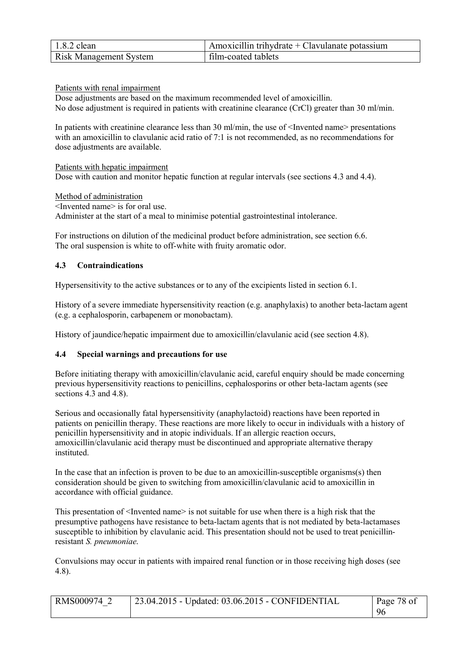| $1.8.2$ clean                 | Amoxicillin trihydrate + Clavulanate potassium |
|-------------------------------|------------------------------------------------|
| <b>Risk Management System</b> | film-coated tablets                            |

Patients with renal impairment

Dose adjustments are based on the maximum recommended level of amoxicillin. No dose adjustment is required in patients with creatinine clearance (CrCl) greater than 30 ml/min.

In patients with creatinine clearance less than 30 ml/min, the use of  $\leq$  Invented name> presentations with an amoxicillin to clavulanic acid ratio of 7:1 is not recommended, as no recommendations for dose adjustments are available.

Patients with hepatic impairment Dose with caution and monitor hepatic function at regular intervals (see sections 4.3 and 4.4).

Method of administration <Invented name> is for oral use. Administer at the start of a meal to minimise potential gastrointestinal intolerance.

For instructions on dilution of the medicinal product before administration, see section 6.6. The oral suspension is white to off-white with fruity aromatic odor.

# **4.3 Contraindications**

Hypersensitivity to the active substances or to any of the excipients listed in section 6.1.

History of a severe immediate hypersensitivity reaction (e.g. anaphylaxis) to another beta-lactam agent (e.g. a cephalosporin, carbapenem or monobactam).

History of jaundice/hepatic impairment due to amoxicillin/clavulanic acid (see section 4.8).

# **4.4 Special warnings and precautions for use**

Before initiating therapy with amoxicillin/clavulanic acid, careful enquiry should be made concerning previous hypersensitivity reactions to penicillins, cephalosporins or other beta-lactam agents (see sections 4.3 and 4.8).

Serious and occasionally fatal hypersensitivity (anaphylactoid) reactions have been reported in patients on penicillin therapy. These reactions are more likely to occur in individuals with a history of penicillin hypersensitivity and in atopic individuals. If an allergic reaction occurs, amoxicillin/clavulanic acid therapy must be discontinued and appropriate alternative therapy instituted.

In the case that an infection is proven to be due to an amoxicillin-susceptible organisms(s) then consideration should be given to switching from amoxicillin/clavulanic acid to amoxicillin in accordance with official guidance.

This presentation of  $\leq$ Invented name $\geq$  is not suitable for use when there is a high risk that the presumptive pathogens have resistance to beta-lactam agents that is not mediated by beta-lactamases susceptible to inhibition by clavulanic acid. This presentation should not be used to treat penicillinresistant *S. pneumoniae*.

Convulsions may occur in patients with impaired renal function or in those receiving high doses (see 4.8).

| RMS000974 2 | $\vert$ 23.04.2015 - Updated: 03.06.2015 - CONFIDENTIAL | Page 78 of |
|-------------|---------------------------------------------------------|------------|
|             |                                                         | -96        |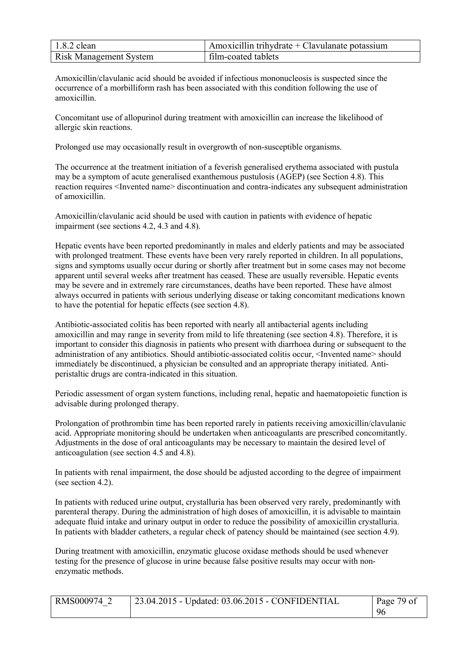| $1.8.2$ clean                 | Amoxicillin trihydrate + Clavulanate potassium |
|-------------------------------|------------------------------------------------|
| <b>Risk Management System</b> | film-coated tablets                            |

Amoxicillin/clavulanic acid should be avoided if infectious mononucleosis is suspected since the occurrence of a morbilliform rash has been associated with this condition following the use of amoxicillin.

Concomitant use of allopurinol during treatment with amoxicillin can increase the likelihood of allergic skin reactions.

Prolonged use may occasionally result in overgrowth of non-susceptible organisms.

The occurrence at the treatment initiation of a feverish generalised erythema associated with pustula may be a symptom of acute generalised exanthemous pustulosis (AGEP) (see Section 4.8). This reaction requires <Invented name> discontinuation and contra-indicates any subsequent administration of amoxicillin.

Amoxicillin/clavulanic acid should be used with caution in patients with evidence of hepatic impairment (see sections 4.2, 4.3 and 4.8).

Hepatic events have been reported predominantly in males and elderly patients and may be associated with prolonged treatment. These events have been very rarely reported in children. In all populations, signs and symptoms usually occur during or shortly after treatment but in some cases may not become apparent until several weeks after treatment has ceased. These are usually reversible. Hepatic events may be severe and in extremely rare circumstances, deaths have been reported. These have almost always occurred in patients with serious underlying disease or taking concomitant medications known to have the potential for hepatic effects (see section 4.8).

Antibiotic-associated colitis has been reported with nearly all antibacterial agents including amoxicillin and may range in severity from mild to life threatening (see section 4.8). Therefore, it is important to consider this diagnosis in patients who present with diarrhoea during or subsequent to the administration of any antibiotics. Should antibiotic-associated colitis occur, <Invented name> should immediately be discontinued, a physician be consulted and an appropriate therapy initiated. Antiperistaltic drugs are contra-indicated in this situation.

Periodic assessment of organ system functions, including renal, hepatic and haematopoietic function is advisable during prolonged therapy.

Prolongation of prothrombin time has been reported rarely in patients receiving amoxicillin/clavulanic acid. Appropriate monitoring should be undertaken when anticoagulants are prescribed concomitantly. Adjustments in the dose of oral anticoagulants may be necessary to maintain the desired level of anticoagulation (see section 4.5 and 4.8).

In patients with renal impairment, the dose should be adjusted according to the degree of impairment (see section 4.2).

In patients with reduced urine output, crystalluria has been observed very rarely, predominantly with parenteral therapy. During the administration of high doses of amoxicillin, it is advisable to maintain adequate fluid intake and urinary output in order to reduce the possibility of amoxicillin crystalluria. In patients with bladder catheters, a regular check of patency should be maintained (see section 4.9).

During treatment with amoxicillin, enzymatic glucose oxidase methods should be used whenever testing for the presence of glucose in urine because false positive results may occur with nonenzymatic methods.

| RMS000974 2 | $\vert$ 23.04.2015 - Updated: 03.06.2015 - CONFIDENTIAL | Page 79 of |
|-------------|---------------------------------------------------------|------------|
|             |                                                         | 96         |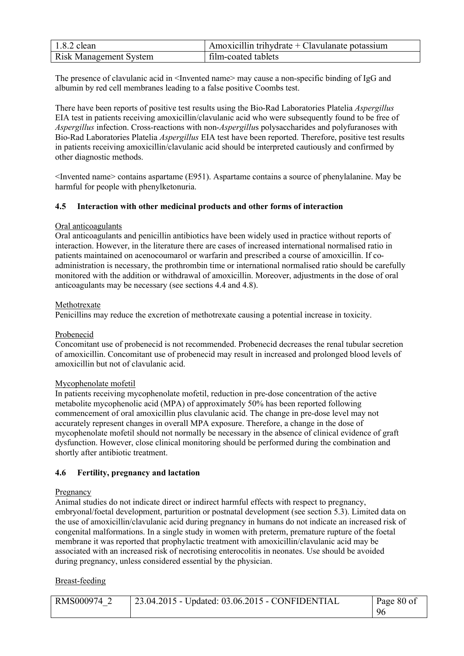| $1.8.2$ clean                 | Amoxicillin trihydrate $+$ Clavulanate potassium |
|-------------------------------|--------------------------------------------------|
| <b>Risk Management System</b> | film-coated tablets                              |

The presence of clavulanic acid in  $\leq$  Invented name> may cause a non-specific binding of IgG and albumin by red cell membranes leading to a false positive Coombs test.

There have been reports of positive test results using the Bio-Rad Laboratories Platelia *Aspergillus*  EIA test in patients receiving amoxicillin/clavulanic acid who were subsequently found to be free of *Aspergillus* infection. Cross-reactions with non-*Aspergillu*s polysaccharides and polyfuranoses with Bio-Rad Laboratories Platelia *Aspergillus* EIA test have been reported. Therefore, positive test results in patients receiving amoxicillin/clavulanic acid should be interpreted cautiously and confirmed by other diagnostic methods.

 $\leq$ Invented name> contains aspartame (E951). Aspartame contains a source of phenylalanine. May be harmful for people with phenylketonuria.

### **4.5 Interaction with other medicinal products and other forms of interaction**

### Oral anticoagulants

Oral anticoagulants and penicillin antibiotics have been widely used in practice without reports of interaction. However, in the literature there are cases of increased international normalised ratio in patients maintained on acenocoumarol or warfarin and prescribed a course of amoxicillin. If coadministration is necessary, the prothrombin time or international normalised ratio should be carefully monitored with the addition or withdrawal of amoxicillin. Moreover, adjustments in the dose of oral anticoagulants may be necessary (see sections 4.4 and 4.8).

### Methotrexate

Penicillins may reduce the excretion of methotrexate causing a potential increase in toxicity.

# Probenecid

Concomitant use of probenecid is not recommended. Probenecid decreases the renal tubular secretion of amoxicillin. Concomitant use of probenecid may result in increased and prolonged blood levels of amoxicillin but not of clavulanic acid.

# Mycophenolate mofetil

In patients receiving mycophenolate mofetil, reduction in pre-dose concentration of the active metabolite mycophenolic acid (MPA) of approximately 50% has been reported following commencement of oral amoxicillin plus clavulanic acid. The change in pre-dose level may not accurately represent changes in overall MPA exposure. Therefore, a change in the dose of mycophenolate mofetil should not normally be necessary in the absence of clinical evidence of graft dysfunction. However, close clinical monitoring should be performed during the combination and shortly after antibiotic treatment.

#### **4.6 Fertility, pregnancy and lactation**

#### Pregnancy

Animal studies do not indicate direct or indirect harmful effects with respect to pregnancy, embryonal/foetal development, parturition or postnatal development (see section 5.3). Limited data on the use of amoxicillin/clavulanic acid during pregnancy in humans do not indicate an increased risk of congenital malformations. In a single study in women with preterm, premature rupture of the foetal membrane it was reported that prophylactic treatment with amoxicillin/clavulanic acid may be associated with an increased risk of necrotising enterocolitis in neonates. Use should be avoided during pregnancy, unless considered essential by the physician.

#### Breast-feeding

| RMS000974 2 | 23.04.2015 - Updated: 03.06.2015 - CONFIDENTIAL | Page 80 of |
|-------------|-------------------------------------------------|------------|
|             |                                                 | -96        |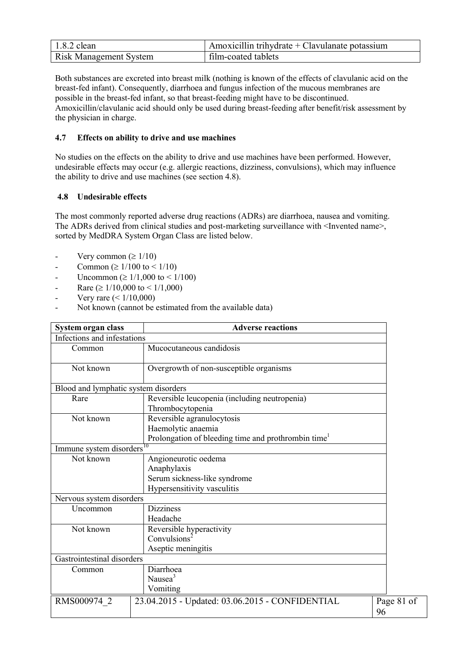| $1.8.2$ clean                 | Amoxicillin trihydrate + Clavulanate potassium |
|-------------------------------|------------------------------------------------|
| <b>Risk Management System</b> | film-coated tablets                            |

Both substances are excreted into breast milk (nothing is known of the effects of clavulanic acid on the breast-fed infant). Consequently, diarrhoea and fungus infection of the mucous membranes are possible in the breast-fed infant, so that breast-feeding might have to be discontinued. Amoxicillin/clavulanic acid should only be used during breast-feeding after benefit/risk assessment by the physician in charge.

# **4.7 Effects on ability to drive and use machines**

No studies on the effects on the ability to drive and use machines have been performed. However, undesirable effects may occur (e.g. allergic reactions, dizziness, convulsions), which may influence the ability to drive and use machines (see section 4.8).

### **4.8 Undesirable effects**

The most commonly reported adverse drug reactions (ADRs) are diarrhoea, nausea and vomiting. The ADRs derived from clinical studies and post-marketing surveillance with <Invented name>, sorted by MedDRA System Organ Class are listed below.

- Very common ( $\geq 1/10$ )
- Common ( $\geq 1/100$  to  $\leq 1/10$ )
- Uncommon ( $\geq 1/1,000$  to  $\leq 1/100$ )
- Rare ( $\geq 1/10,000$  to  $\leq 1/1,000$ )
- Very rare  $(< 1/10,000)$
- Not known (cannot be estimated from the available data)

| System organ class                   | <b>Adverse reactions</b>                                        |            |  |
|--------------------------------------|-----------------------------------------------------------------|------------|--|
| Infections and infestations          |                                                                 |            |  |
| Common                               | Mucocutaneous candidosis                                        |            |  |
| Not known                            | Overgrowth of non-susceptible organisms                         |            |  |
| Blood and lymphatic system disorders |                                                                 |            |  |
| Rare                                 | Reversible leucopenia (including neutropenia)                   |            |  |
|                                      | Thrombocytopenia                                                |            |  |
| Not known                            | Reversible agranulocytosis                                      |            |  |
|                                      | Haemolytic anaemia                                              |            |  |
|                                      | Prolongation of bleeding time and prothrombin time <sup>1</sup> |            |  |
| Immune system disorders              |                                                                 |            |  |
| Not known                            | Angioneurotic oedema                                            |            |  |
|                                      | Anaphylaxis                                                     |            |  |
|                                      | Serum sickness-like syndrome                                    |            |  |
|                                      | Hypersensitivity vasculitis                                     |            |  |
| Nervous system disorders             |                                                                 |            |  |
| Uncommon                             | <b>Dizziness</b>                                                |            |  |
|                                      | Headache                                                        |            |  |
| Not known                            | Reversible hyperactivity                                        |            |  |
|                                      | Convulsions <sup>2</sup>                                        |            |  |
| Aseptic meningitis                   |                                                                 |            |  |
| Gastrointestinal disorders           |                                                                 |            |  |
| Common                               | Diarrhoea                                                       |            |  |
| Nausea <sup>3</sup>                  |                                                                 |            |  |
|                                      | Vomiting                                                        |            |  |
| RMS000974 2                          | 23.04.2015 - Updated: 03.06.2015 - CONFIDENTIAL                 | Page 81 of |  |
|                                      |                                                                 | 96         |  |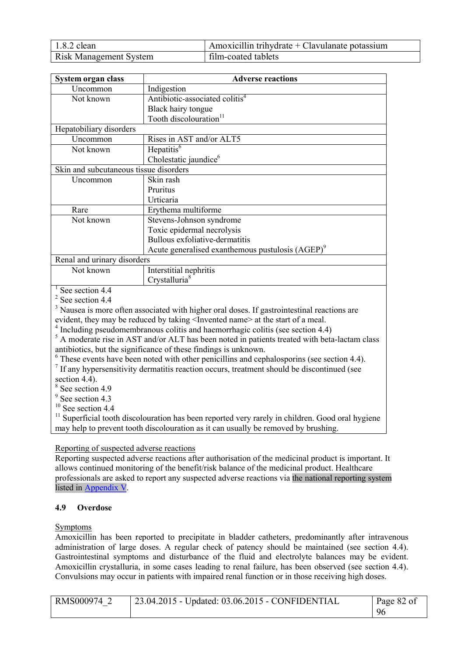| $1.8.2$ clean                 | Amoxicillin trihydrate $+$ Clavulanate potassium |
|-------------------------------|--------------------------------------------------|
| <b>Risk Management System</b> | film-coated tablets                              |

| System organ class                                           | <b>Adverse reactions</b>                   |  |  |
|--------------------------------------------------------------|--------------------------------------------|--|--|
| Uncommon                                                     | Indigestion                                |  |  |
| Not known                                                    | Antibiotic-associated colitis <sup>4</sup> |  |  |
|                                                              | Black hairy tongue                         |  |  |
|                                                              | Tooth discolouration <sup>11</sup>         |  |  |
| Hepatobiliary disorders                                      |                                            |  |  |
| Uncommon                                                     | Rises in AST and/or ALT5                   |  |  |
| Not known                                                    | Hepatitis <sup>6</sup>                     |  |  |
|                                                              | Cholestatic jaundice <sup>6</sup>          |  |  |
| Skin and subcutaneous tissue disorders                       |                                            |  |  |
| Uncommon                                                     | Skin rash                                  |  |  |
|                                                              | Pruritus                                   |  |  |
|                                                              | Urticaria                                  |  |  |
| Rare                                                         | Erythema multiforme                        |  |  |
| Not known                                                    | Stevens-Johnson syndrome                   |  |  |
|                                                              | Toxic epidermal necrolysis                 |  |  |
|                                                              | Bullous exfoliative-dermatitis             |  |  |
| Acute generalised exanthemous pustulosis (AGEP) <sup>9</sup> |                                            |  |  |
| Renal and urinary disorders                                  |                                            |  |  |
| Not known                                                    | Interstitial nephritis                     |  |  |
|                                                              | Crystalluria <sup>8</sup>                  |  |  |

 $1$  See section 4.4

 $2$  See section 4.4

<sup>3</sup> Nausea is more often associated with higher oral doses. If gastrointestinal reactions are evident, they may be reduced by taking  $\leq$  Invented name> at the start of a meal.

<sup>4</sup> Including pseudomembranous colitis and haemorrhagic colitis (see section 4.4)

<sup>5</sup> A moderate rise in AST and/or ALT has been noted in patients treated with beta-lactam class antibiotics, but the significance of these findings is unknown.

<sup>6</sup> These events have been noted with other penicillins and cephalosporins (see section 4.4).

<sup>7</sup> If any hypersensitivity dermatitis reaction occurs, treatment should be discontinued (see

section 4.4).

8 See section 4.9

<sup>9</sup> See section 4.3

 $10$  See section 4.4

<sup>11</sup> Superficial tooth discolouration has been reported very rarely in children. Good oral hygiene may help to prevent tooth discolouration as it can usually be removed by brushing.

# Reporting of suspected adverse reactions

Reporting suspected adverse reactions after authorisation of the medicinal product is important. It allows continued monitoring of the benefit/risk balance of the medicinal product. Healthcare professionals are asked to report any suspected adverse reactions via the national reporting system listed in Appendix V.

# **4.9 Overdose**

#### Symptoms

Amoxicillin has been reported to precipitate in bladder catheters, predominantly after intravenous administration of large doses. A regular check of patency should be maintained (see section 4.4). Gastrointestinal symptoms and disturbance of the fluid and electrolyte balances may be evident. Amoxicillin crystalluria, in some cases leading to renal failure, has been observed (see section 4.4). Convulsions may occur in patients with impaired renal function or in those receiving high doses.

| RMS000974 2 | $\vert$ 23.04.2015 - Updated: 03.06.2015 - CONFIDENTIAL | Page 82 of |
|-------------|---------------------------------------------------------|------------|
|             |                                                         | 96         |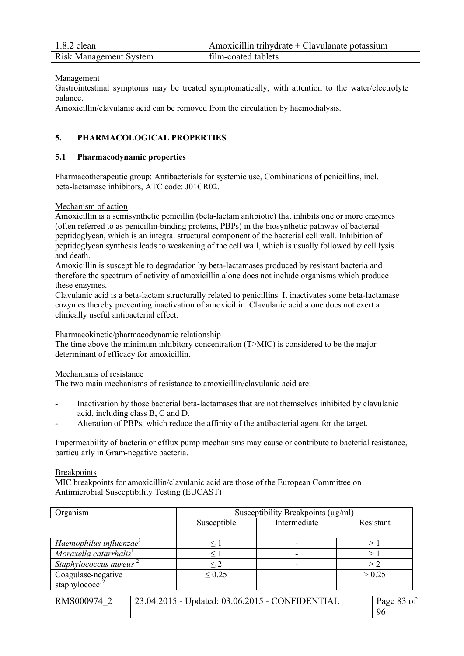| $1.8.2$ clean                 | Amoxicillin trihydrate + Clavulanate potassium |
|-------------------------------|------------------------------------------------|
| <b>Risk Management System</b> | film-coated tablets                            |

### Management

Gastrointestinal symptoms may be treated symptomatically, with attention to the water/electrolyte balance.

Amoxicillin/clavulanic acid can be removed from the circulation by haemodialysis.

# **5. PHARMACOLOGICAL PROPERTIES**

### **5.1 Pharmacodynamic properties**

Pharmacotherapeutic group: Antibacterials for systemic use, Combinations of penicillins, incl. beta-lactamase inhibitors, ATC code: J01CR02.

### Mechanism of action

Amoxicillin is a semisynthetic penicillin (beta-lactam antibiotic) that inhibits one or more enzymes (often referred to as penicillin-binding proteins, PBPs) in the biosynthetic pathway of bacterial peptidoglycan, which is an integral structural component of the bacterial cell wall. Inhibition of peptidoglycan synthesis leads to weakening of the cell wall, which is usually followed by cell lysis and death.

Amoxicillin is susceptible to degradation by beta-lactamases produced by resistant bacteria and therefore the spectrum of activity of amoxicillin alone does not include organisms which produce these enzymes.

Clavulanic acid is a beta-lactam structurally related to penicillins. It inactivates some beta-lactamase enzymes thereby preventing inactivation of amoxicillin. Clavulanic acid alone does not exert a clinically useful antibacterial effect.

Pharmacokinetic/pharmacodynamic relationship

The time above the minimum inhibitory concentration (T>MIC) is considered to be the major determinant of efficacy for amoxicillin.

Mechanisms of resistance

The two main mechanisms of resistance to amoxicillin/clavulanic acid are:

- Inactivation by those bacterial beta-lactamases that are not themselves inhibited by clavulanic acid, including class B, C and D.
- Alteration of PBPs, which reduce the affinity of the antibacterial agent for the target.

Impermeability of bacteria or efflux pump mechanisms may cause or contribute to bacterial resistance, particularly in Gram-negative bacteria.

#### Breakpoints

MIC breakpoints for amoxicillin/clavulanic acid are those of the European Committee on Antimicrobial Susceptibility Testing (EUCAST)

| Organism                                         | Susceptibility Breakpoints $(\mu g/ml)$         |              |                  |  |
|--------------------------------------------------|-------------------------------------------------|--------------|------------------|--|
|                                                  | Susceptible                                     | Intermediate | Resistant        |  |
| Haemophilus influenzae <sup>1</sup>              | $\leq 1$                                        |              | >1               |  |
| Moraxella catarrhalis <sup>1</sup>               |                                                 |              | >                |  |
| Staphylococcus aureus                            | $\leq$ 2                                        |              | > 2              |  |
| Coagulase-negative<br>staphylococci <sup>2</sup> | $\leq 0.25$                                     |              | > 0.25           |  |
| RMS000974 2                                      | 23.04.2015 - Updated: 03.06.2015 - CONFIDENTIAL |              | Page 83 of<br>96 |  |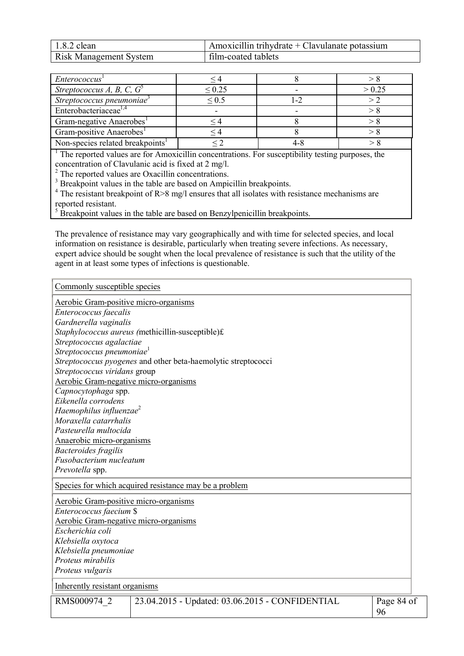| $1.8.2$ clean                 | Amoxicillin trihydrate + Clavulanate potassium |
|-------------------------------|------------------------------------------------|
| <b>Risk Management System</b> | film-coated tablets                            |

| Enterococcus <sup>1</sup>                    |             |        |
|----------------------------------------------|-------------|--------|
| Streptococcus A, B, C, $G^5$                 | $\leq 0.25$ | > 0.25 |
| Streptococcus pneumoniae <sup>3</sup>        | $\leq 0.5$  |        |
| Enterobacteriaceae <sup>1,4</sup>            |             |        |
| Gram-negative Anaerobes <sup>1</sup>         |             |        |
| Gram-positive Anaerobes <sup>1</sup>         |             |        |
| Non-species related breakpoints <sup>1</sup> |             |        |

<sup>1</sup> The reported values are for Amoxicillin concentrations. For susceptibility testing purposes, the concentration of Clavulanic acid is fixed at 2 mg/l.

<sup>2</sup> The reported values are Oxacillin concentrations.

<sup>3</sup> Breakpoint values in the table are based on Ampicillin breakpoints.

<sup>4</sup> The resistant breakpoint of R $>8$  mg/l ensures that all isolates with resistance mechanisms are reported resistant.

<sup>5</sup> Breakpoint values in the table are based on Benzylpenicillin breakpoints.

The prevalence of resistance may vary geographically and with time for selected species, and local information on resistance is desirable, particularly when treating severe infections. As necessary, expert advice should be sought when the local prevalence of resistance is such that the utility of the agent in at least some types of infections is questionable.

Commonly susceptible species

| <b>Aerobic Gram-positive micro-organisms</b> |                                                               |            |
|----------------------------------------------|---------------------------------------------------------------|------------|
| Enterococcus faecalis                        |                                                               |            |
| Gardnerella vaginalis                        |                                                               |            |
|                                              | Staphylococcus aureus (methicillin-susceptible)£              |            |
| Streptococcus agalactiae                     |                                                               |            |
| Streptococcus pneumoniae <sup>1</sup>        |                                                               |            |
|                                              | Streptococcus pyogenes and other beta-haemolytic streptococci |            |
| Streptococcus viridans group                 |                                                               |            |
| Aerobic Gram-negative micro-organisms        |                                                               |            |
| Capnocytophaga spp.                          |                                                               |            |
| Eikenella corrodens                          |                                                               |            |
| Haemophilus influenzae <sup>2</sup>          |                                                               |            |
| Moraxella catarrhalis                        |                                                               |            |
| Pasteurella multocida                        |                                                               |            |
| Anaerobic micro-organisms                    |                                                               |            |
| <b>Bacteroides fragilis</b>                  |                                                               |            |
| Fusobacterium nucleatum                      |                                                               |            |
| Prevotella spp.                              |                                                               |            |
|                                              | Species for which acquired resistance may be a problem        |            |
| <b>Aerobic Gram-positive micro-organisms</b> |                                                               |            |
| Enterococcus faecium \$                      |                                                               |            |
| Aerobic Gram-negative micro-organisms        |                                                               |            |
| Escherichia coli                             |                                                               |            |
| Klebsiella oxytoca                           |                                                               |            |
| Klebsiella pneumoniae                        |                                                               |            |
| Proteus mirabilis                            |                                                               |            |
| Proteus vulgaris                             |                                                               |            |
| Inherently resistant organisms               |                                                               |            |
| RMS000974 2                                  | 23.04.2015 - Updated: 03.06.2015 - CONFIDENTIAL               | Page 84 of |
|                                              |                                                               | 96         |
|                                              |                                                               |            |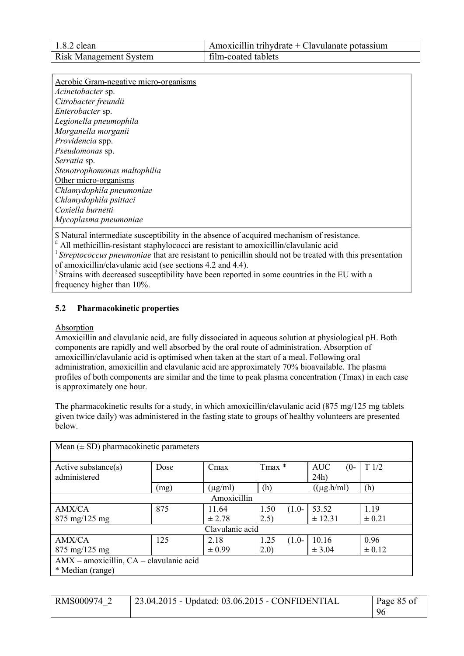| $1.8.2$ clean                 | Amoxicillin trihydrate + Clavulanate potassium |
|-------------------------------|------------------------------------------------|
| <b>Risk Management System</b> | film-coated tablets                            |

Aerobic Gram-negative micro-organisms *Acinetobacter* sp. *Citrobacter freundii Enterobacter* sp. *Legionella pneumophila Morganella morganii Providencia* spp. *Pseudomonas* sp. *Serratia* sp. *Stenotrophomonas maltophilia* Other micro-organisms *Chlamydophila pneumoniae Chlamydophila psittaci Coxiella burnetti Mycoplasma pneumoniae*

\$ Natural intermediate susceptibility in the absence of acquired mechanism of resistance.

 $\sum_{i=1}^{n}$  All methicillin-resistant staphylococci are resistant to amoxicillin/clavulanic acid

<sup>1</sup> Streptococcus pneumoniae that are resistant to penicillin should not be treated with this presentation of amoxicillin/clavulanic acid (see sections 4.2 and 4.4).

<sup>2</sup> Strains with decreased susceptibility have been reported in some countries in the EU with a frequency higher than 10%.

# **5.2 Pharmacokinetic properties**

#### Absorption

Amoxicillin and clavulanic acid, are fully dissociated in aqueous solution at physiological pH. Both components are rapidly and well absorbed by the oral route of administration. Absorption of amoxicillin/clavulanic acid is optimised when taken at the start of a meal. Following oral administration, amoxicillin and clavulanic acid are approximately 70% bioavailable. The plasma profiles of both components are similar and the time to peak plasma concentration (Tmax) in each case is approximately one hour.

The pharmacokinetic results for a study, in which amoxicillin/clavulanic acid (875 mg/125 mg tablets given twice daily) was administered in the fasting state to groups of healthy volunteers are presented below.

| Mean $(\pm SD)$ pharmacokinetic parameters |      |              |                 |                              |            |
|--------------------------------------------|------|--------------|-----------------|------------------------------|------------|
| Active substance(s)<br>administered        | Dose | Cmax         | Tmax *          | <b>AUC</b><br>$(0 -$<br>24h) | T1/2       |
|                                            | (mg) | $(\mu g/ml)$ | (h)             | $((\mu g.h/ml)$              | (h)        |
| Amoxicillin                                |      |              |                 |                              |            |
| <b>AMX/CA</b>                              | 875  | 11.64        | 1.50<br>$(1.0-$ | 53.52                        | 1.19       |
| $875 \text{ mg}/125 \text{ mg}$            |      | ± 2.78       | 2.5)            | ± 12.31                      | $\pm 0.21$ |
| Clavulanic acid                            |      |              |                 |                              |            |
| AMX/CA                                     | 125  | 2.18         | 1.25<br>$(1.0-$ | 10.16                        | 0.96       |
| 875 mg/125 mg                              |      | $\pm 0.99$   | 2.0)            | $\pm$ 3.04                   | $\pm 0.12$ |
| AMX - amoxicillin, CA - clavulanic acid    |      |              |                 |                              |            |
| * Median (range)                           |      |              |                 |                              |            |

| RMS000974 2 | $\frac{1}{23.04.2015}$ - Updated: 03.06.2015 - CONFIDENTIAL | Page 85 of |
|-------------|-------------------------------------------------------------|------------|
|             |                                                             | 96         |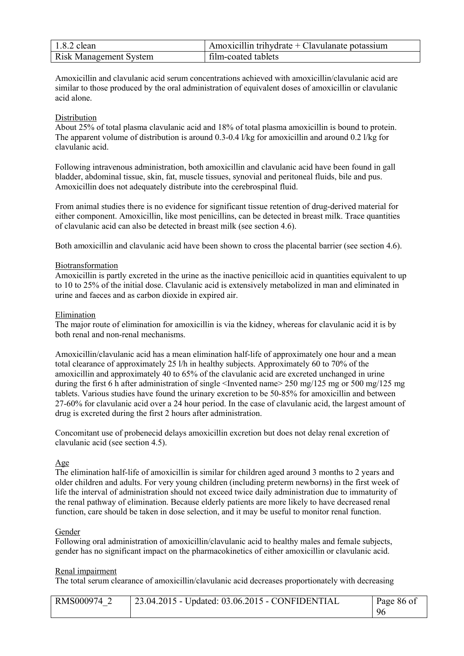| $1.8.2$ clean                 | Amoxicillin trihydrate + Clavulanate potassium |
|-------------------------------|------------------------------------------------|
| <b>Risk Management System</b> | film-coated tablets                            |

Amoxicillin and clavulanic acid serum concentrations achieved with amoxicillin/clavulanic acid are similar to those produced by the oral administration of equivalent doses of amoxicillin or clavulanic acid alone.

### **Distribution**

About 25% of total plasma clavulanic acid and 18% of total plasma amoxicillin is bound to protein. The apparent volume of distribution is around 0.3-0.4 l/kg for amoxicillin and around 0.2 l/kg for clavulanic acid.

Following intravenous administration, both amoxicillin and clavulanic acid have been found in gall bladder, abdominal tissue, skin, fat, muscle tissues, synovial and peritoneal fluids, bile and pus. Amoxicillin does not adequately distribute into the cerebrospinal fluid.

From animal studies there is no evidence for significant tissue retention of drug-derived material for either component. Amoxicillin, like most penicillins, can be detected in breast milk. Trace quantities of clavulanic acid can also be detected in breast milk (see section 4.6).

Both amoxicillin and clavulanic acid have been shown to cross the placental barrier (see section 4.6).

#### Biotransformation

Amoxicillin is partly excreted in the urine as the inactive penicilloic acid in quantities equivalent to up to 10 to 25% of the initial dose. Clavulanic acid is extensively metabolized in man and eliminated in urine and faeces and as carbon dioxide in expired air.

#### Elimination

The major route of elimination for amoxicillin is via the kidney, whereas for clavulanic acid it is by both renal and non-renal mechanisms.

Amoxicillin/clavulanic acid has a mean elimination half-life of approximately one hour and a mean total clearance of approximately 25 l/h in healthy subjects. Approximately 60 to 70% of the amoxicillin and approximately 40 to 65% of the clavulanic acid are excreted unchanged in urine during the first 6 h after administration of single <Invented name> 250 mg/125 mg or 500 mg/125 mg tablets. Various studies have found the urinary excretion to be 50-85% for amoxicillin and between 27-60% for clavulanic acid over a 24 hour period. In the case of clavulanic acid, the largest amount of drug is excreted during the first 2 hours after administration.

Concomitant use of probenecid delays amoxicillin excretion but does not delay renal excretion of clavulanic acid (see section 4.5).

#### Age

The elimination half-life of amoxicillin is similar for children aged around 3 months to 2 years and older children and adults. For very young children (including preterm newborns) in the first week of life the interval of administration should not exceed twice daily administration due to immaturity of the renal pathway of elimination. Because elderly patients are more likely to have decreased renal function, care should be taken in dose selection, and it may be useful to monitor renal function.

#### Gender

Following oral administration of amoxicillin/clavulanic acid to healthy males and female subjects, gender has no significant impact on the pharmacokinetics of either amoxicillin or clavulanic acid.

#### Renal impairment

The total serum clearance of amoxicillin/clavulanic acid decreases proportionately with decreasing

| RMS000974 2 | 23.04.2015 - Updated: 03.06.2015 - CONFIDENTIAL | Page 86 of |
|-------------|-------------------------------------------------|------------|
|             |                                                 | 96         |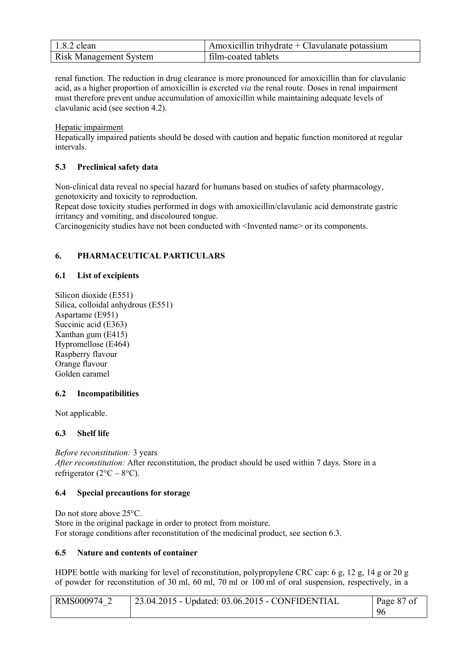| $1.8.2$ clean                 | Amoxicillin trihydrate + Clavulanate potassium |
|-------------------------------|------------------------------------------------|
| <b>Risk Management System</b> | film-coated tablets                            |

renal function. The reduction in drug clearance is more pronounced for amoxicillin than for clavulanic acid, as a higher proportion of amoxicillin is excreted *via* the renal route. Doses in renal impairment must therefore prevent undue accumulation of amoxicillin while maintaining adequate levels of clavulanic acid (see section 4.2).

Hepatic impairment

Hepatically impaired patients should be dosed with caution and hepatic function monitored at regular intervals.

# **5.3 Preclinical safety data**

Non-clinical data reveal no special hazard for humans based on studies of safety pharmacology, genotoxicity and toxicity to reproduction.

Repeat dose toxicity studies performed in dogs with amoxicillin/clavulanic acid demonstrate gastric irritancy and vomiting, and discoloured tongue.

Carcinogenicity studies have not been conducted with <Invented name> or its components.

# **6. PHARMACEUTICAL PARTICULARS**

# **6.1 List of excipients**

Silicon dioxide (E551) Silica, colloidal anhydrous (E551) Aspartame (E951) Succinic acid (E363) Xanthan gum (E415) Hypromellose (E464) Raspberry flavour Orange flavour Golden caramel

# **6.2 Incompatibilities**

Not applicable.

# **6.3 Shelf life**

*Before reconstitution:* 3 years *After reconstitution:* After reconstitution, the product should be used within 7 days. Store in a refrigerator  $(2^{\circ}C - 8^{\circ}C)$ .

### **6.4 Special precautions for storage**

Do not store above 25 °C. Store in the original package in order to protect from moisture. For storage conditions after reconstitution of the medicinal product, see section 6.3.

# **6.5 Nature and contents of container**

HDPE bottle with marking for level of reconstitution, polypropylene CRC cap: 6 g, 12 g, 14 g or 20 g of powder for reconstitution of 30 ml, 60 ml, 70 ml or 100 ml of oral suspension, respectively, in a

| RMS000974 | $\frac{1}{23.04.2015}$ - Updated: 03.06.2015 - CONFIDENTIAL | Page 87 of |
|-----------|-------------------------------------------------------------|------------|
|           |                                                             | 96         |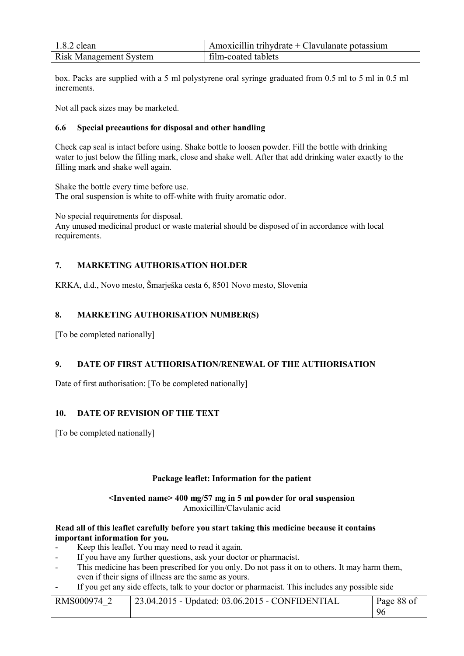| $1.8.2$ clean                 | $\Delta$ Amoxicillin trihydrate + Clavulanate potassium |
|-------------------------------|---------------------------------------------------------|
| <b>Risk Management System</b> | film-coated tablets                                     |

box. Packs are supplied with a 5 ml polystyrene oral syringe graduated from 0.5 ml to 5 ml in 0.5 ml increments.

Not all pack sizes may be marketed.

### **6.6 Special precautions for disposal and other handling**

Check cap seal is intact before using. Shake bottle to loosen powder. Fill the bottle with drinking water to just below the filling mark, close and shake well. After that add drinking water exactly to the filling mark and shake well again.

Shake the bottle every time before use. The oral suspension is white to off-white with fruity aromatic odor.

No special requirements for disposal.

Any unused medicinal product or waste material should be disposed of in accordance with local requirements.

# **7. MARKETING AUTHORISATION HOLDER**

KRKA, d.d., Novo mesto, Šmarješka cesta 6, 8501 Novo mesto, Slovenia

# **8. MARKETING AUTHORISATION NUMBER(S)**

[To be completed nationally]

# **9. DATE OF FIRST AUTHORISATION/RENEWAL OF THE AUTHORISATION**

Date of first authorisation: [To be completed nationally]

#### **10. DATE OF REVISION OF THE TEXT**

[To be completed nationally]

#### **Package leaflet: Information for the patient**

#### **<Invented name> 400 mg/57 mg in 5 ml powder for oral suspension** Amoxicillin/Clavulanic acid

#### **Read all of this leaflet carefully before you start taking this medicine because it contains important information for you.**

- Keep this leaflet. You may need to read it again.
- If you have any further questions, ask your doctor or pharmacist.
- This medicine has been prescribed for you only. Do not pass it on to others. It may harm them, even if their signs of illness are the same as yours.
- If you get any side effects, talk to your doctor or pharmacist. This includes any possible side

| RMS000974 2 | $\frac{1}{23.04.2015}$ - Updated: 03.06.2015 - CONFIDENTIAL | Page 88 of |
|-------------|-------------------------------------------------------------|------------|
|             |                                                             | 96         |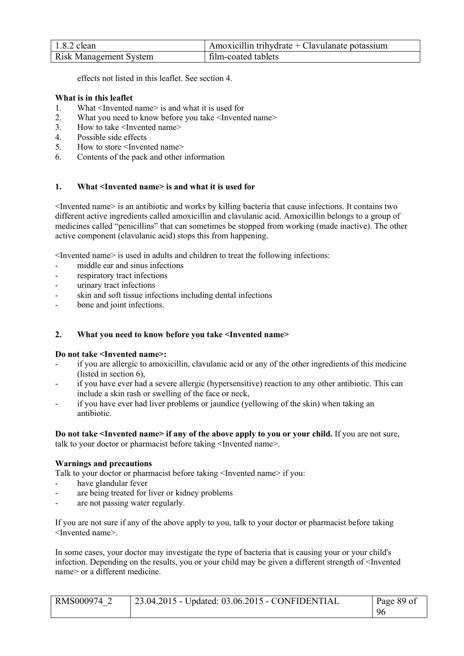| $1.8.2$ clean                 | $\alpha$ Amoxicillin trihydrate + Clavulanate potassium |
|-------------------------------|---------------------------------------------------------|
| <b>Risk Management System</b> | film-coated tablets                                     |

effects not listed in this leaflet. See section 4.

### **What is in this leaflet**

- 1. What <Invented name> is and what it is used for
- 2. What you need to know before you take <Invented name>
- 3. How to take <Invented name>
- 4. Possible side effects
- 5. How to store <Invented name>
- 6. Contents of the pack and other information

# **1. What <Invented name> is and what it is used for**

<Invented name> is an antibiotic and works by killing bacteria that cause infections. It contains two different active ingredients called amoxicillin and clavulanic acid. Amoxicillin belongs to a group of medicines called "penicillins" that can sometimes be stopped from working (made inactive). The other active component (clavulanic acid) stops this from happening.

<Invented name> is used in adults and children to treat the following infections:

- middle ear and sinus infections
- respiratory tract infections
- urinary tract infections
- skin and soft tissue infections including dental infections
- bone and joint infections.

# **2. What you need to know before you take <Invented name>**

#### **Do not take <Invented name>:**

- if you are allergic to amoxicillin, clavulanic acid or any of the other ingredients of this medicine (listed in section 6),
- if you have ever had a severe allergic (hypersensitive) reaction to any other antibiotic. This can include a skin rash or swelling of the face or neck,
- if you have ever had liver problems or jaundice (yellowing of the skin) when taking an antibiotic.

**Do not take <Invented name> if any of the above apply to you or your child.** If you are not sure, talk to your doctor or pharmacist before taking <Invented name>.

#### **Warnings and precautions**

Talk to your doctor or pharmacist before taking <Invented name> if you:

- have glandular fever
- are being treated for liver or kidney problems
- are not passing water regularly.

If you are not sure if any of the above apply to you, talk to your doctor or pharmacist before taking <Invented name>.

In some cases, your doctor may investigate the type of bacteria that is causing your or your child's infection. Depending on the results, you or your child may be given a different strength of <Invented name> or a different medicine.

| RMS000974 2 | $\vert$ 23.04.2015 - Updated: 03.06.2015 - CONFIDENTIAL | Page 89 of |
|-------------|---------------------------------------------------------|------------|
|             |                                                         | 96         |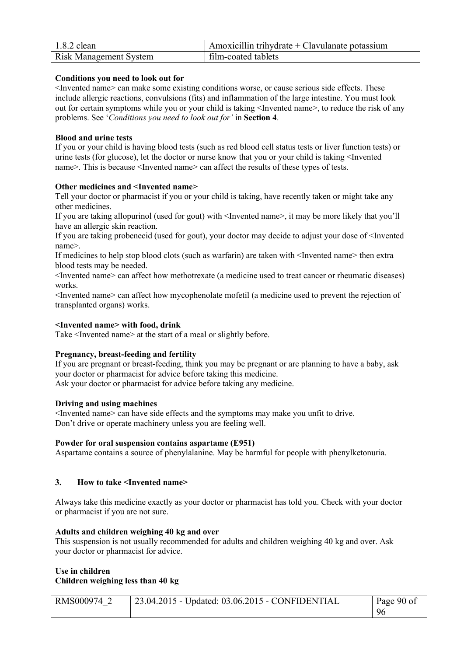| $1.8.2$ clean                 | $\vert$ Amoxicillin trihydrate + Clavulanate potassium |
|-------------------------------|--------------------------------------------------------|
| <b>Risk Management System</b> | film-coated tablets                                    |

### **Conditions you need to look out for**

<Invented name> can make some existing conditions worse, or cause serious side effects. These include allergic reactions, convulsions (fits) and inflammation of the large intestine. You must look out for certain symptoms while you or your child is taking <Invented name>, to reduce the risk of any problems. See '*Conditions you need to look out for'* in **Section 4**.

#### **Blood and urine tests**

If you or your child is having blood tests (such as red blood cell status tests or liver function tests) or urine tests (for glucose), let the doctor or nurse know that you or your child is taking <Invented name>. This is because <Invented name> can affect the results of these types of tests.

#### **Other medicines and <Invented name>**

Tell your doctor or pharmacist if you or your child is taking, have recently taken or might take any other medicines.

If you are taking allopurinol (used for gout) with <Invented name>, it may be more likely that you'll have an allergic skin reaction.

If you are taking probenecid (used for gout), your doctor may decide to adjust your dose of <Invented name>.

If medicines to help stop blood clots (such as warfarin) are taken with <Invented name> then extra blood tests may be needed.

<Invented name> can affect how methotrexate (a medicine used to treat cancer or rheumatic diseases) works.

<Invented name> can affect how mycophenolate mofetil (a medicine used to prevent the rejection of transplanted organs) works.

#### **<Invented name> with food, drink**

Take <Invented name> at the start of a meal or slightly before.

# **Pregnancy, breast-feeding and fertility**

If you are pregnant or breast-feeding, think you may be pregnant or are planning to have a baby, ask your doctor or pharmacist for advice before taking this medicine. Ask your doctor or pharmacist for advice before taking any medicine.

#### **Driving and using machines**

<Invented name> can have side effects and the symptoms may make you unfit to drive. Don't drive or operate machinery unless you are feeling well.

#### **Powder for oral suspension contains aspartame (E951)**

Aspartame contains a source of phenylalanine. May be harmful for people with phenylketonuria.

# **3. How to take <Invented name>**

Always take this medicine exactly as your doctor or pharmacist has told you. Check with your doctor or pharmacist if you are not sure.

#### **Adults and children weighing 40 kg and over**

This suspension is not usually recommended for adults and children weighing 40 kg and over. Ask your doctor or pharmacist for advice.

#### **Use in children Children weighing less than 40 kg**

| RMS000974 2 | $\vert$ 23.04.2015 - Updated: 03.06.2015 - CONFIDENTIAL | Page 90 of |
|-------------|---------------------------------------------------------|------------|
|             |                                                         | -96        |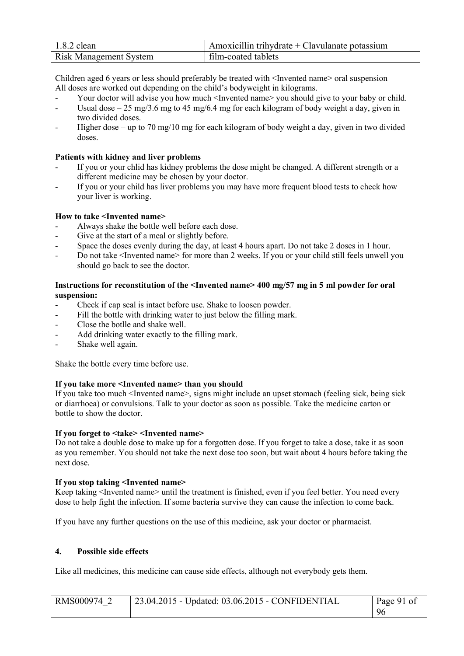| $1.8.2$ clean                 | Amoxicillin trihydrate + Clavulanate potassium |
|-------------------------------|------------------------------------------------|
| <b>Risk Management System</b> | film-coated tablets                            |

Children aged 6 years or less should preferably be treated with <Invented name> oral suspension All doses are worked out depending on the child's bodyweight in kilograms.

- Your doctor will advise you how much <Invented name> you should give to your baby or child.
- Usual dose  $25 \text{ mg}/3.6 \text{ mg}$  to 45 mg/6.4 mg for each kilogram of body weight a day, given in two divided doses.
- Higher dose up to 70 mg/10 mg for each kilogram of body weight a day, given in two divided doses.

### **Patients with kidney and liver problems**

- If you or your chlid has kidney problems the dose might be changed. A different strength or a different medicine may be chosen by your doctor.
- If you or your child has liver problems you may have more frequent blood tests to check how your liver is working.

### **How to take <Invented name>**

- Always shake the bottle well before each dose.
- Give at the start of a meal or slightly before.
- Space the doses evenly during the day, at least 4 hours apart. Do not take 2 doses in 1 hour.
- Do not take <Invented name> for more than 2 weeks. If you or your child still feels unwell you should go back to see the doctor.

### **Instructions for reconstitution of the <Invented name> 400 mg/57 mg in 5 ml powder for oral suspension:**

- Check if cap seal is intact before use. Shake to loosen powder.
- Fill the bottle with drinking water to just below the filling mark.
- Close the botlle and shake well.
- Add drinking water exactly to the filling mark.
- Shake well again.

Shake the bottle every time before use.

#### **If you take more <Invented name> than you should**

If you take too much <Invented name>, signs might include an upset stomach (feeling sick, being sick or diarrhoea) or convulsions. Talk to your doctor as soon as possible. Take the medicine carton or bottle to show the doctor.

#### **If you forget to <take> <Invented name>**

Do not take a double dose to make up for a forgotten dose. If you forget to take a dose, take it as soon as you remember. You should not take the next dose too soon, but wait about 4 hours before taking the next dose.

#### **If you stop taking <Invented name>**

Keep taking <Invented name> until the treatment is finished, even if you feel better. You need every dose to help fight the infection. If some bacteria survive they can cause the infection to come back.

If you have any further questions on the use of this medicine, ask your doctor or pharmacist.

#### **4. Possible side effects**

Like all medicines, this medicine can cause side effects, although not everybody gets them.

| RMS000974 2 | 23.04.2015 - Updated: 03.06.2015 - CONFIDENTIAL | Page 91 of |
|-------------|-------------------------------------------------|------------|
|             |                                                 | 96         |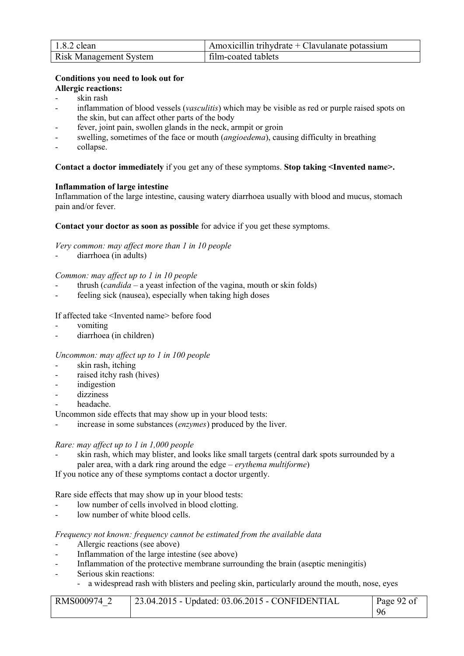| $1.8.2$ clean                 | Amoxicillin trihydrate + Clavulanate potassium |
|-------------------------------|------------------------------------------------|
| <b>Risk Management System</b> | film-coated tablets                            |

# **Conditions you need to look out for**

- **Allergic reactions:**
- skin rash
- inflammation of blood vessels (*vasculitis*) which may be visible as red or purple raised spots on the skin, but can affect other parts of the body
- fever, joint pain, swollen glands in the neck, armpit or groin
- swelling, sometimes of the face or mouth *(angioedema)*, causing difficulty in breathing
- collapse.

# **Contact a doctor immediately** if you get any of these symptoms. **Stop taking <Invented name>.**

# **Inflammation of large intestine**

Inflammation of the large intestine, causing watery diarrhoea usually with blood and mucus, stomach pain and/or fever.

# **Contact your doctor as soon as possible** for advice if you get these symptoms.

*Very common: may affect more than 1 in 10 people*

diarrhoea (in adults)

# *Common: may affect up to 1 in 10 people*

- thrush (*candida*  a yeast infection of the vagina, mouth or skin folds)
- feeling sick (nausea), especially when taking high doses

# If affected take <Invented name> before food

- vomiting
- diarrhoea (in children)

# *Uncommon: may affect up to 1 in 100 people*

- skin rash, itching
- raised itchy rash (hives)
- indigestion
- dizziness
- headache.

Uncommon side effects that may show up in your blood tests:

- increase in some substances (*enzymes*) produced by the liver.

# *Rare: may affect up to 1 in 1,000 people*

skin rash, which may blister, and looks like small targets (central dark spots surrounded by a paler area, with a dark ring around the edge – *erythema multiforme*)

If you notice any of these symptoms contact a doctor urgently.

Rare side effects that may show up in your blood tests:

- low number of cells involved in blood clotting.
- low number of white blood cells.

# *Frequency not known: frequency cannot be estimated from the available data*

- Allergic reactions (see above)
- Inflammation of the large intestine (see above)
- Inflammation of the protective membrane surrounding the brain (aseptic meningitis)
- Serious skin reactions:
	- a widespread rash with blisters and peeling skin, particularly around the mouth, nose, eyes

| RMS000974 2 | 23.04.2015 - Updated: 03.06.2015 - CONFIDENTIAL | Page 92 of |
|-------------|-------------------------------------------------|------------|
|             |                                                 | 96         |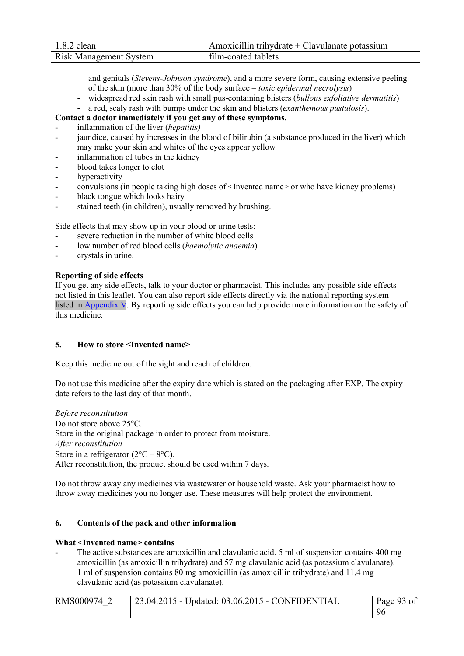| $1.8.2$ clean                 | $\Delta$ Amoxicillin trihydrate + Clavulanate potassium |
|-------------------------------|---------------------------------------------------------|
| <b>Risk Management System</b> | film-coated tablets                                     |

and genitals (*Stevens-Johnson syndrome*), and a more severe form, causing extensive peeling of the skin (more than 30% of the body surface – *toxic epidermal necrolysis*)

- widespread red skin rash with small pus-containing blisters (*bullous exfoliative dermatitis*)
- a red, scaly rash with bumps under the skin and blisters (*exanthemous pustulosis*).

# **Contact a doctor immediately if you get any of these symptoms.**

- inflammation of the liver (*hepatitis)*
- jaundice, caused by increases in the blood of bilirubin (a substance produced in the liver) which may make your skin and whites of the eyes appear yellow
- inflammation of tubes in the kidney
- blood takes longer to clot
- hyperactivity
- convulsions (in people taking high doses of <Invented name> or who have kidney problems)
- black tongue which looks hairy
- stained teeth (in children), usually removed by brushing.

Side effects that may show up in your blood or urine tests:

- severe reduction in the number of white blood cells
- low number of red blood cells (*haemolytic anaemia*)
- crystals in urine.

### **Reporting of side effects**

If you get any side effects, talk to your doctor or pharmacist. This includes any possible side effects not listed in this leaflet. You can also report side effects directly via the national reporting system listed in Appendix V. By reporting side effects you can help provide more information on the safety of this medicine.

#### **5. How to store <Invented name>**

Keep this medicine out of the sight and reach of children.

Do not use this medicine after the expiry date which is stated on the packaging after EXP. The expiry date refers to the last day of that month.

*Before reconstitution*  Do not store above  $25^{\circ}$ C. Store in the original package in order to protect from moisture. *After reconstitution* Store in a refrigerator  $(2^{\circ}C - 8^{\circ}C)$ . After reconstitution, the product should be used within 7 days.

Do not throw away any medicines via wastewater or household waste. Ask your pharmacist how to throw away medicines you no longer use. These measures will help protect the environment.

#### **6. Contents of the pack and other information**

#### **What <Invented name> contains**

The active substances are amoxicillin and clavulanic acid. 5 ml of suspension contains 400 mg amoxicillin (as amoxicillin trihydrate) and 57 mg clavulanic acid (as potassium clavulanate). 1 ml of suspension contains 80 mg amoxicillin (as amoxicillin trihydrate) and 11.4 mg clavulanic acid (as potassium clavulanate).

| RMS000974 2 | $\vert$ 23.04.2015 - Updated: 03.06.2015 - CONFIDENTIAL | Page 93 of |
|-------------|---------------------------------------------------------|------------|
|             |                                                         | 96         |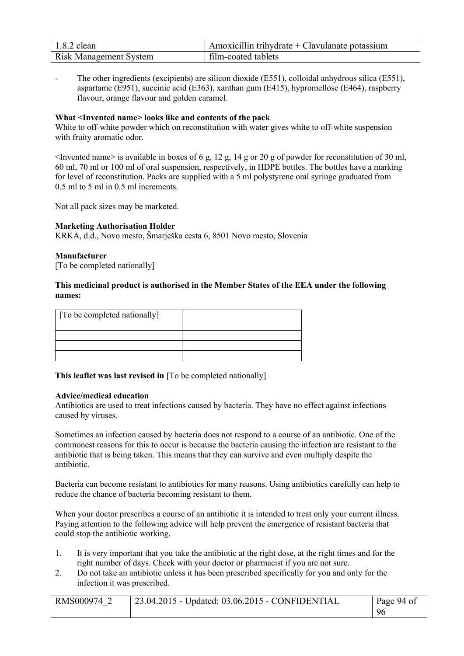| $1.8.2$ clean                 | Amoxicillin trihydrate + Clavulanate potassium |
|-------------------------------|------------------------------------------------|
| <b>Risk Management System</b> | film-coated tablets                            |

The other ingredients (excipients) are silicon dioxide (E551), colloidal anhydrous silica (E551), aspartame (E951), succinic acid (E363), xanthan gum (E415), hypromellose (E464), raspberry flavour, orange flavour and golden caramel.

### **What <Invented name> looks like and contents of the pack**

White to off-white powder which on reconstitution with water gives white to off-white suspension with fruity aromatic odor.

<Invented name> is available in boxes of 6 g, 12 g, 14 g or 20 g of powder for reconstitution of 30 ml, 60 ml, 70 ml or 100 ml of oral suspension, respectively, in HDPE bottles. The bottles have a marking for level of reconstitution. Packs are supplied with a 5 ml polystyrene oral syringe graduated from 0.5 ml to 5 ml in 0.5 ml increments.

Not all pack sizes may be marketed.

### **Marketing Authorisation Holder**

KRKA, d.d., Novo mesto, Šmarješka cesta 6, 8501 Novo mesto, Slovenia

#### **Manufacturer**

[To be completed nationally]

### **This medicinal product is authorised in the Member States of the EEA under the following names:**

| [ To be completed nationally] |  |
|-------------------------------|--|
|                               |  |
|                               |  |
|                               |  |

**This leaflet was last revised in** [To be completed nationally]

#### **Advice/medical education**

Antibiotics are used to treat infections caused by bacteria. They have no effect against infections caused by viruses.

Sometimes an infection caused by bacteria does not respond to a course of an antibiotic. One of the commonest reasons for this to occur is because the bacteria causing the infection are resistant to the antibiotic that is being taken. This means that they can survive and even multiply despite the antibiotic.

Bacteria can become resistant to antibiotics for many reasons. Using antibiotics carefully can help to reduce the chance of bacteria becoming resistant to them.

When your doctor prescribes a course of an antibiotic it is intended to treat only your current illness. Paying attention to the following advice will help prevent the emergence of resistant bacteria that could stop the antibiotic working.

- 1. It is very important that you take the antibiotic at the right dose, at the right times and for the right number of days. Check with your doctor or pharmacist if you are not sure.
- 2. Do not take an antibiotic unless it has been prescribed specifically for you and only for the infection it was prescribed.

| RMS000974 2 | <sup>1</sup> 23.04.2015 - Updated: 03.06.2015 - CONFIDENTIAL | Page 94 of |
|-------------|--------------------------------------------------------------|------------|
|             |                                                              | 96         |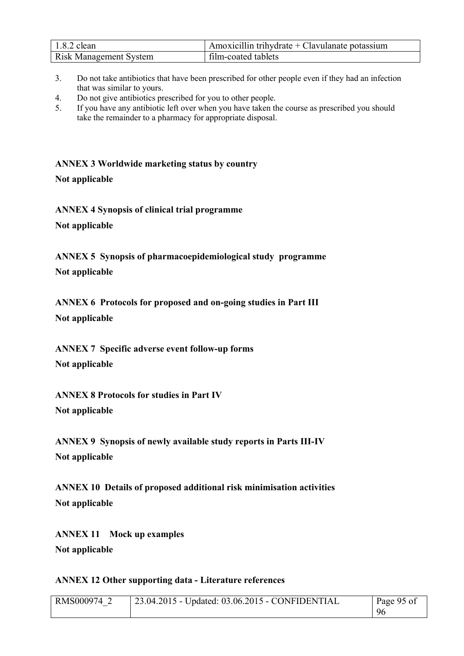| $1.8.2$ clean                 | Amoxicillin trihydrate + Clavulanate potassium |
|-------------------------------|------------------------------------------------|
| <b>Risk Management System</b> | film-coated tablets                            |

- 3. Do not take antibiotics that have been prescribed for other people even if they had an infection that was similar to yours.
- 4. Do not give antibiotics prescribed for you to other people.

**ANNEX 3 Worldwide marketing status by country**

**Not applicable**

**ANNEX 4 Synopsis of clinical trial programme Not applicable**

**ANNEX 5 Synopsis of pharmacoepidemiological study programme Not applicable**

**ANNEX 6 Protocols for proposed and on-going studies in Part III Not applicable**

**ANNEX 7 Specific adverse event follow-up forms Not applicable**

**ANNEX 8 Protocols for studies in Part IV Not applicable**

**ANNEX 9 Synopsis of newly available study reports in Parts III-IV Not applicable**

**ANNEX 10 Details of proposed additional risk minimisation activities Not applicable**

**ANNEX 11 Mock up examples Not applicable**

# **ANNEX 12 Other supporting data - Literature references**

| RMS000974 | 23.04.2015 - Updated: 03.06.2015 - CONFIDENTIAL | Page 95 of |
|-----------|-------------------------------------------------|------------|
|           |                                                 | -96        |

<sup>5.</sup> If you have any antibiotic left over when you have taken the course as prescribed you should take the remainder to a pharmacy for appropriate disposal.